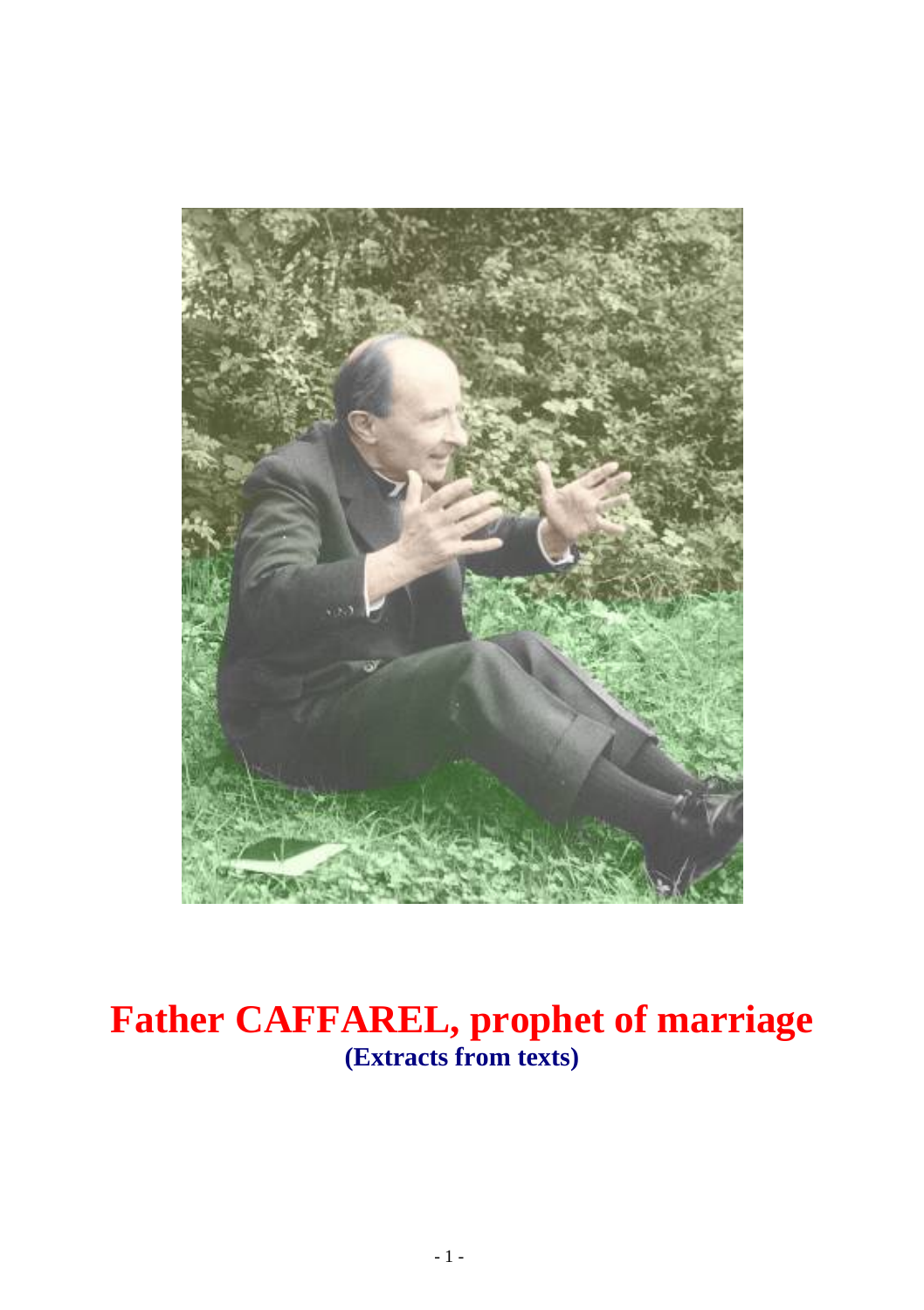

## **Father CAFFAREL, prophet of marriage (Extracts from texts)**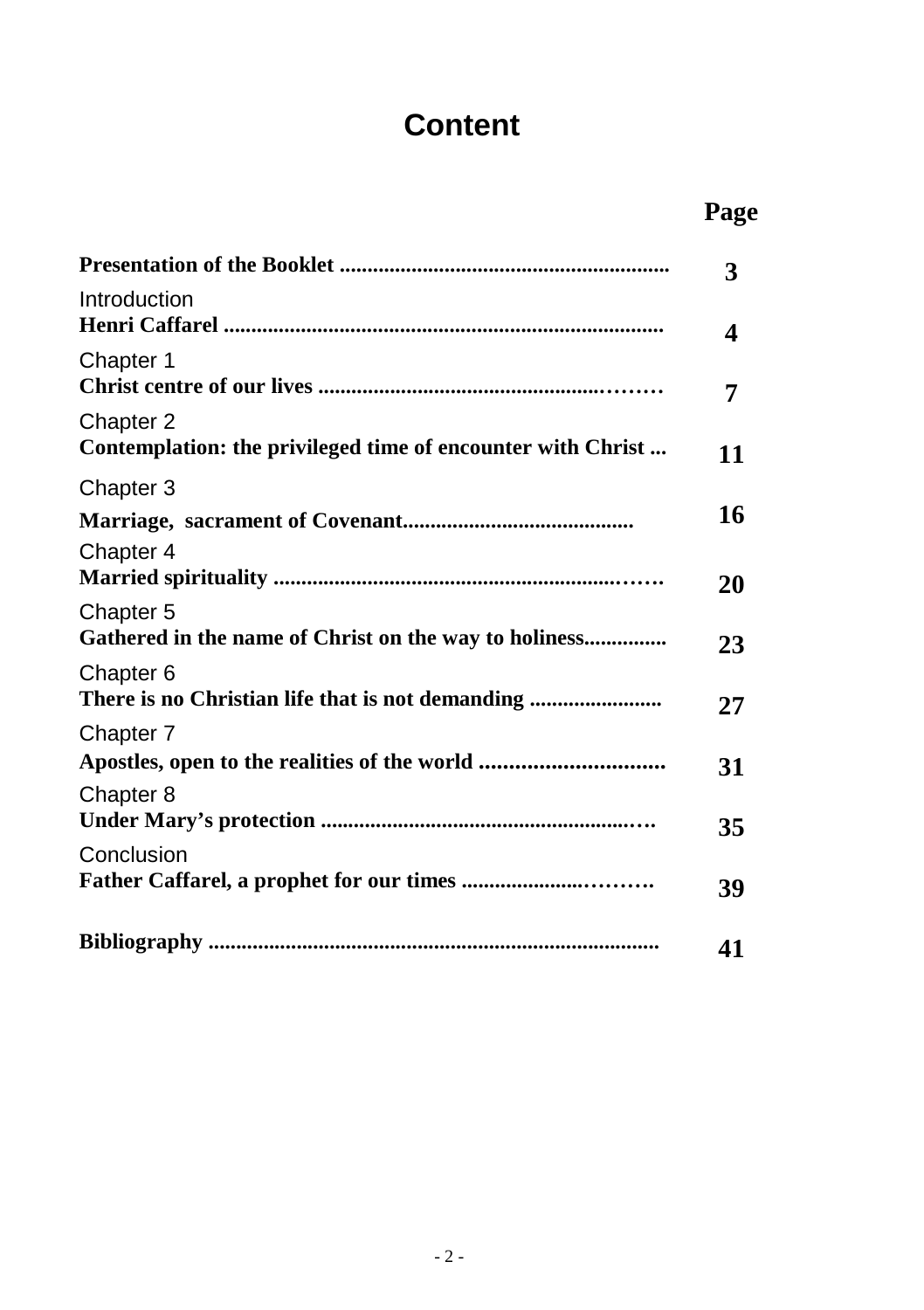## **Content**

| ш<br>v<br>., |
|--------------|
|              |

|                                                                          | 3  |
|--------------------------------------------------------------------------|----|
| Introduction                                                             | 4  |
| Chapter 1                                                                | 7  |
| Chapter 2<br>Contemplation: the privileged time of encounter with Christ | 11 |
| Chapter 3                                                                |    |
|                                                                          | 16 |
| Chapter 4                                                                | 20 |
| Chapter 5<br>Gathered in the name of Christ on the way to holiness       | 23 |
| Chapter 6                                                                | 27 |
| Chapter 7                                                                |    |
|                                                                          | 31 |
| Chapter 8                                                                | 35 |
| Conclusion                                                               | 39 |
|                                                                          |    |
|                                                                          | 41 |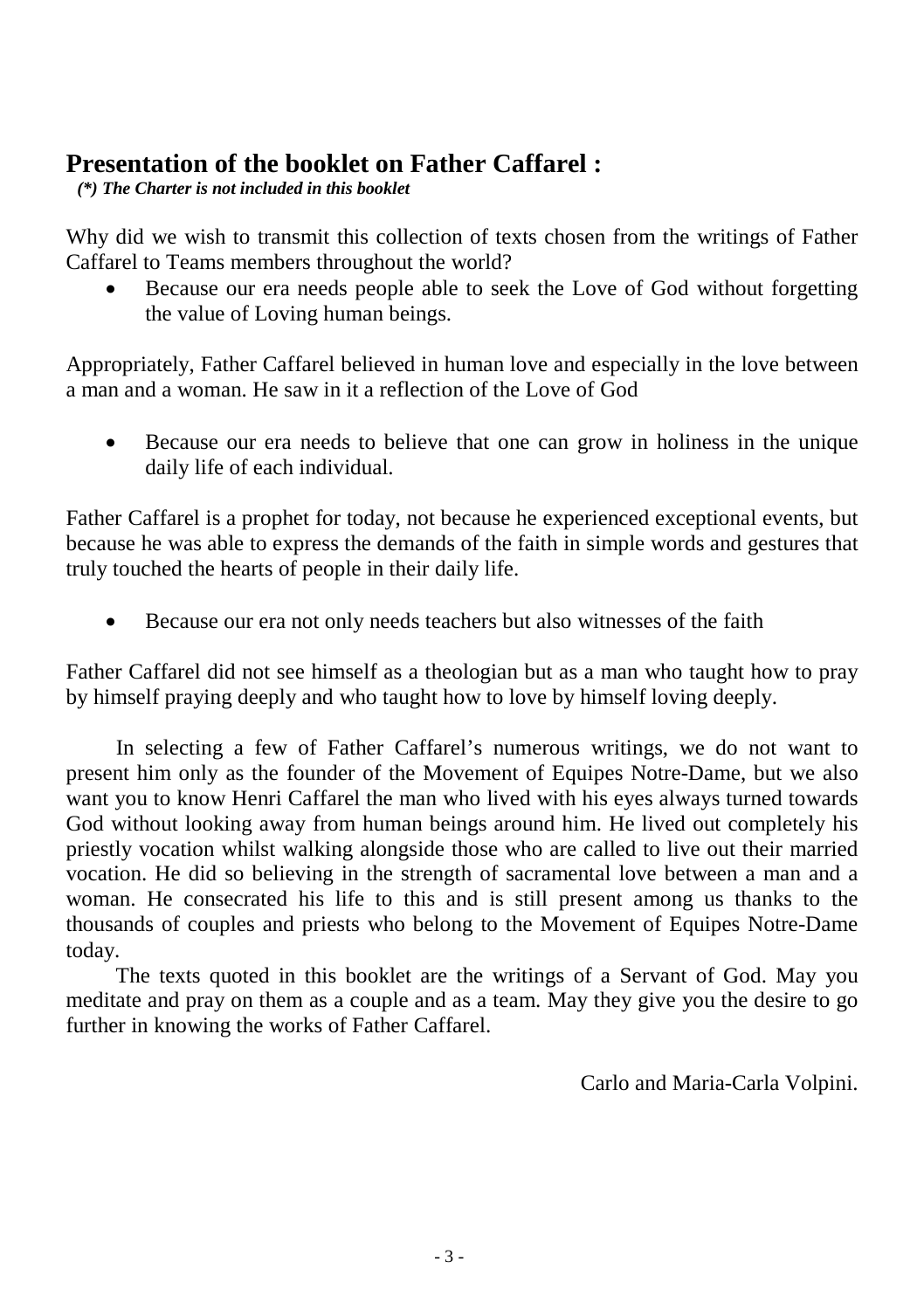# **Presentation of the booklet on Father Caffarel :** *(\*) The Charter is not included in this booklet*

Why did we wish to transmit this collection of texts chosen from the writings of Father Caffarel to Teams members throughout the world?

• Because our era needs people able to seek the Love of God without forgetting the value of Loving human beings.

Appropriately, Father Caffarel believed in human love and especially in the love between a man and a woman. He saw in it a reflection of the Love of God

• Because our era needs to believe that one can grow in holiness in the unique daily life of each individual.

Father Caffarel is a prophet for today, not because he experienced exceptional events, but because he was able to express the demands of the faith in simple words and gestures that truly touched the hearts of people in their daily life.

• Because our era not only needs teachers but also witnesses of the faith

Father Caffarel did not see himself as a theologian but as a man who taught how to pray by himself praying deeply and who taught how to love by himself loving deeply.

In selecting a few of Father Caffarel's numerous writings, we do not want to present him only as the founder of the Movement of Equipes Notre-Dame, but we also want you to know Henri Caffarel the man who lived with his eyes always turned towards God without looking away from human beings around him. He lived out completely his priestly vocation whilst walking alongside those who are called to live out their married vocation. He did so believing in the strength of sacramental love between a man and a woman. He consecrated his life to this and is still present among us thanks to the thousands of couples and priests who belong to the Movement of Equipes Notre-Dame today.

The texts quoted in this booklet are the writings of a Servant of God. May you meditate and pray on them as a couple and as a team. May they give you the desire to go further in knowing the works of Father Caffarel.

Carlo and Maria-Carla Volpini.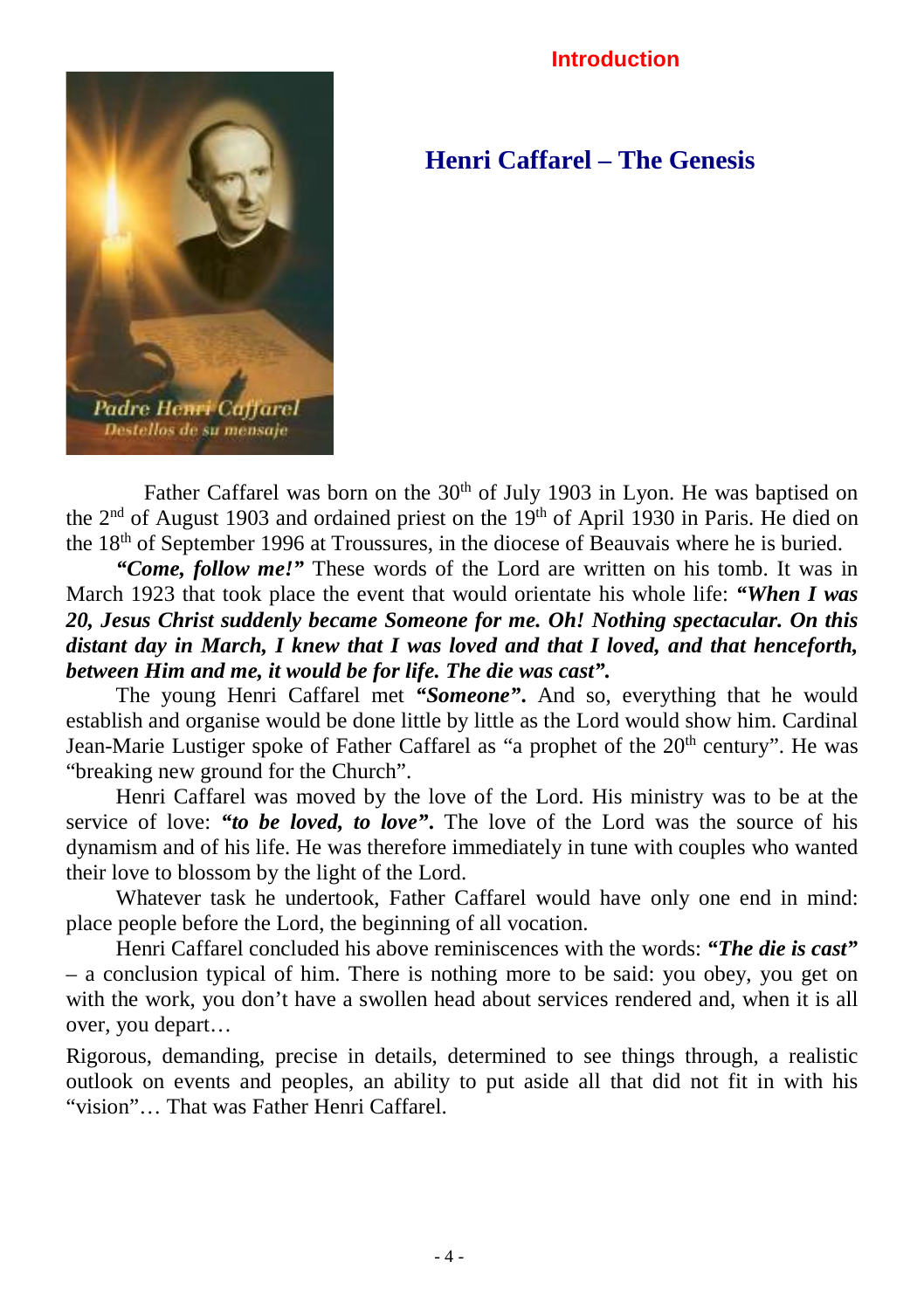#### **Introduction**



**Henri Caffarel – The Genesis**

Father Caffarel was born on the 30<sup>th</sup> of July 1903 in Lyon. He was baptised on the  $2<sup>nd</sup>$  of August 1903 and ordained priest on the 19<sup>th</sup> of April 1930 in Paris. He died on the  $18<sup>th</sup>$  of September 1996 at Troussures, in the diocese of Beauvais where he is buried.

*"Come, follow me!"* These words of the Lord are written on his tomb. It was in March 1923 that took place the event that would orientate his whole life: *"When I was 20, Jesus Christ suddenly became Someone for me. Oh! Nothing spectacular. On this distant day in March, I knew that I was loved and that I loved, and that henceforth, between Him and me, it would be for life. The die was cast".*

The young Henri Caffarel met *"Someone"***.** And so, everything that he would establish and organise would be done little by little as the Lord would show him. Cardinal Jean-Marie Lustiger spoke of Father Caffarel as "a prophet of the 20<sup>th</sup> century". He was "breaking new ground for the Church".

Henri Caffarel was moved by the love of the Lord. His ministry was to be at the service of love: *"to be loved, to love"***.** The love of the Lord was the source of his dynamism and of his life. He was therefore immediately in tune with couples who wanted their love to blossom by the light of the Lord.

Whatever task he undertook, Father Caffarel would have only one end in mind: place people before the Lord, the beginning of all vocation.

Henri Caffarel concluded his above reminiscences with the words: *"The die is cast"* – a conclusion typical of him. There is nothing more to be said: you obey, you get on with the work, you don't have a swollen head about services rendered and, when it is all over, you depart…

Rigorous, demanding, precise in details, determined to see things through, a realistic outlook on events and peoples, an ability to put aside all that did not fit in with his "vision"… That was Father Henri Caffarel.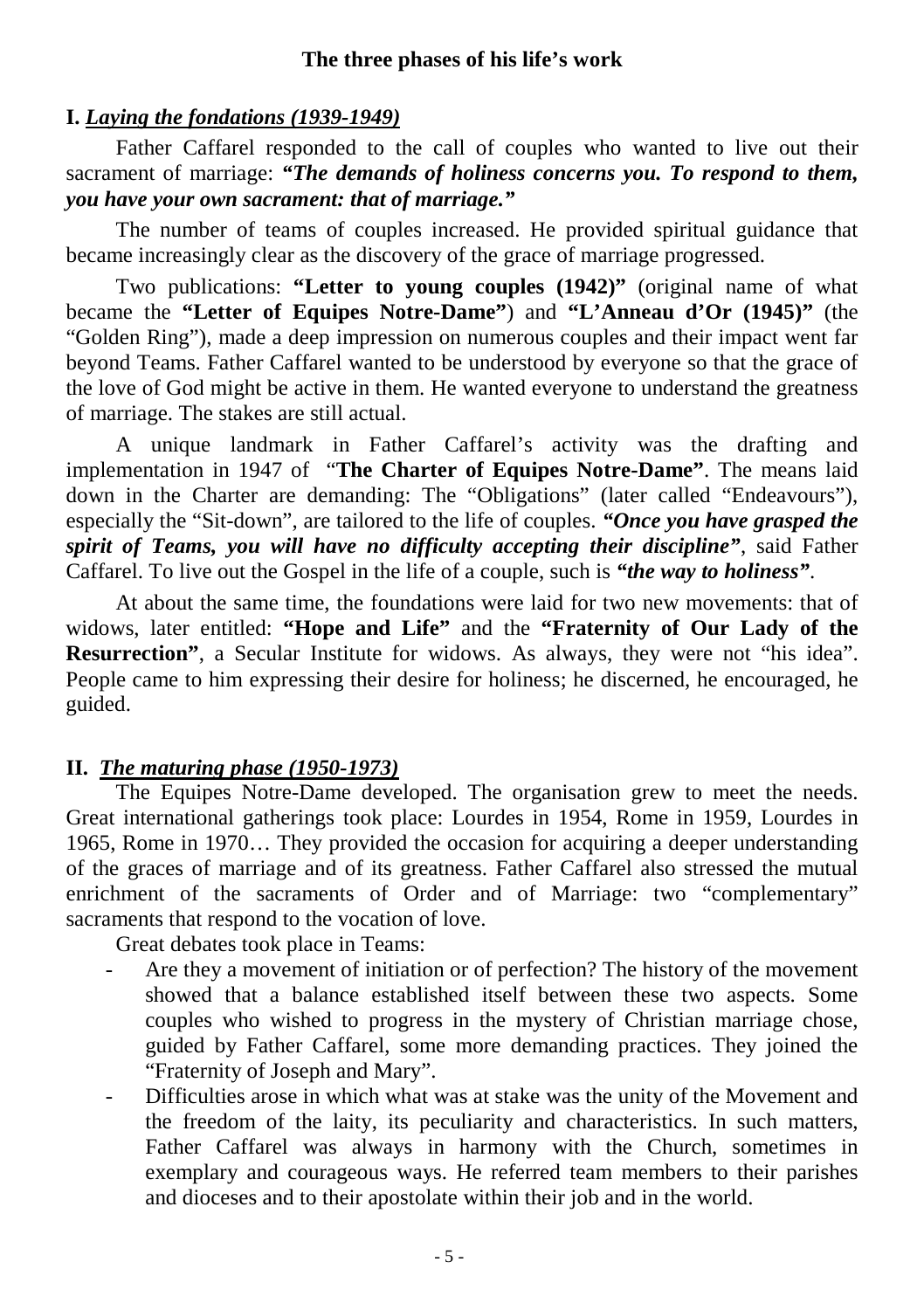### **I.** *Laying the fondations (1939-1949)*

Father Caffarel responded to the call of couples who wanted to live out their sacrament of marriage: "The demands of holiness concerns you. To respond to them, *you have your own sacrament: that of marriage."*

The number of teams of couples increased. He provided spiritual guidance that became increasingly clear as the discovery of the grace of marriage progressed.

Two publications: **"Letter to young couples (1942)"** (original name of what became the **"Letter of Equipes Notre-Dame"**) and **"L'Anneau d'Or (1945)"** (the "Golden Ring"), made a deep impression on numerous couples and their impact went far beyond Teams. Father Caffarel wanted to be understood by everyone so that the grace of the love of God might be active in them. He wanted everyone to understand the greatness of marriage. The stakes are still actual.

A unique landmark in Father Caffarel's activity was the drafting and implementation in 1947 of "**The Charter of Equipes Notre-Dame"**. The means laid down in the Charter are demanding: The "Obligations" (later called "Endeavours"), especially the "Sit-down", are tailored to the life of couples. *"Once you have grasped the spirit of Teams, you will have no difficulty accepting their discipline"*, said Father Caffarel. To live out the Gospel in the life of a couple, such is *"the way to holiness"*.

At about the same time, the foundations were laid for two new movements: that of widows, later entitled: **"Hope and Life"** and the **"Fraternity of Our Lady of the Resurrection"**, a Secular Institute for widows. As always, they were not "his idea". People came to him expressing their desire for holiness; he discerned, he encouraged, he guided.

### **II.** *The maturing phase (1950-1973)*

The Equipes Notre-Dame developed. The organisation grew to meet the needs. Great international gatherings took place: Lourdes in 1954, Rome in 1959, Lourdes in 1965, Rome in 1970… They provided the occasion for acquiring a deeper understanding of the graces of marriage and of its greatness. Father Caffarel also stressed the mutual enrichment of the sacraments of Order and of Marriage: two "complementary" sacraments that respond to the vocation of love.

Great debates took place in Teams:

- Are they a movement of initiation or of perfection? The history of the movement showed that a balance established itself between these two aspects. Some couples who wished to progress in the mystery of Christian marriage chose, guided by Father Caffarel, some more demanding practices. They joined the "Fraternity of Joseph and Mary".
- Difficulties arose in which what was at stake was the unity of the Movement and the freedom of the laity, its peculiarity and characteristics. In such matters, Father Caffarel was always in harmony with the Church, sometimes in exemplary and courageous ways. He referred team members to their parishes and dioceses and to their apostolate within their job and in the world.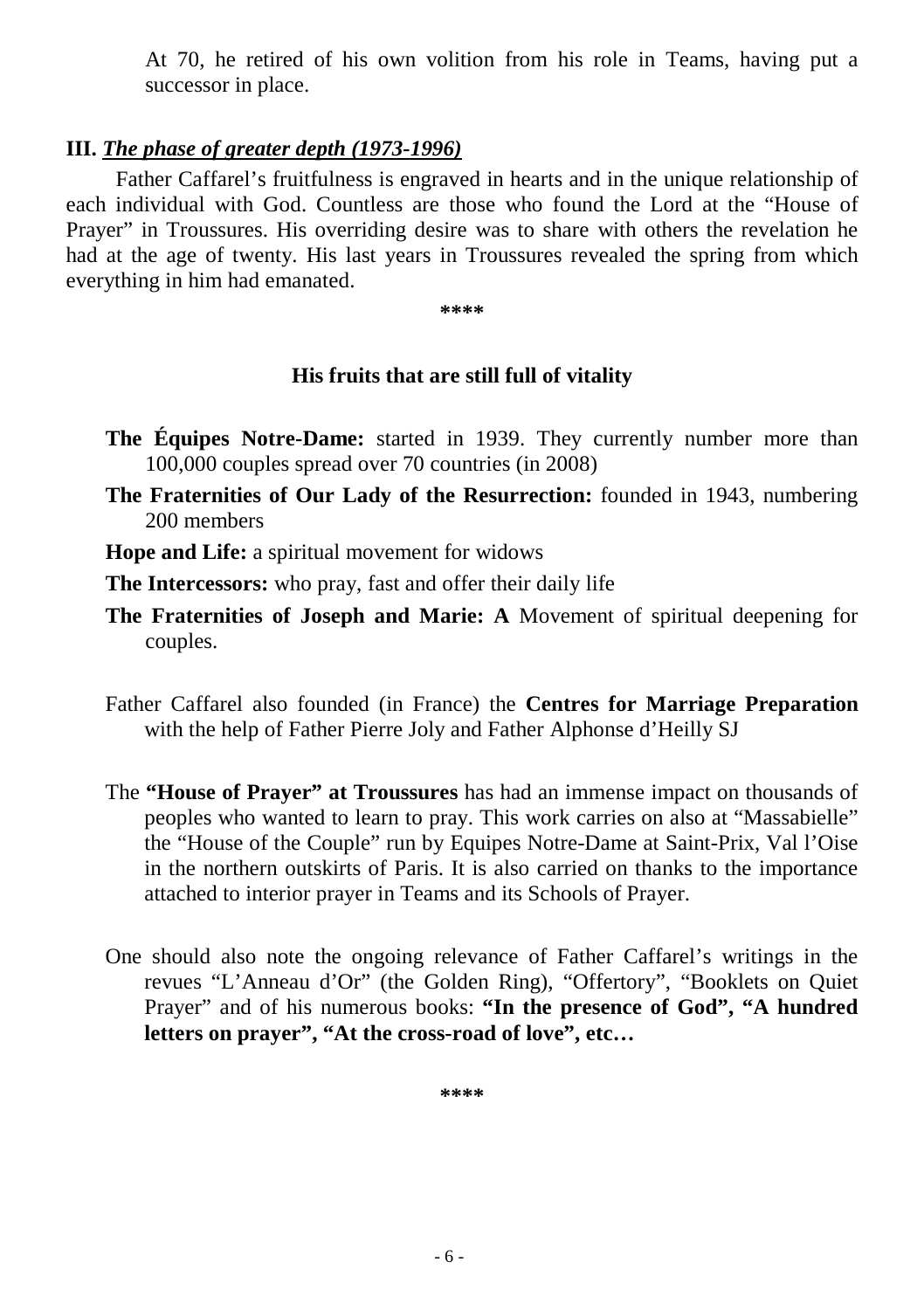At 70, he retired of his own volition from his role in Teams, having put a successor in place.

#### **III.** *The phase of greater depth (1973-1996)*

Father Caffarel's fruitfulness is engraved in hearts and in the unique relationship of each individual with God. Countless are those who found the Lord at the "House of Prayer" in Troussures. His overriding desire was to share with others the revelation he had at the age of twenty. His last years in Troussures revealed the spring from which everything in him had emanated.

**\*\*\*\***

## **His fruits that are still full of vitality**

- **The Équipes Notre-Dame:** started in 1939. They currently number more than 100,000 couples spread over 70 countries (in 2008)
- **The Fraternities of Our Lady of the Resurrection:** founded in 1943, numbering 200 members
- **Hope and Life:** a spiritual movement for widows

**The Intercessors:** who pray, fast and offer their daily life

- **The Fraternities of Joseph and Marie: A** Movement of spiritual deepening for couples.
- Father Caffarel also founded (in France) the **Centres for Marriage Preparation** with the help of Father Pierre Joly and Father Alphonse d'Heilly SJ
- The **"House of Prayer" at Troussures** has had an immense impact on thousands of peoples who wanted to learn to pray. This work carries on also at "Massabielle" the "House of the Couple" run by Equipes Notre-Dame at Saint-Prix, Val l'Oise in the northern outskirts of Paris. It is also carried on thanks to the importance attached to interior prayer in Teams and its Schools of Prayer.
- One should also note the ongoing relevance of Father Caffarel's writings in the revues "L'Anneau d'Or" (the Golden Ring), "Offertory", "Booklets on Quiet Prayer" and of his numerous books: **"In the presence of God", "A hundred letters on prayer", "At the cross-road of love", etc…**

**\*\*\*\***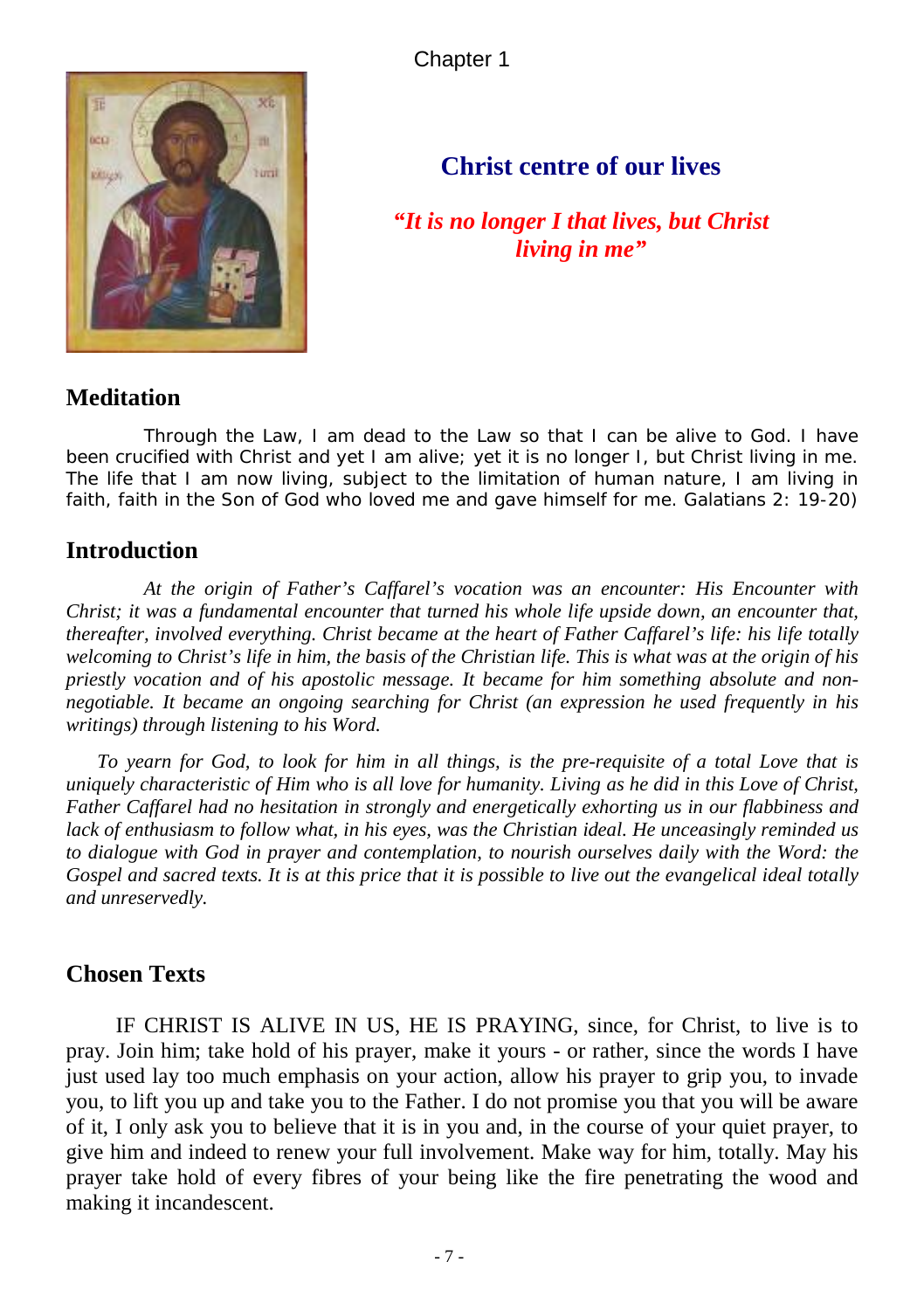Chapter 1



## **Christ centre of our lives**

*"It is no longer I that lives, but Christ living in me"*

#### **Meditation**

*Through the Law, I am dead to the Law so that I can be alive to God. I have been crucified with Christ and yet I am alive; yet it is no longer I, but Christ living in me. The life that I am now living, subject to the limitation of human nature, I am living in*  faith, faith in the Son of God who loved me and gave himself for me. Galatians 2: 19-20)

#### **Introduction**

*At the origin of Father's Caffarel's vocation was an encounter: His Encounter with Christ; it was a fundamental encounter that turned his whole life upside down, an encounter that, thereafter, involved everything. Christ became at the heart of Father Caffarel's life: his life totally welcoming to Christ's life in him, the basis of the Christian life. This is what was at the origin of his priestly vocation and of his apostolic message. It became for him something absolute and nonnegotiable. It became an ongoing searching for Christ (an expression he used frequently in his writings) through listening to his Word.* 

*To yearn for God, to look for him in all things, is the pre-requisite of a total Love that is uniquely characteristic of Him who is all love for humanity. Living as he did in this Love of Christ, Father Caffarel had no hesitation in strongly and energetically exhorting us in our flabbiness and lack of enthusiasm to follow what, in his eyes, was the Christian ideal. He unceasingly reminded us to dialogue with God in prayer and contemplation, to nourish ourselves daily with the Word: the Gospel and sacred texts. It is at this price that it is possible to live out the evangelical ideal totally and unreservedly.* 

### **Chosen Texts**

IF CHRIST IS ALIVE IN US, HE IS PRAYING, since, for Christ, to live is to pray. Join him; take hold of his prayer, make it yours - or rather, since the words I have just used lay too much emphasis on your action, allow his prayer to grip you, to invade you, to lift you up and take you to the Father. I do not promise you that you will be aware of it, I only ask you to believe that it is in you and, in the course of your quiet prayer, to give him and indeed to renew your full involvement. Make way for him, totally. May his prayer take hold of every fibres of your being like the fire penetrating the wood and making it incandescent.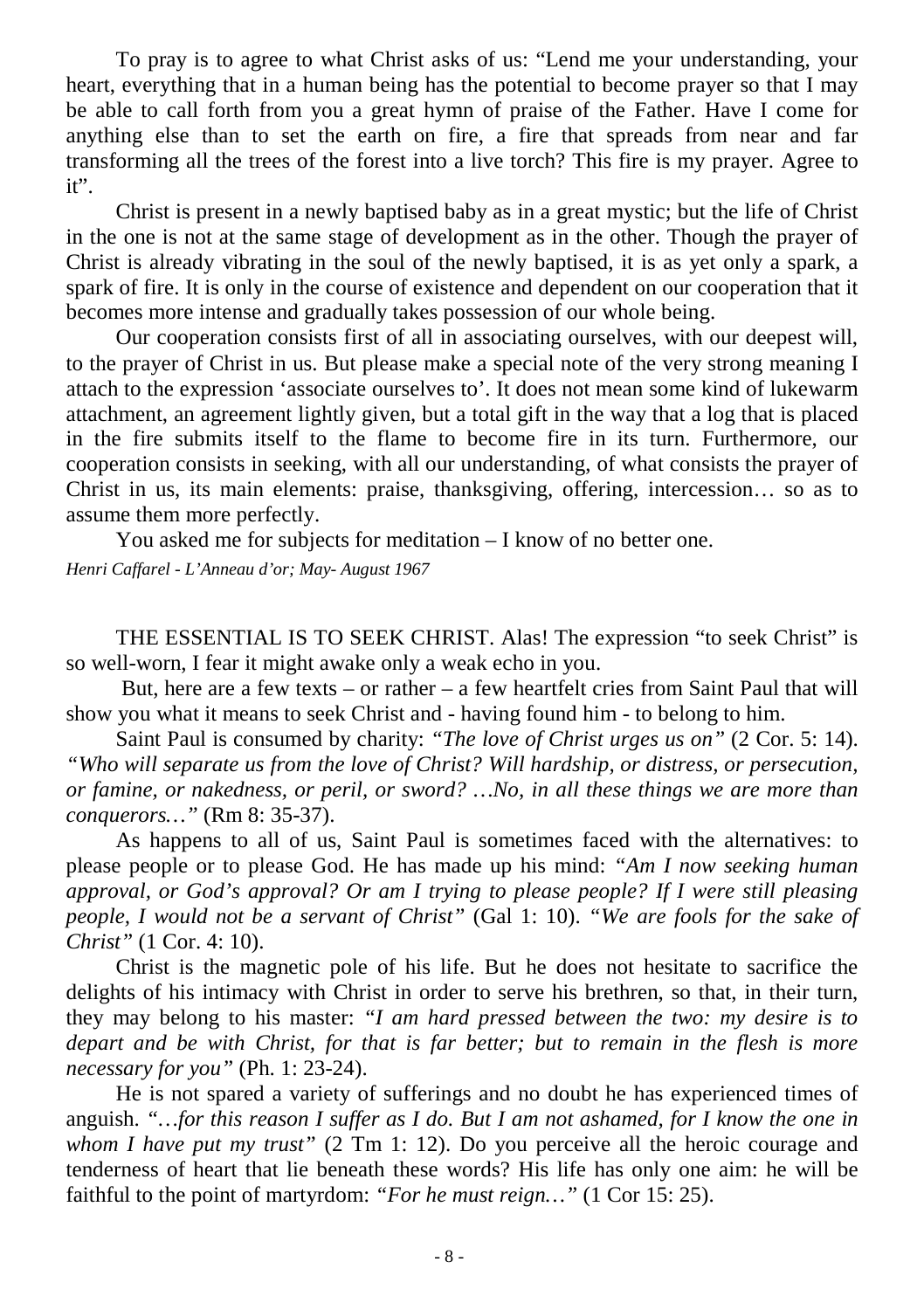To pray is to agree to what Christ asks of us: "Lend me your understanding, your heart, everything that in a human being has the potential to become prayer so that I may be able to call forth from you a great hymn of praise of the Father. Have I come for anything else than to set the earth on fire, a fire that spreads from near and far transforming all the trees of the forest into a live torch? This fire is my prayer. Agree to it".

Christ is present in a newly baptised baby as in a great mystic; but the life of Christ in the one is not at the same stage of development as in the other. Though the prayer of Christ is already vibrating in the soul of the newly baptised, it is as yet only a spark, a spark of fire. It is only in the course of existence and dependent on our cooperation that it becomes more intense and gradually takes possession of our whole being.

Our cooperation consists first of all in associating ourselves, with our deepest will, to the prayer of Christ in us. But please make a special note of the very strong meaning I attach to the expression 'associate ourselves to'. It does not mean some kind of lukewarm attachment, an agreement lightly given, but a total gift in the way that a log that is placed in the fire submits itself to the flame to become fire in its turn. Furthermore, our cooperation consists in seeking, with all our understanding, of what consists the prayer of Christ in us, its main elements: praise, thanksgiving, offering, intercession… so as to assume them more perfectly.

You asked me for subjects for meditation – I know of no better one.

*Henri Caffarel - L'Anneau d'or; May- August 1967* 

THE ESSENTIAL IS TO SEEK CHRIST. Alas! The expression "to seek Christ" is so well-worn, I fear it might awake only a weak echo in you.

But, here are a few texts – or rather – a few heartfelt cries from Saint Paul that will show you what it means to seek Christ and - having found him - to belong to him.

Saint Paul is consumed by charity: *"The love of Christ urges us on"* (2 Cor. 5: 14). *"Who will separate us from the love of Christ? Will hardship, or distress, or persecution, or famine, or nakedness, or peril, or sword? …No, in all these things we are more than conquerors…"* (Rm 8: 35-37).

As happens to all of us, Saint Paul is sometimes faced with the alternatives: to please people or to please God. He has made up his mind: *"Am I now seeking human approval, or God's approval? Or am I trying to please people? If I were still pleasing people, I would not be a servant of Christ"* (Gal 1: 10). *"We are fools for the sake of Christ"* (1 Cor. 4: 10).

Christ is the magnetic pole of his life. But he does not hesitate to sacrifice the delights of his intimacy with Christ in order to serve his brethren, so that, in their turn, they may belong to his master: *"I am hard pressed between the two: my desire is to depart and be with Christ, for that is far better; but to remain in the flesh is more necessary for you"* (Ph. 1: 23-24).

He is not spared a variety of sufferings and no doubt he has experienced times of anguish. *"…for this reason I suffer as I do. But I am not ashamed, for I know the one in whom I have put my trust"* (2 Tm 1: 12). Do you perceive all the heroic courage and tenderness of heart that lie beneath these words? His life has only one aim: he will be faithful to the point of martyrdom: *"For he must reign…"* (1 Cor 15: 25).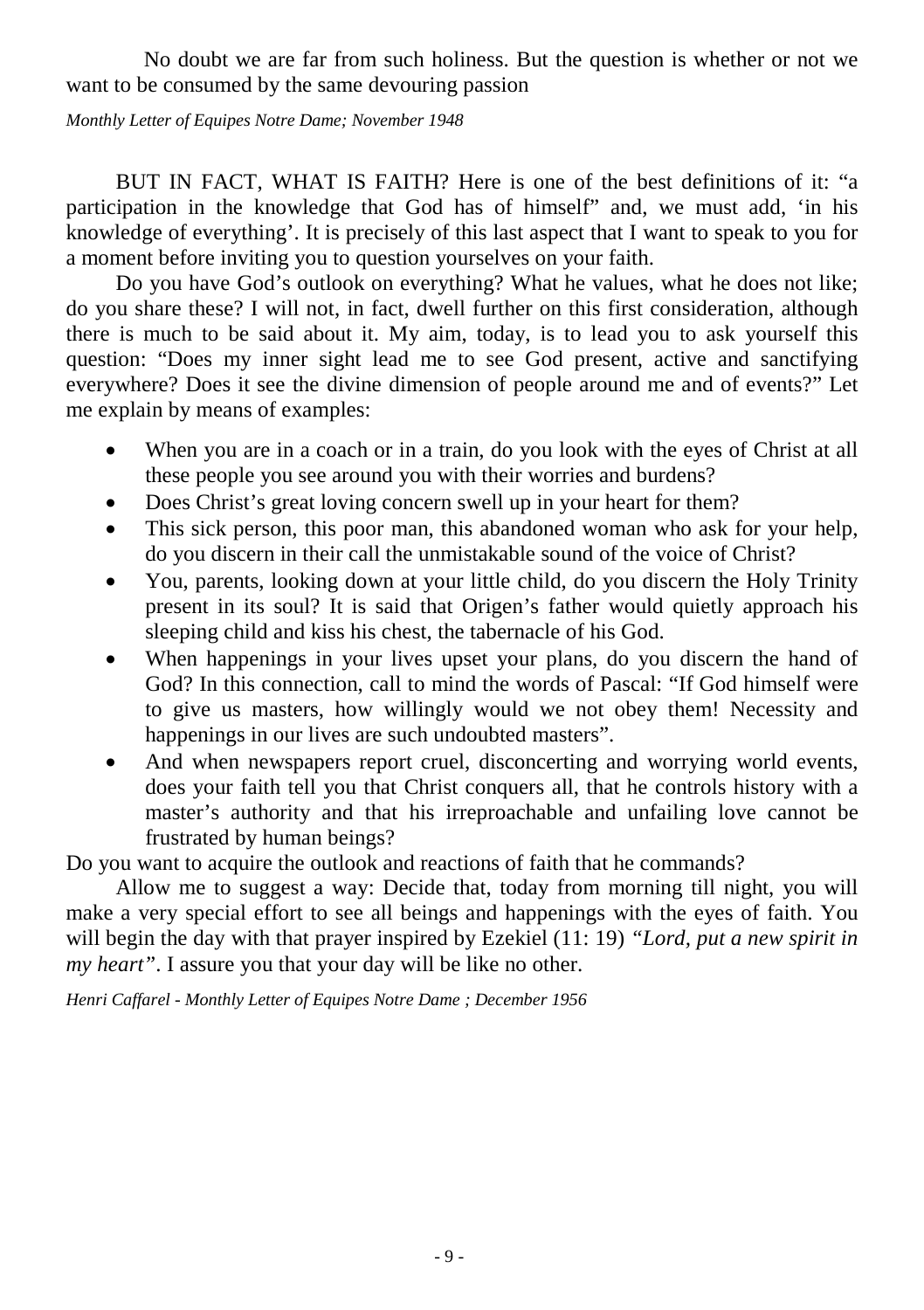No doubt we are far from such holiness. But the question is whether or not we want to be consumed by the same devouring passion

*Monthly Letter of Equipes Notre Dame; November 1948*

BUT IN FACT, WHAT IS FAITH? Here is one of the best definitions of it: "a participation in the knowledge that God has of himself" and, we must add, 'in his knowledge of everything'. It is precisely of this last aspect that I want to speak to you for a moment before inviting you to question yourselves on your faith.

Do you have God's outlook on everything? What he values, what he does not like; do you share these? I will not, in fact, dwell further on this first consideration, although there is much to be said about it. My aim, today, is to lead you to ask yourself this question: "Does my inner sight lead me to see God present, active and sanctifying everywhere? Does it see the divine dimension of people around me and of events?" Let me explain by means of examples:

- When you are in a coach or in a train, do you look with the eyes of Christ at all these people you see around you with their worries and burdens?
- Does Christ's great loving concern swell up in your heart for them?
- This sick person, this poor man, this abandoned woman who ask for your help, do you discern in their call the unmistakable sound of the voice of Christ?
- You, parents, looking down at your little child, do you discern the Holy Trinity present in its soul? It is said that Origen's father would quietly approach his sleeping child and kiss his chest, the tabernacle of his God.
- When happenings in your lives upset your plans, do you discern the hand of God? In this connection, call to mind the words of Pascal: "If God himself were to give us masters, how willingly would we not obey them! Necessity and happenings in our lives are such undoubted masters".
- And when newspapers report cruel, disconcerting and worrying world events, does your faith tell you that Christ conquers all, that he controls history with a master's authority and that his irreproachable and unfailing love cannot be frustrated by human beings?

Do you want to acquire the outlook and reactions of faith that he commands?

Allow me to suggest a way: Decide that, today from morning till night, you will make a very special effort to see all beings and happenings with the eyes of faith. You will begin the day with that prayer inspired by Ezekiel (11: 19) *"Lord, put a new spirit in my heart"*. I assure you that your day will be like no other.

*Henri Caffarel - Monthly Letter of Equipes Notre Dame ; December 1956*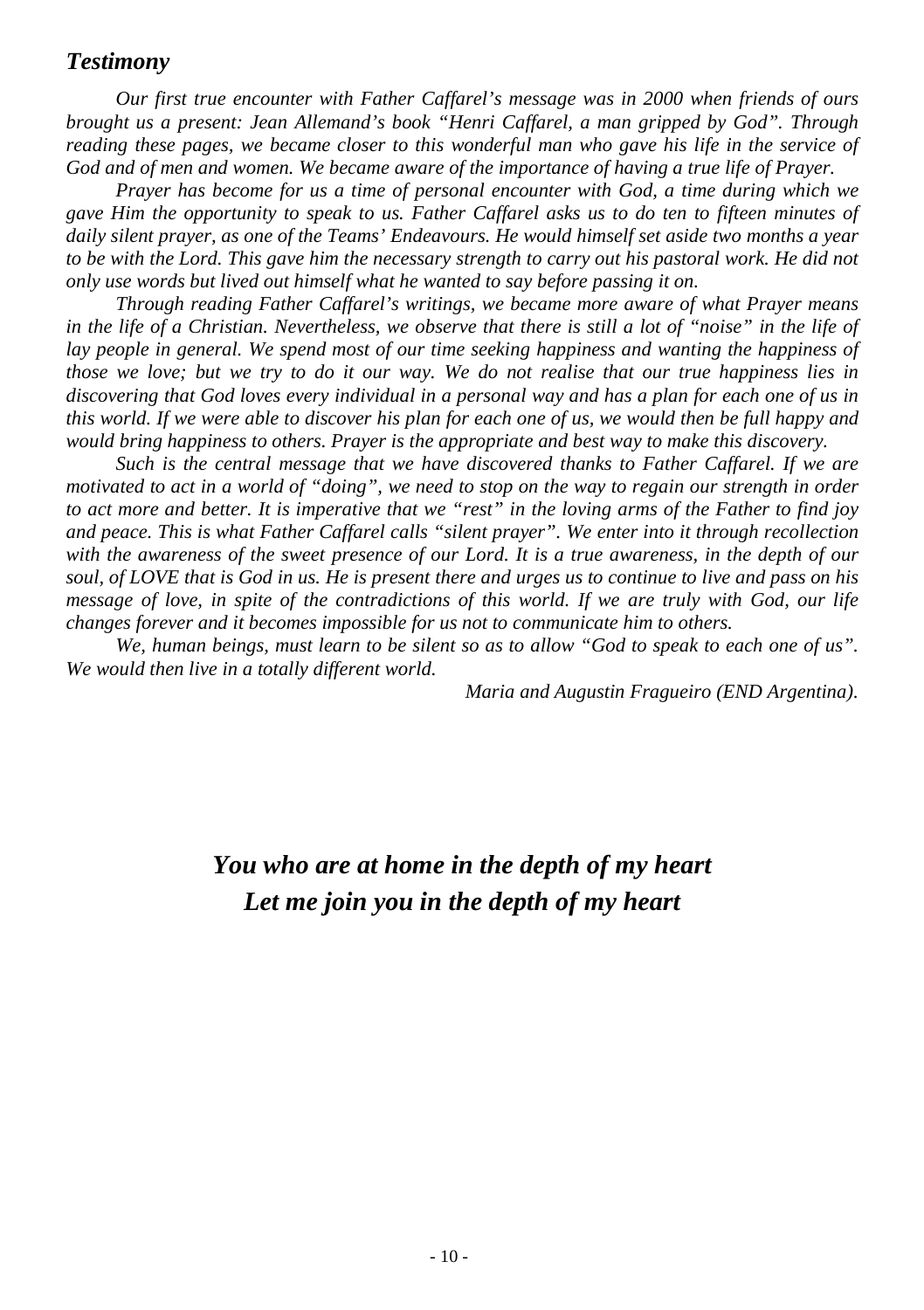#### *Testimony*

*Our first true encounter with Father Caffarel's message was in 2000 when friends of ours brought us a present: Jean Allemand's book "Henri Caffarel, a man gripped by God". Through reading these pages, we became closer to this wonderful man who gave his life in the service of God and of men and women. We became aware of the importance of having a true life of Prayer.* 

*Prayer has become for us a time of personal encounter with God, a time during which we gave Him the opportunity to speak to us. Father Caffarel asks us to do ten to fifteen minutes of daily silent prayer, as one of the Teams' Endeavours. He would himself set aside two months a year to be with the Lord. This gave him the necessary strength to carry out his pastoral work. He did not only use words but lived out himself what he wanted to say before passing it on.* 

*Through reading Father Caffarel's writings, we became more aware of what Prayer means in the life of a Christian. Nevertheless, we observe that there is still a lot of "noise" in the life of lay people in general. We spend most of our time seeking happiness and wanting the happiness of those we love; but we try to do it our way. We do not realise that our true happiness lies in discovering that God loves every individual in a personal way and has a plan for each one of us in this world. If we were able to discover his plan for each one of us, we would then be full happy and would bring happiness to others. Prayer is the appropriate and best way to make this discovery.* 

*Such is the central message that we have discovered thanks to Father Caffarel. If we are motivated to act in a world of "doing", we need to stop on the way to regain our strength in order to act more and better. It is imperative that we "rest" in the loving arms of the Father to find joy and peace. This is what Father Caffarel calls "silent prayer". We enter into it through recollection with the awareness of the sweet presence of our Lord. It is a true awareness, in the depth of our soul, of LOVE that is God in us. He is present there and urges us to continue to live and pass on his message of love, in spite of the contradictions of this world. If we are truly with God, our life changes forever and it becomes impossible for us not to communicate him to others.*

*We, human beings, must learn to be silent so as to allow "God to speak to each one of us". We would then live in a totally different world.* 

*Maria and Augustin Fragueiro (END Argentina).*

## *You who are at home in the depth of my heart Let me join you in the depth of my heart*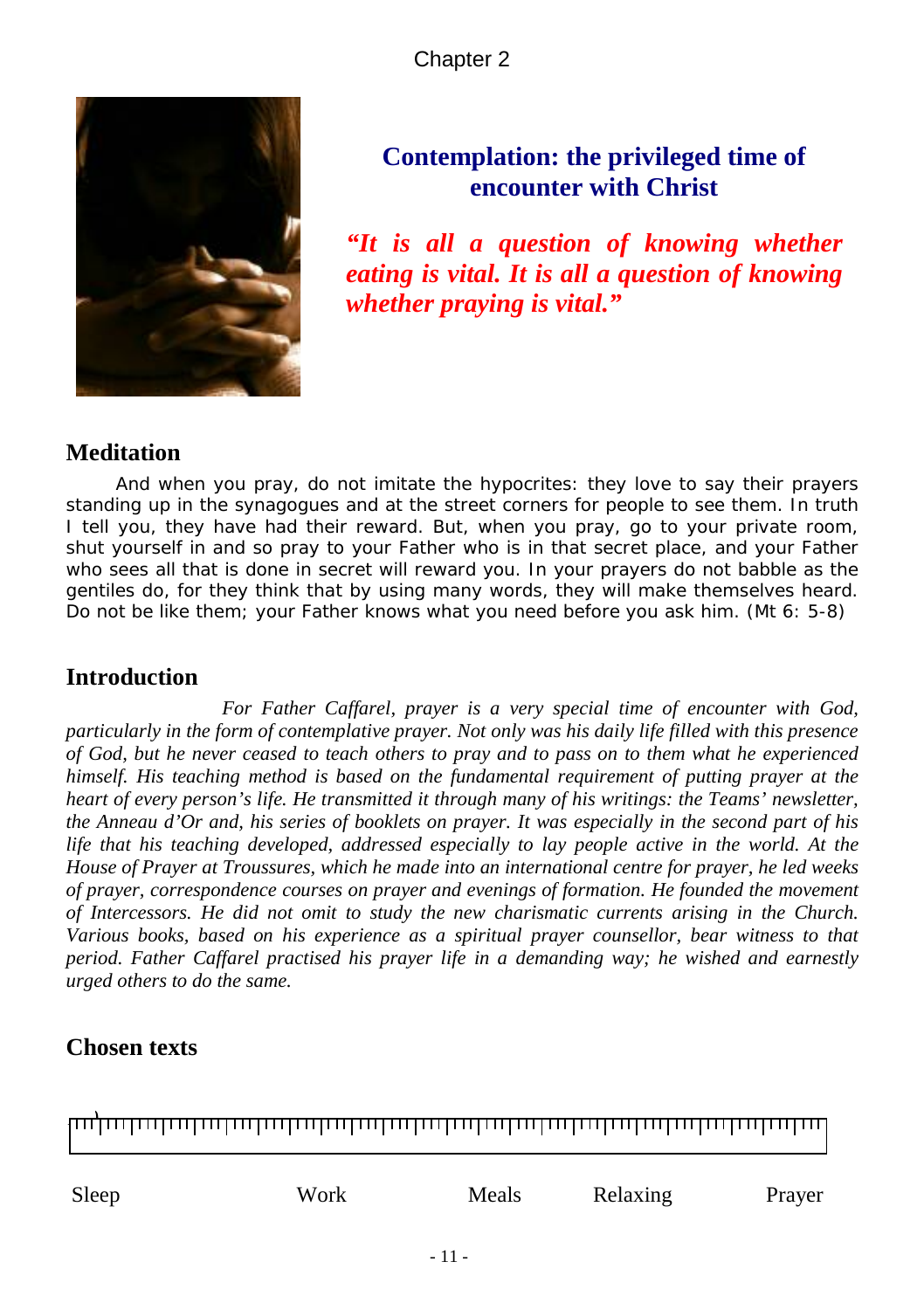Chapter 2



## **Contemplation: the privileged time of encounter with Christ**

*"It is all a question of knowing whether eating is vital. It is all a question of knowing whether praying is vital."*

## **Meditation**

*And when you pray, do not imitate the hypocrites: they love to say their prayers standing up in the synagogues and at the street corners for people to see them. In truth I tell you, they have had their reward. But, when you pray, go to your private room, shut yourself in and so pray to your Father who is in that secret place, and your Father*  who sees all that is done in secret will reward you. In your prayers do not babble as the *gentiles do, for they think that by using many words, they will make themselves heard. Do not be like them; your Father knows what you need before you ask him.* (Mt 6: 5-8)

## **Introduction**

*For Father Caffarel, prayer is a very special time of encounter with God, particularly in the form of contemplative prayer. Not only was his daily life filled with this presence of God, but he never ceased to teach others to pray and to pass on to them what he experienced himself. His teaching method is based on the fundamental requirement of putting prayer at the heart of every person's life. He transmitted it through many of his writings: the Teams' newsletter, the Anneau d'Or and, his series of booklets on prayer. It was especially in the second part of his life that his teaching developed, addressed especially to lay people active in the world. At the House of Prayer at Troussures, which he made into an international centre for prayer, he led weeks of prayer, correspondence courses on prayer and evenings of formation. He founded the movement of Intercessors. He did not omit to study the new charismatic currents arising in the Church. Various books, based on his experience as a spiritual prayer counsellor, bear witness to that period. Father Caffarel practised his prayer life in a demanding way; he wished and earnestly urged others to do the same.* 

## **Chosen texts**

100 <del>| 111 | 111 | 111 | 111 | 111 | 111 | 111 | 111 | 111 | 111 | 111 | 111 | 111 | 111 | 111 | 111 | 111 | 111 | 11</del>

| Sleep | Work | Meals | Relaxing | Prayer |
|-------|------|-------|----------|--------|
|       |      |       |          |        |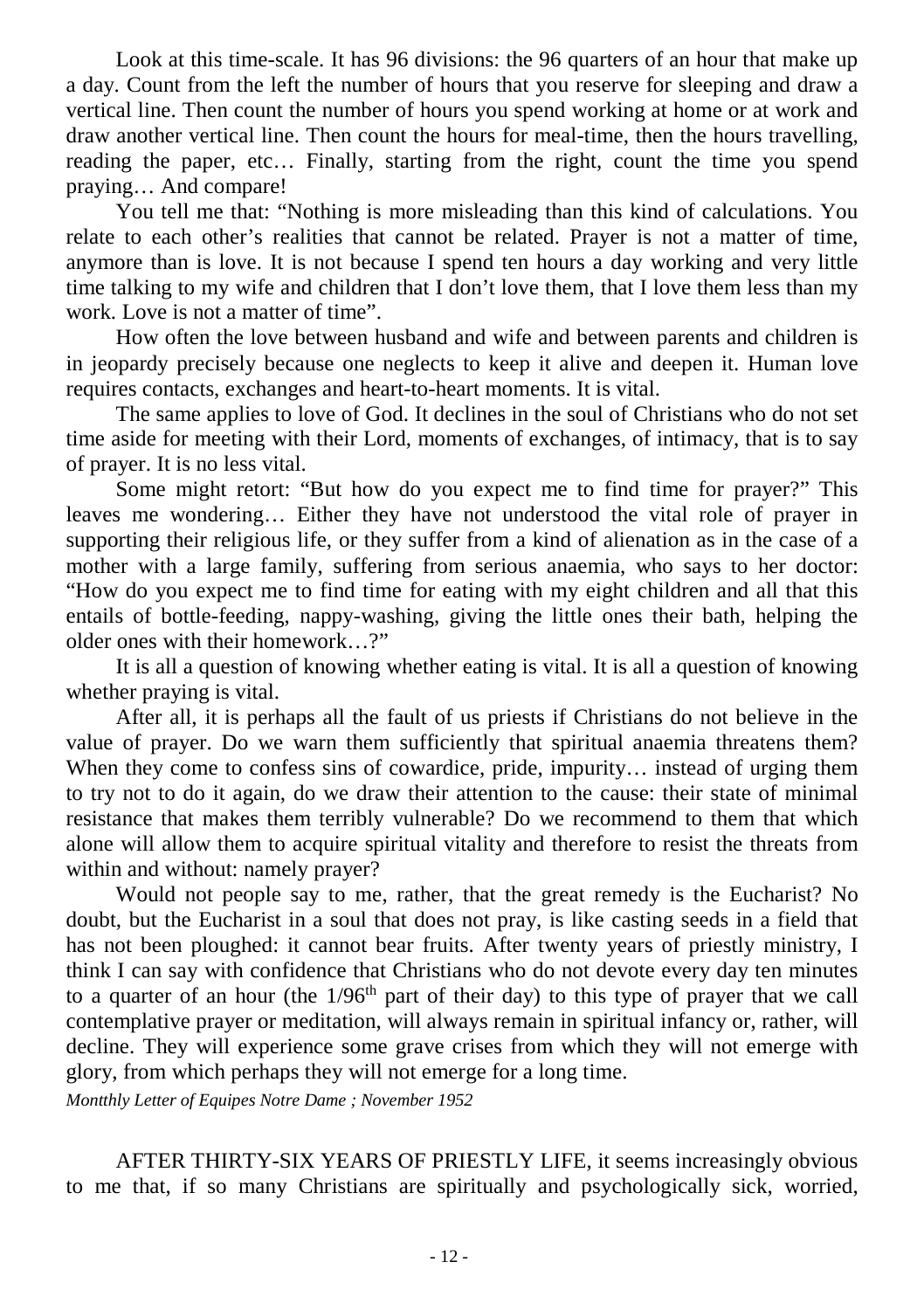Look at this time-scale. It has 96 divisions: the 96 quarters of an hour that make up a day. Count from the left the number of hours that you reserve for sleeping and draw a vertical line. Then count the number of hours you spend working at home or at work and draw another vertical line. Then count the hours for meal-time, then the hours travelling, reading the paper, etc… Finally, starting from the right, count the time you spend praying… And compare!

You tell me that: "Nothing is more misleading than this kind of calculations. You relate to each other's realities that cannot be related. Prayer is not a matter of time, anymore than is love. It is not because I spend ten hours a day working and very little time talking to my wife and children that I don't love them, that I love them less than my work. Love is not a matter of time".

How often the love between husband and wife and between parents and children is in jeopardy precisely because one neglects to keep it alive and deepen it. Human love requires contacts, exchanges and heart-to-heart moments. It is vital.

The same applies to love of God. It declines in the soul of Christians who do not set time aside for meeting with their Lord, moments of exchanges, of intimacy, that is to say of prayer. It is no less vital.

Some might retort: "But how do you expect me to find time for prayer?" This leaves me wondering… Either they have not understood the vital role of prayer in supporting their religious life, or they suffer from a kind of alienation as in the case of a mother with a large family, suffering from serious anaemia, who says to her doctor: "How do you expect me to find time for eating with my eight children and all that this entails of bottle-feeding, nappy-washing, giving the little ones their bath, helping the older ones with their homework…?"

It is all a question of knowing whether eating is vital. It is all a question of knowing whether praying is vital.

After all, it is perhaps all the fault of us priests if Christians do not believe in the value of prayer. Do we warn them sufficiently that spiritual anaemia threatens them? When they come to confess sins of cowardice, pride, impurity... instead of urging them to try not to do it again, do we draw their attention to the cause: their state of minimal resistance that makes them terribly vulnerable? Do we recommend to them that which alone will allow them to acquire spiritual vitality and therefore to resist the threats from within and without: namely prayer?

Would not people say to me, rather, that the great remedy is the Eucharist? No doubt, but the Eucharist in a soul that does not pray, is like casting seeds in a field that has not been ploughed: it cannot bear fruits. After twenty years of priestly ministry, I think I can say with confidence that Christians who do not devote every day ten minutes to a quarter of an hour (the  $1/96<sup>th</sup>$  part of their day) to this type of prayer that we call contemplative prayer or meditation, will always remain in spiritual infancy or, rather, will decline. They will experience some grave crises from which they will not emerge with glory, from which perhaps they will not emerge for a long time.

*Montthly Letter of Equipes Notre Dame ; November 1952*

AFTER THIRTY-SIX YEARS OF PRIESTLY LIFE, it seems increasingly obvious to me that, if so many Christians are spiritually and psychologically sick, worried,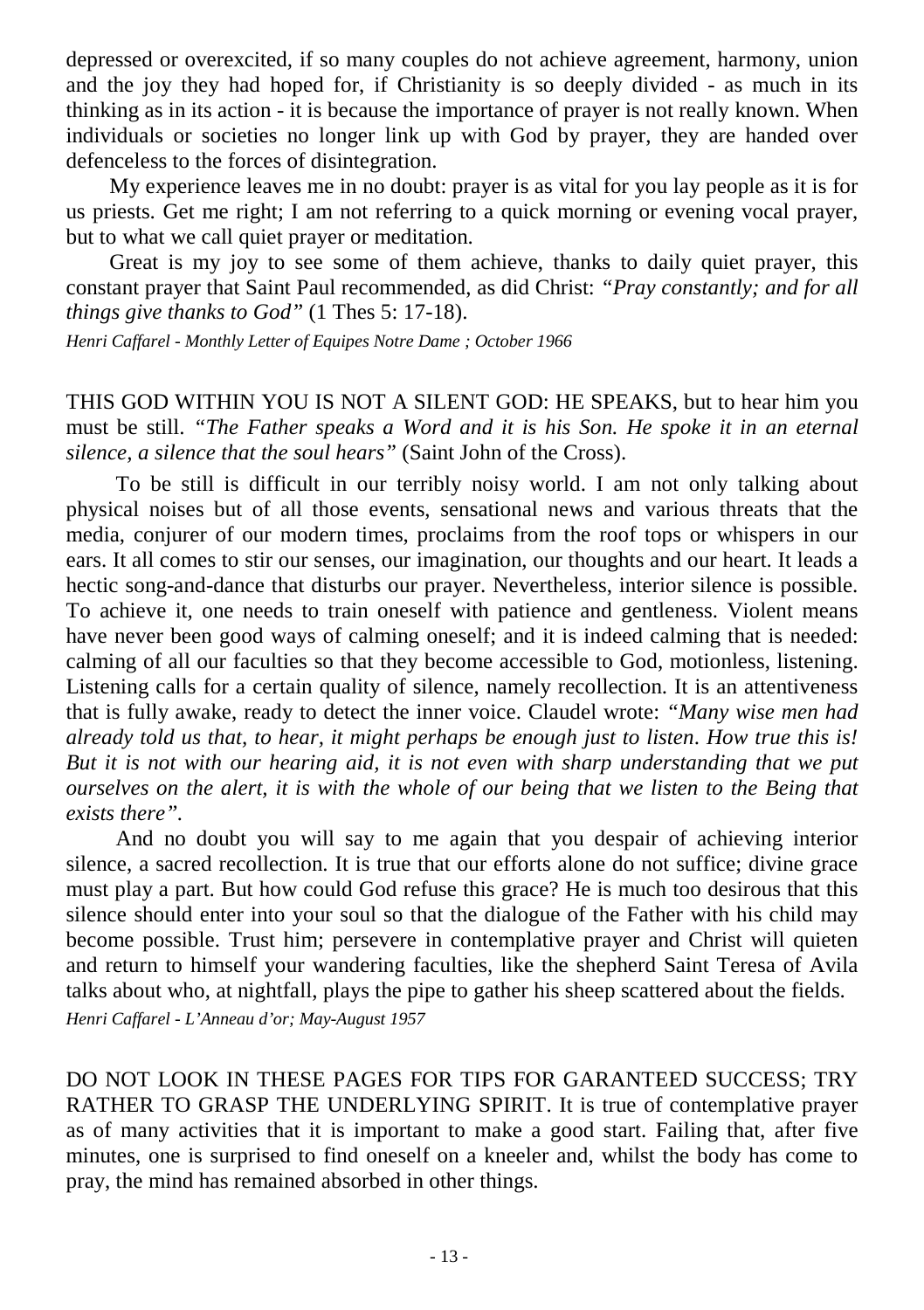depressed or overexcited, if so many couples do not achieve agreement, harmony, union and the joy they had hoped for, if Christianity is so deeply divided - as much in its thinking as in its action - it is because the importance of prayer is not really known. When individuals or societies no longer link up with God by prayer, they are handed over defenceless to the forces of disintegration.

My experience leaves me in no doubt: prayer is as vital for you lay people as it is for us priests. Get me right; I am not referring to a quick morning or evening vocal prayer, but to what we call quiet prayer or meditation.

Great is my joy to see some of them achieve, thanks to daily quiet prayer, this constant prayer that Saint Paul recommended, as did Christ: *"Pray constantly; and for all things give thanks to God"* (1 Thes 5: 17-18).

*Henri Caffarel - Monthly Letter of Equipes Notre Dame ; October 1966*

THIS GOD WITHIN YOU IS NOT A SILENT GOD: HE SPEAKS, but to hear him you must be still. *"The Father speaks a Word and it is his Son. He spoke it in an eternal silence, a silence that the soul hears"* (Saint John of the Cross).

To be still is difficult in our terribly noisy world. I am not only talking about physical noises but of all those events, sensational news and various threats that the media, conjurer of our modern times, proclaims from the roof tops or whispers in our ears. It all comes to stir our senses, our imagination, our thoughts and our heart. It leads a hectic song-and-dance that disturbs our prayer. Nevertheless, interior silence is possible. To achieve it, one needs to train oneself with patience and gentleness. Violent means have never been good ways of calming oneself; and it is indeed calming that is needed: calming of all our faculties so that they become accessible to God, motionless, listening. Listening calls for a certain quality of silence, namely recollection. It is an attentiveness that is fully awake, ready to detect the inner voice. Claudel wrote: *"Many wise men had already told us that, to hear, it might perhaps be enough just to listen*. *How true this is! But it is not with our hearing aid, it is not even with sharp understanding that we put ourselves on the alert, it is with the whole of our being that we listen to the Being that exists there".* 

And no doubt you will say to me again that you despair of achieving interior silence, a sacred recollection. It is true that our efforts alone do not suffice; divine grace must play a part. But how could God refuse this grace? He is much too desirous that this silence should enter into your soul so that the dialogue of the Father with his child may become possible. Trust him; persevere in contemplative prayer and Christ will quieten and return to himself your wandering faculties, like the shepherd Saint Teresa of Avila talks about who, at nightfall, plays the pipe to gather his sheep scattered about the fields. *Henri Caffarel - L'Anneau d'or; May-August 1957*

DO NOT LOOK IN THESE PAGES FOR TIPS FOR GARANTEED SUCCESS; TRY RATHER TO GRASP THE UNDERLYING SPIRIT. It is true of contemplative prayer as of many activities that it is important to make a good start. Failing that, after five minutes, one is surprised to find oneself on a kneeler and, whilst the body has come to pray, the mind has remained absorbed in other things.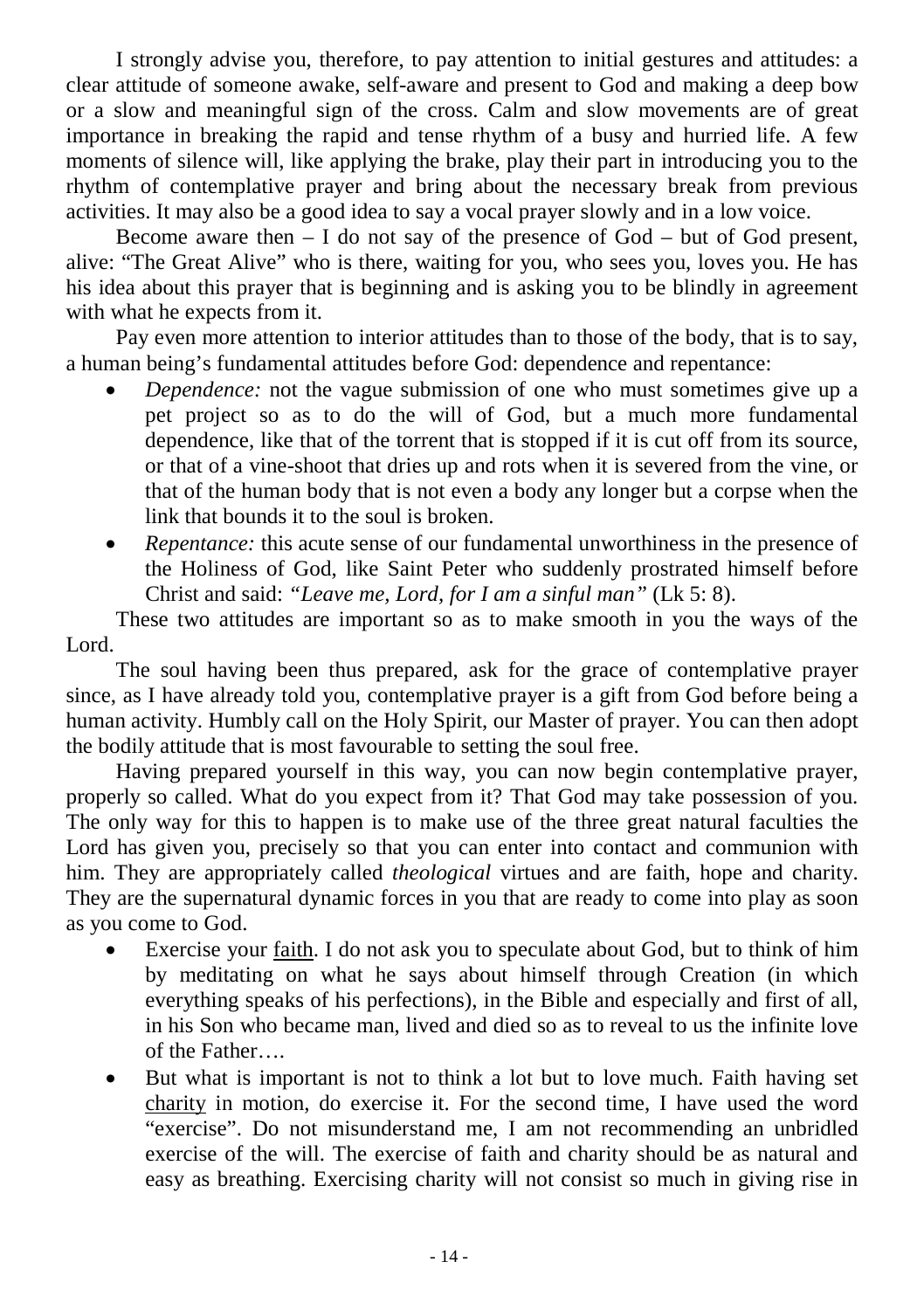I strongly advise you, therefore, to pay attention to initial gestures and attitudes: a clear attitude of someone awake, self-aware and present to God and making a deep bow or a slow and meaningful sign of the cross. Calm and slow movements are of great importance in breaking the rapid and tense rhythm of a busy and hurried life. A few moments of silence will, like applying the brake, play their part in introducing you to the rhythm of contemplative prayer and bring about the necessary break from previous activities. It may also be a good idea to say a vocal prayer slowly and in a low voice.

Become aware then  $- I$  do not say of the presence of  $God - but$  of  $God$  present, alive: "The Great Alive" who is there, waiting for you, who sees you, loves you. He has his idea about this prayer that is beginning and is asking you to be blindly in agreement with what he expects from it.

Pay even more attention to interior attitudes than to those of the body, that is to say, a human being's fundamental attitudes before God: dependence and repentance:

- *Dependence:* not the vague submission of one who must sometimes give up a pet project so as to do the will of God, but a much more fundamental dependence, like that of the torrent that is stopped if it is cut off from its source, or that of a vine-shoot that dries up and rots when it is severed from the vine, or that of the human body that is not even a body any longer but a corpse when the link that bounds it to the soul is broken.
- *Repentance:* this acute sense of our fundamental unworthiness in the presence of the Holiness of God, like Saint Peter who suddenly prostrated himself before Christ and said: *"Leave me, Lord, for I am a sinful man"* (Lk 5: 8).

These two attitudes are important so as to make smooth in you the ways of the Lord.

The soul having been thus prepared, ask for the grace of contemplative prayer since, as I have already told you, contemplative prayer is a gift from God before being a human activity. Humbly call on the Holy Spirit, our Master of prayer. You can then adopt the bodily attitude that is most favourable to setting the soul free.

Having prepared yourself in this way, you can now begin contemplative prayer, properly so called. What do you expect from it? That God may take possession of you. The only way for this to happen is to make use of the three great natural faculties the Lord has given you, precisely so that you can enter into contact and communion with him. They are appropriately called *theological* virtues and are faith, hope and charity. They are the supernatural dynamic forces in you that are ready to come into play as soon as you come to God.

- Exercise your faith. I do not ask you to speculate about God, but to think of him by meditating on what he says about himself through Creation (in which everything speaks of his perfections), in the Bible and especially and first of all, in his Son who became man, lived and died so as to reveal to us the infinite love of the Father….
- But what is important is not to think a lot but to love much. Faith having set charity in motion, do exercise it. For the second time, I have used the word "exercise". Do not misunderstand me, I am not recommending an unbridled exercise of the will. The exercise of faith and charity should be as natural and easy as breathing. Exercising charity will not consist so much in giving rise in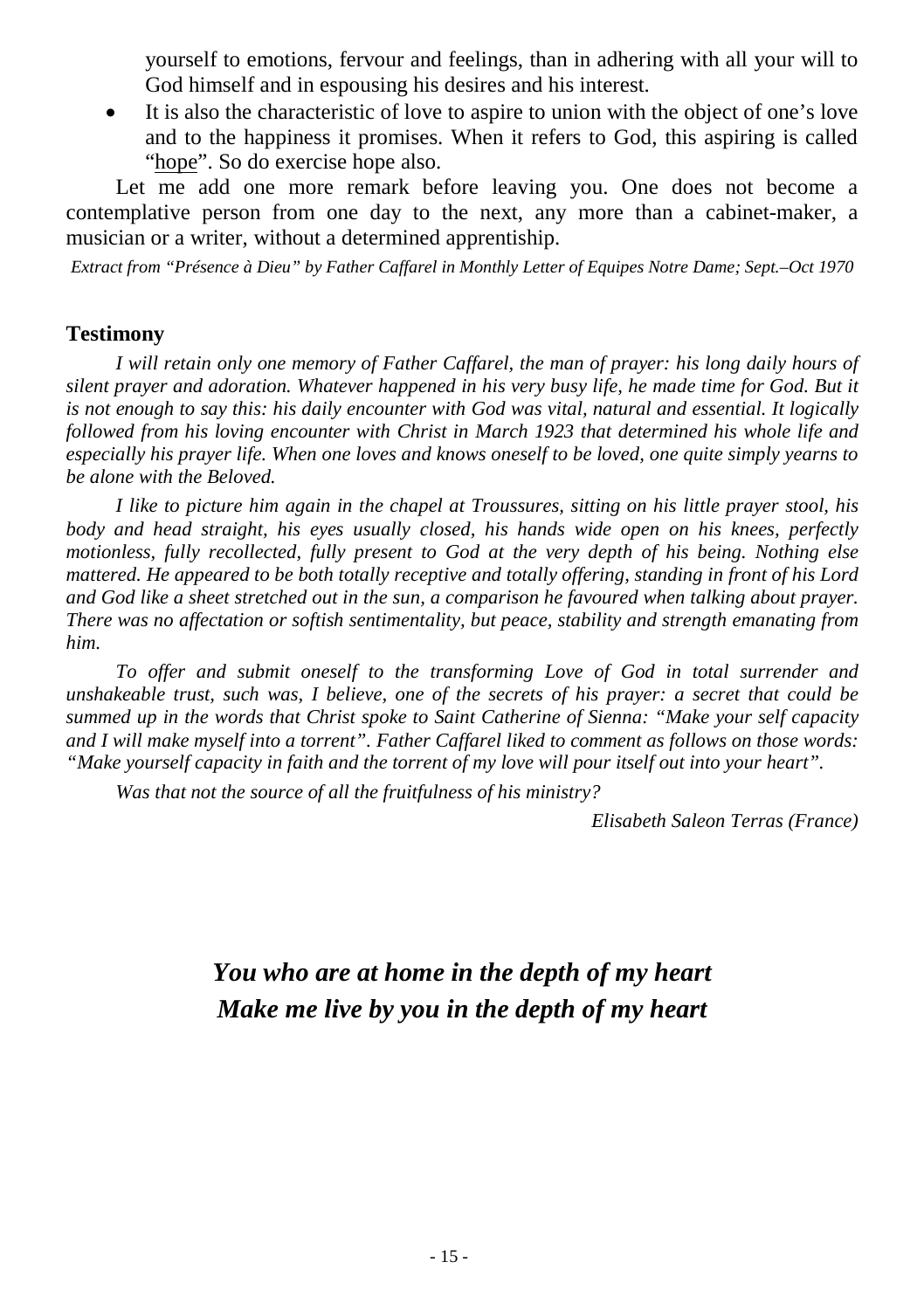yourself to emotions, fervour and feelings, than in adhering with all your will to God himself and in espousing his desires and his interest.

It is also the characteristic of love to aspire to union with the object of one's love and to the happiness it promises. When it refers to God, this aspiring is called "hope". So do exercise hope also.

Let me add one more remark before leaving you. One does not become a contemplative person from one day to the next, any more than a cabinet-maker, a musician or a writer, without a determined apprentiship.

*Extract from "Présence à Dieu" by Father Caffarel in Monthly Letter of Equipes Notre Dame; Sept.–Oct 1970*

#### **Testimony**

*I* will retain only one memory of Father Caffarel, the man of prayer: his long daily hours of *silent prayer and adoration. Whatever happened in his very busy life, he made time for God. But it*  is not enough to say this: his daily encounter with God was vital, natural and essential. It logically *followed from his loving encounter with Christ in March 1923 that determined his whole life and especially his prayer life. When one loves and knows oneself to be loved, one quite simply yearns to be alone with the Beloved.* 

*I like to picture him again in the chapel at Troussures, sitting on his little prayer stool, his body and head straight, his eyes usually closed, his hands wide open on his knees, perfectly motionless, fully recollected, fully present to God at the very depth of his being. Nothing else mattered. He appeared to be both totally receptive and totally offering, standing in front of his Lord and God like a sheet stretched out in the sun, a comparison he favoured when talking about prayer. There was no affectation or softish sentimentality, but peace, stability and strength emanating from him.* 

*To offer and submit oneself to the transforming Love of God in total surrender and unshakeable trust, such was, I believe, one of the secrets of his prayer: a secret that could be summed up in the words that Christ spoke to Saint Catherine of Sienna: "Make your self capacity and I will make myself into a torrent". Father Caffarel liked to comment as follows on those words: "Make yourself capacity in faith and the torrent of my love will pour itself out into your heart".* 

*Was that not the source of all the fruitfulness of his ministry?*

*Elisabeth Saleon Terras (France)*

## *You who are at home in the depth of my heart Make me live by you in the depth of my heart*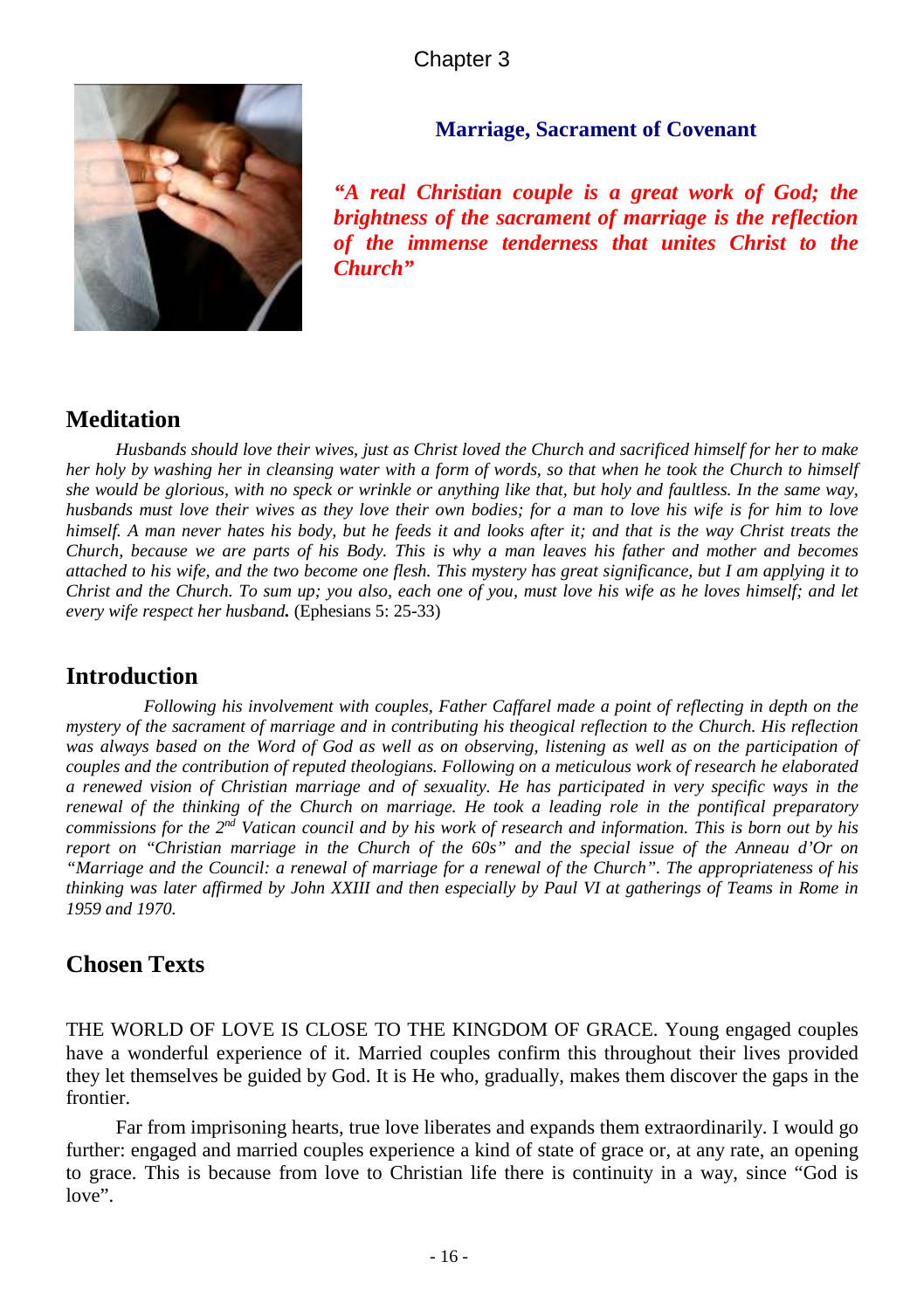

#### **Marriage, Sacrament of Covenant**

*"A real Christian couple is a great work of God; the brightness of the sacrament of marriage is the reflection of the immense tenderness that unites Christ to the Church"*

## **Meditation**

*Husbands should love their wives, just as Christ loved the Church and sacrificed himself for her to make her holy by washing her in cleansing water with a form of words, so that when he took the Church to himself she would be glorious, with no speck or wrinkle or anything like that, but holy and faultless. In the same way, husbands must love their wives as they love their own bodies; for a man to love his wife is for him to love himself. A man never hates his body, but he feeds it and looks after it; and that is the way Christ treats the Church, because we are parts of his Body. This is why a man leaves his father and mother and becomes attached to his wife, and the two become one flesh. This mystery has great significance, but I am applying it to Christ and the Church. To sum up; you also, each one of you, must love his wife as he loves himself; and let every wife respect her husband.* (Ephesians 5: 25-33)

### **Introduction**

*Following his involvement with couples, Father Caffarel made a point of reflecting in depth on the mystery of the sacrament of marriage and in contributing his theogical reflection to the Church. His reflection*  was always based on the Word of God as well as on observing, listening as well as on the participation of *couples and the contribution of reputed theologians. Following on a meticulous work of research he elaborated a renewed vision of Christian marriage and of sexuality. He has participated in very specific ways in the renewal of the thinking of the Church on marriage. He took a leading role in the pontifical preparatory commissions for the 2nd Vatican council and by his work of research and information. This is born out by his report on "Christian marriage in the Church of the 60s" and the special issue of the Anneau d'Or on "Marriage and the Council: a renewal of marriage for a renewal of the Church". The appropriateness of his thinking was later affirmed by John XXIII and then especially by Paul VI at gatherings of Teams in Rome in 1959 and 1970.* 

## **Chosen Texts**

THE WORLD OF LOVE IS CLOSE TO THE KINGDOM OF GRACE. Young engaged couples have a wonderful experience of it. Married couples confirm this throughout their lives provided they let themselves be guided by God. It is He who, gradually, makes them discover the gaps in the frontier.

Far from imprisoning hearts, true love liberates and expands them extraordinarily. I would go further: engaged and married couples experience a kind of state of grace or, at any rate, an opening to grace. This is because from love to Christian life there is continuity in a way, since "God is love".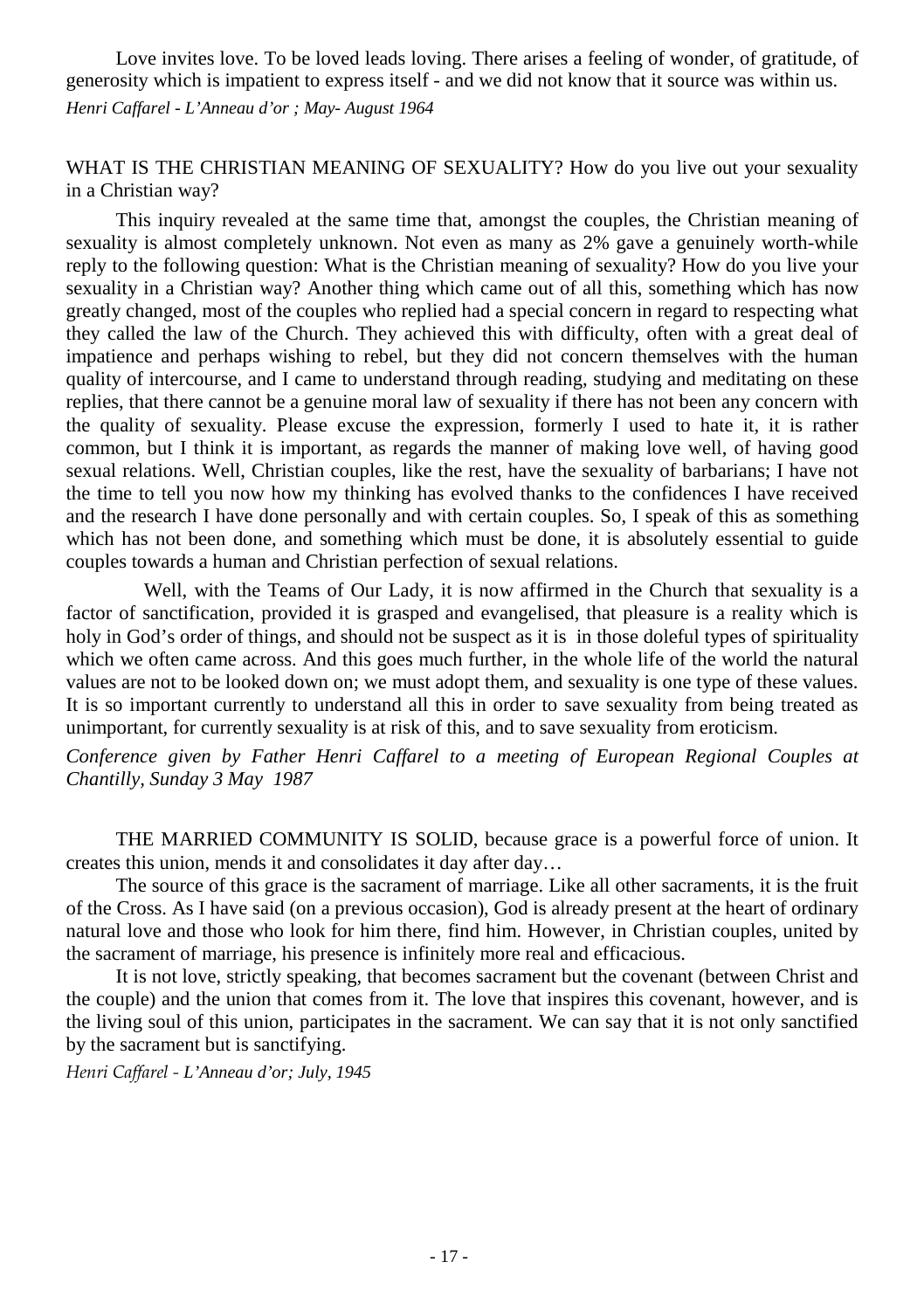Love invites love. To be loved leads loving. There arises a feeling of wonder, of gratitude, of generosity which is impatient to express itself - and we did not know that it source was within us. *Henri Caffarel - L'Anneau d'or ; May- August 1964*

#### WHAT IS THE CHRISTIAN MEANING OF SEXUALITY? How do you live out your sexuality in a Christian way?

This inquiry revealed at the same time that, amongst the couples, the Christian meaning of sexuality is almost completely unknown. Not even as many as 2% gave a genuinely worth-while reply to the following question: What is the Christian meaning of sexuality? How do you live your sexuality in a Christian way? Another thing which came out of all this, something which has now greatly changed, most of the couples who replied had a special concern in regard to respecting what they called the law of the Church. They achieved this with difficulty, often with a great deal of impatience and perhaps wishing to rebel, but they did not concern themselves with the human quality of intercourse, and I came to understand through reading, studying and meditating on these replies, that there cannot be a genuine moral law of sexuality if there has not been any concern with the quality of sexuality. Please excuse the expression, formerly I used to hate it, it is rather common, but I think it is important, as regards the manner of making love well, of having good sexual relations. Well, Christian couples, like the rest, have the sexuality of barbarians; I have not the time to tell you now how my thinking has evolved thanks to the confidences I have received and the research I have done personally and with certain couples. So, I speak of this as something which has not been done, and something which must be done, it is absolutely essential to guide couples towards a human and Christian perfection of sexual relations.

Well, with the Teams of Our Lady, it is now affirmed in the Church that sexuality is a factor of sanctification, provided it is grasped and evangelised, that pleasure is a reality which is holy in God's order of things, and should not be suspect as it is in those doleful types of spirituality which we often came across. And this goes much further, in the whole life of the world the natural values are not to be looked down on; we must adopt them, and sexuality is one type of these values. It is so important currently to understand all this in order to save sexuality from being treated as unimportant, for currently sexuality is at risk of this, and to save sexuality from eroticism.

*Conference given by Father Henri Caffarel to a meeting of European Regional Couples at Chantilly, Sunday 3 May 1987*

THE MARRIED COMMUNITY IS SOLID, because grace is a powerful force of union. It creates this union, mends it and consolidates it day after day…

The source of this grace is the sacrament of marriage. Like all other sacraments, it is the fruit of the Cross. As I have said (on a previous occasion), God is already present at the heart of ordinary natural love and those who look for him there, find him. However, in Christian couples, united by the sacrament of marriage, his presence is infinitely more real and efficacious.

It is not love, strictly speaking, that becomes sacrament but the covenant (between Christ and the couple) and the union that comes from it. The love that inspires this covenant, however, and is the living soul of this union, participates in the sacrament. We can say that it is not only sanctified by the sacrament but is sanctifying.

*Henri Caffarel - L'Anneau d'or; July, 1945*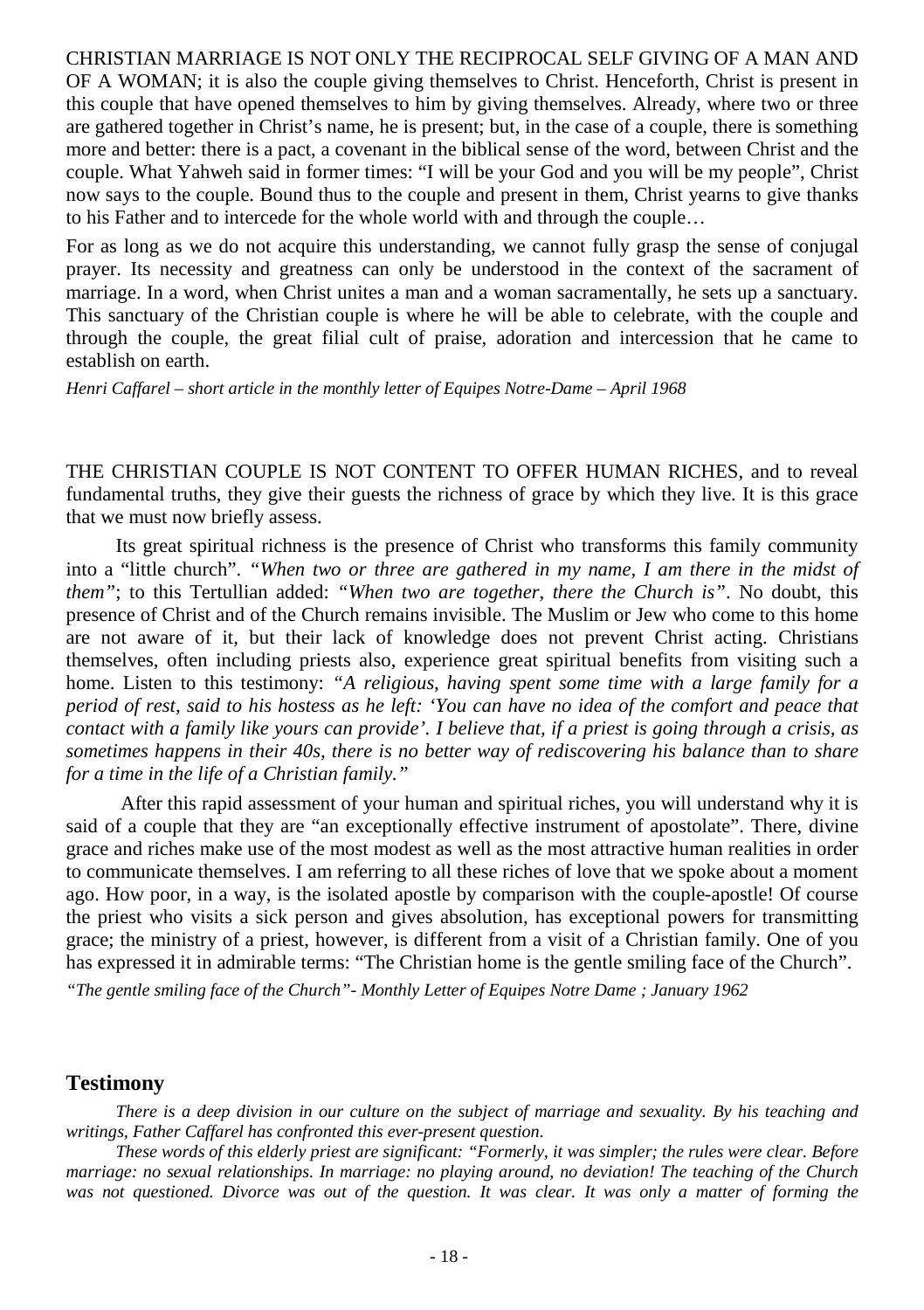CHRISTIAN MARRIAGE IS NOT ONLY THE RECIPROCAL SELF GIVING OF A MAN AND OF A WOMAN; it is also the couple giving themselves to Christ. Henceforth, Christ is present in this couple that have opened themselves to him by giving themselves. Already, where two or three are gathered together in Christ's name, he is present; but, in the case of a couple, there is something more and better: there is a pact, a covenant in the biblical sense of the word, between Christ and the couple. What Yahweh said in former times: "I will be your God and you will be my people", Christ now says to the couple. Bound thus to the couple and present in them, Christ yearns to give thanks to his Father and to intercede for the whole world with and through the couple…

For as long as we do not acquire this understanding, we cannot fully grasp the sense of conjugal prayer. Its necessity and greatness can only be understood in the context of the sacrament of marriage. In a word, when Christ unites a man and a woman sacramentally, he sets up a sanctuary. This sanctuary of the Christian couple is where he will be able to celebrate, with the couple and through the couple, the great filial cult of praise, adoration and intercession that he came to establish on earth.

*Henri Caffarel – short article in the monthly letter of Equipes Notre-Dame – April 1968*

THE CHRISTIAN COUPLE IS NOT CONTENT TO OFFER HUMAN RICHES, and to reveal fundamental truths, they give their guests the richness of grace by which they live. It is this grace that we must now briefly assess.

Its great spiritual richness is the presence of Christ who transforms this family community into a "little church". *"When two or three are gathered in my name, I am there in the midst of them"*; to this Tertullian added: *"When two are together, there the Church is"*. No doubt, this presence of Christ and of the Church remains invisible. The Muslim or Jew who come to this home are not aware of it, but their lack of knowledge does not prevent Christ acting. Christians themselves, often including priests also, experience great spiritual benefits from visiting such a home. Listen to this testimony: *"A religious, having spent some time with a large family for a period of rest, said to his hostess as he left: 'You can have no idea of the comfort and peace that contact with a family like yours can provide'. I believe that, if a priest is going through a crisis, as sometimes happens in their 40s, there is no better way of rediscovering his balance than to share for a time in the life of a Christian family."* 

After this rapid assessment of your human and spiritual riches, you will understand why it is said of a couple that they are "an exceptionally effective instrument of apostolate". There, divine grace and riches make use of the most modest as well as the most attractive human realities in order to communicate themselves. I am referring to all these riches of love that we spoke about a moment ago. How poor, in a way, is the isolated apostle by comparison with the couple-apostle! Of course the priest who visits a sick person and gives absolution, has exceptional powers for transmitting grace; the ministry of a priest, however, is different from a visit of a Christian family. One of you has expressed it in admirable terms: "The Christian home is the gentle smiling face of the Church".

*"The gentle smiling face of the Church"- Monthly Letter of Equipes Notre Dame ; January 1962*

#### **Testimony**

*There is a deep division in our culture on the subject of marriage and sexuality. By his teaching and writings, Father Caffarel has confronted this ever-present question.*

*These words of this elderly priest are significant: "Formerly, it was simpler; the rules were clear. Before marriage: no sexual relationships. In marriage: no playing around, no deviation! The teaching of the Church*  was not questioned. Divorce was out of the question. It was clear. It was only a matter of forming the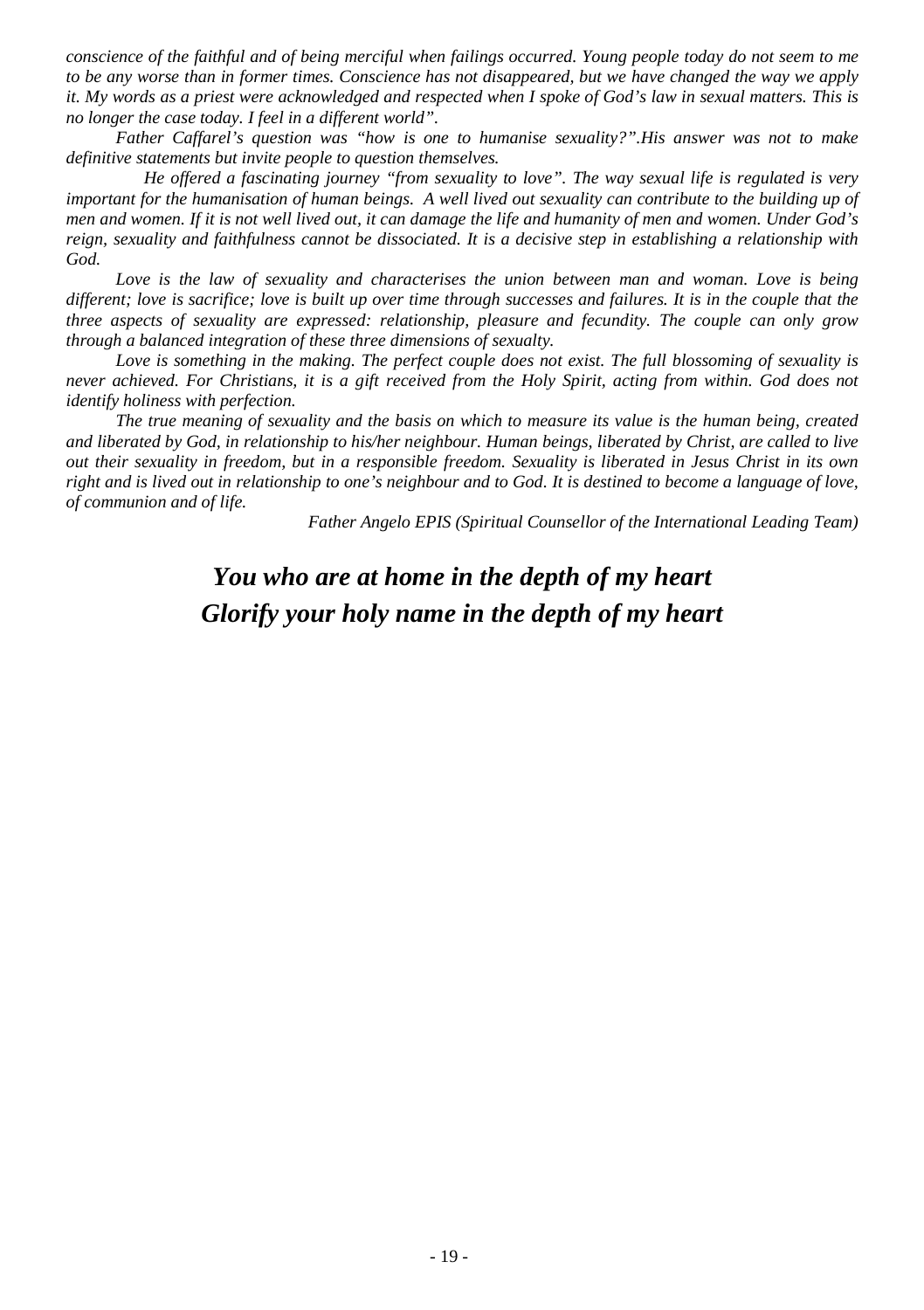*conscience of the faithful and of being merciful when failings occurred. Young people today do not seem to me to be any worse than in former times. Conscience has not disappeared, but we have changed the way we apply it. My words as a priest were acknowledged and respected when I spoke of God's law in sexual matters. This is no longer the case today. I feel in a different world".*

*Father Caffarel's question was "how is one to humanise sexuality?".His answer was not to make definitive statements but invite people to question themselves.* 

*He offered a fascinating journey "from sexuality to love". The way sexual life is regulated is very important for the humanisation of human beings. A well lived out sexuality can contribute to the building up of men and women. If it is not well lived out, it can damage the life and humanity of men and women. Under God's reign, sexuality and faithfulness cannot be dissociated. It is a decisive step in establishing a relationship with God.*

Love is the law of sexuality and characterises the union between man and woman. Love is being *different; love is sacrifice; love is built up over time through successes and failures. It is in the couple that the three aspects of sexuality are expressed: relationship, pleasure and fecundity. The couple can only grow through a balanced integration of these three dimensions of sexualty.* 

*Love is something in the making. The perfect couple does not exist. The full blossoming of sexuality is never achieved. For Christians, it is a gift received from the Holy Spirit, acting from within. God does not identify holiness with perfection.*

*The true meaning of sexuality and the basis on which to measure its value is the human being, created and liberated by God, in relationship to his/her neighbour. Human beings, liberated by Christ, are called to live out their sexuality in freedom, but in a responsible freedom. Sexuality is liberated in Jesus Christ in its own right and is lived out in relationship to one's neighbour and to God. It is destined to become a language of love, of communion and of life.*

*Father Angelo EPIS (Spiritual Counsellor of the International Leading Team)*

## *You who are at home in the depth of my heart Glorify your holy name in the depth of my heart*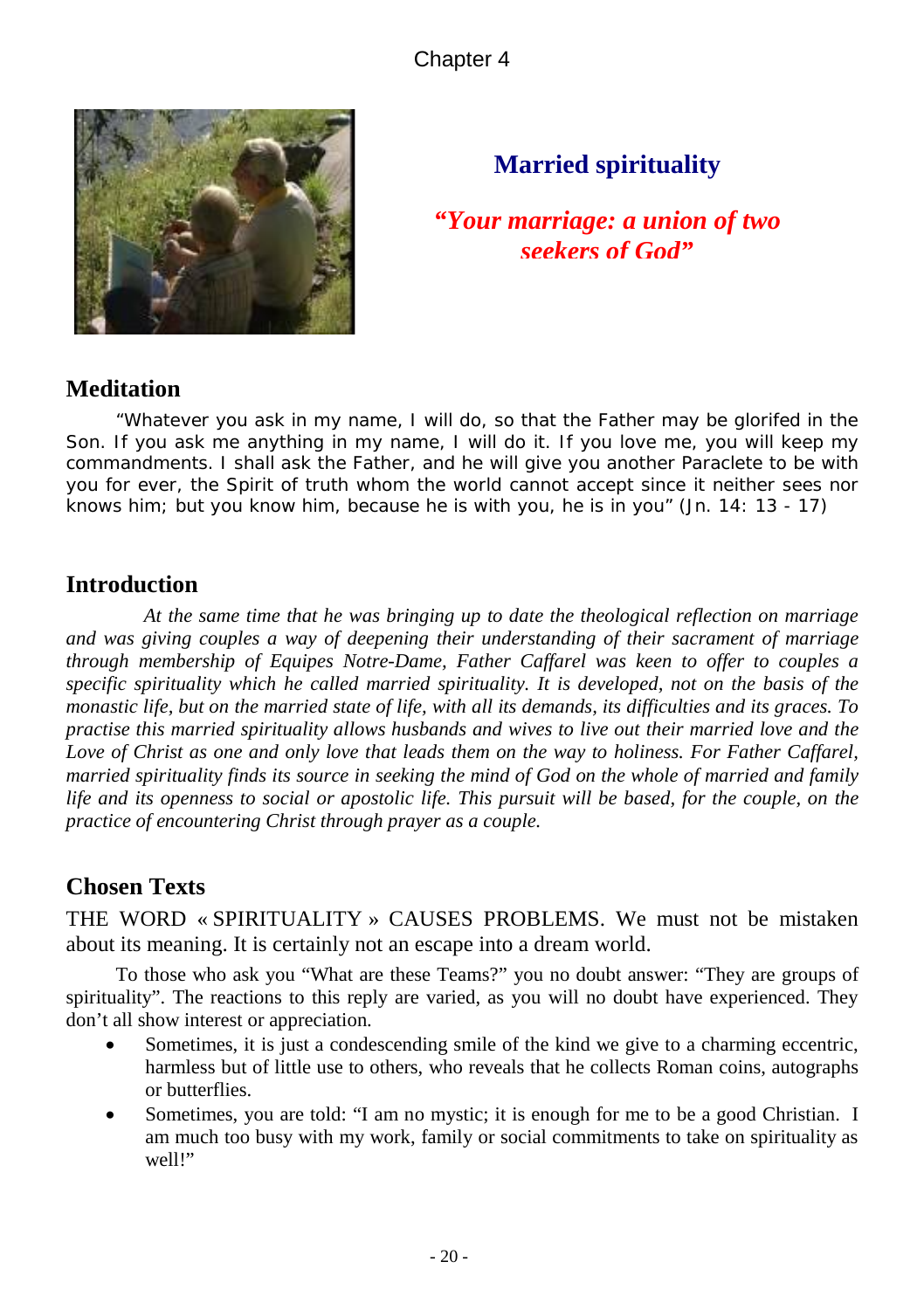

## **Married spirituality**

*"Your marriage: a union of two seekers of God"*

## **Meditation**

*"Whatever you ask in my name, I will do, so that the Father may be glorifed in the Son. If you ask me anything in my name, I will do it. If you love me, you will keep my commandments. I shall ask the Father, and he will give you another Paraclete to be with you for ever, the Spirit of truth whom the world cannot accept since it neither sees nor knows him; but you know him, because he is with you, he is in you"* (Jn. 14: 13 - 17)

## **Introduction**

*At the same time that he was bringing up to date the theological reflection on marriage and was giving couples a way of deepening their understanding of their sacrament of marriage through membership of Equipes Notre-Dame, Father Caffarel was keen to offer to couples a specific spirituality which he called married spirituality. It is developed, not on the basis of the monastic life, but on the married state of life, with all its demands, its difficulties and its graces. To practise this married spirituality allows husbands and wives to live out their married love and the* Love of Christ as one and only love that leads them on the way to holiness. For Father Caffarel, *married spirituality finds its source in seeking the mind of God on the whole of married and family life and its openness to social or apostolic life. This pursuit will be based, for the couple, on the practice of encountering Christ through prayer as a couple.* 

## **Chosen Texts**

THE WORD « SPIRITUALITY » CAUSES PROBLEMS. We must not be mistaken about its meaning. It is certainly not an escape into a dream world.

To those who ask you "What are these Teams?" you no doubt answer: "They are groups of spirituality". The reactions to this reply are varied, as you will no doubt have experienced. They don't all show interest or appreciation.

- Sometimes, it is just a condescending smile of the kind we give to a charming eccentric, harmless but of little use to others, who reveals that he collects Roman coins, autographs or butterflies.
- Sometimes, you are told: "I am no mystic; it is enough for me to be a good Christian. I am much too busy with my work, family or social commitments to take on spirituality as well!"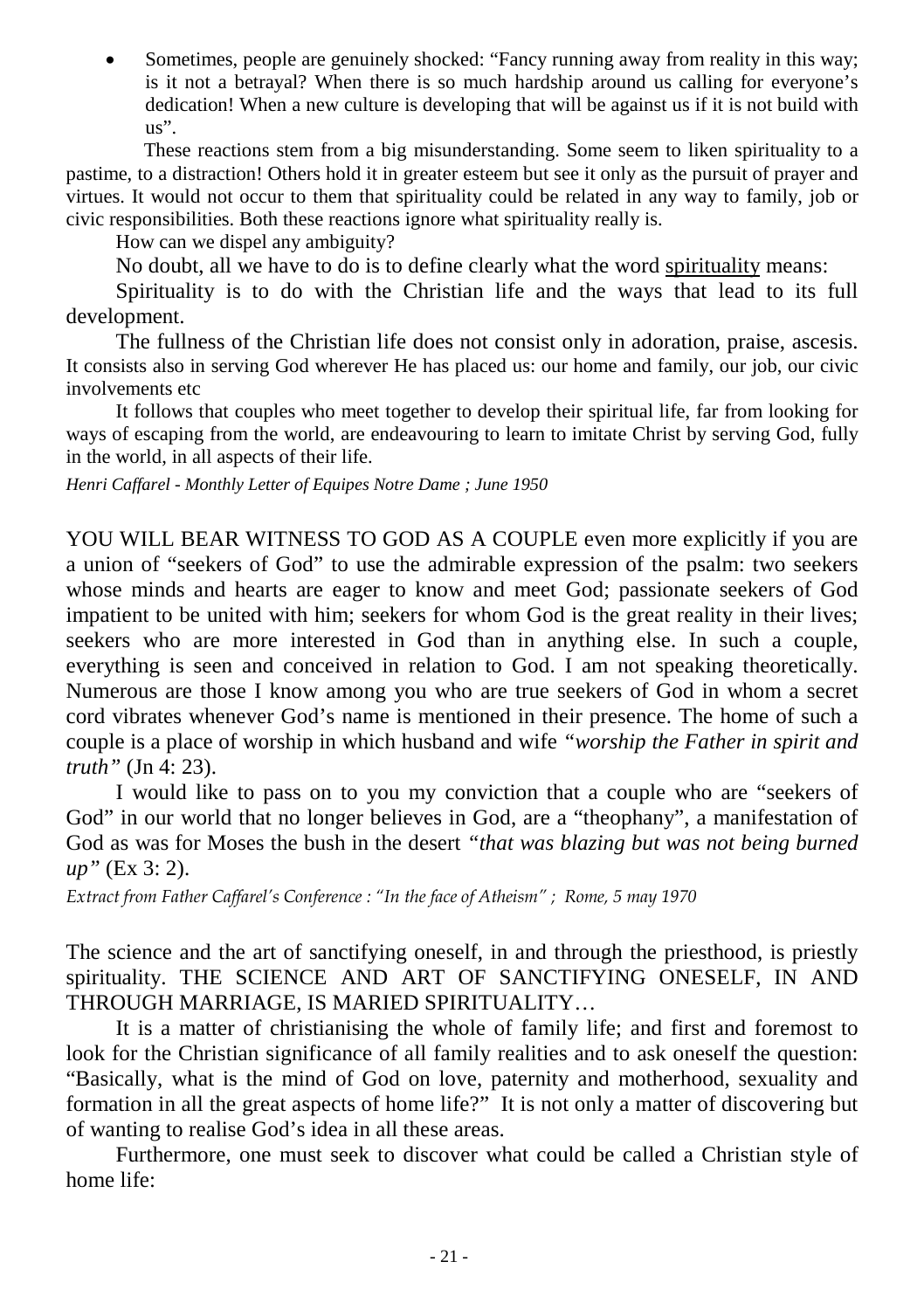Sometimes, people are genuinely shocked: "Fancy running away from reality in this way; is it not a betrayal? When there is so much hardship around us calling for everyone's dedication! When a new culture is developing that will be against us if it is not build with us".

These reactions stem from a big misunderstanding. Some seem to liken spirituality to a pastime, to a distraction! Others hold it in greater esteem but see it only as the pursuit of prayer and virtues. It would not occur to them that spirituality could be related in any way to family, job or civic responsibilities. Both these reactions ignore what spirituality really is.

How can we dispel any ambiguity?

No doubt, all we have to do is to define clearly what the word spirituality means:

Spirituality is to do with the Christian life and the ways that lead to its full development.

The fullness of the Christian life does not consist only in adoration, praise, ascesis. It consists also in serving God wherever He has placed us: our home and family, our job, our civic involvements etc

It follows that couples who meet together to develop their spiritual life, far from looking for ways of escaping from the world, are endeavouring to learn to imitate Christ by serving God, fully in the world, in all aspects of their life.

*Henri Caffarel - Monthly Letter of Equipes Notre Dame ; June 1950*

YOU WILL BEAR WITNESS TO GOD AS A COUPLE even more explicitly if you are a union of "seekers of God" to use the admirable expression of the psalm: two seekers whose minds and hearts are eager to know and meet God; passionate seekers of God impatient to be united with him; seekers for whom God is the great reality in their lives; seekers who are more interested in God than in anything else. In such a couple, everything is seen and conceived in relation to God. I am not speaking theoretically. Numerous are those I know among you who are true seekers of God in whom a secret cord vibrates whenever God's name is mentioned in their presence. The home of such a couple is a place of worship in which husband and wife *"worship the Father in spirit and truth"* (Jn 4: 23).

I would like to pass on to you my conviction that a couple who are "seekers of God" in our world that no longer believes in God, are a "theophany", a manifestation of God as was for Moses the bush in the desert *"that was blazing but was not being burned up"* (Ex 3: 2).

*Extract from Father Caffarel's Conference : "In the face of Atheism" ; Rome, 5 may 1970*

The science and the art of sanctifying oneself, in and through the priesthood, is priestly spirituality. THE SCIENCE AND ART OF SANCTIFYING ONESELF, IN AND THROUGH MARRIAGE, IS MARIED SPIRITUALITY…

It is a matter of christianising the whole of family life; and first and foremost to look for the Christian significance of all family realities and to ask oneself the question: "Basically, what is the mind of God on love, paternity and motherhood, sexuality and formation in all the great aspects of home life?" It is not only a matter of discovering but of wanting to realise God's idea in all these areas.

Furthermore, one must seek to discover what could be called a Christian style of home life: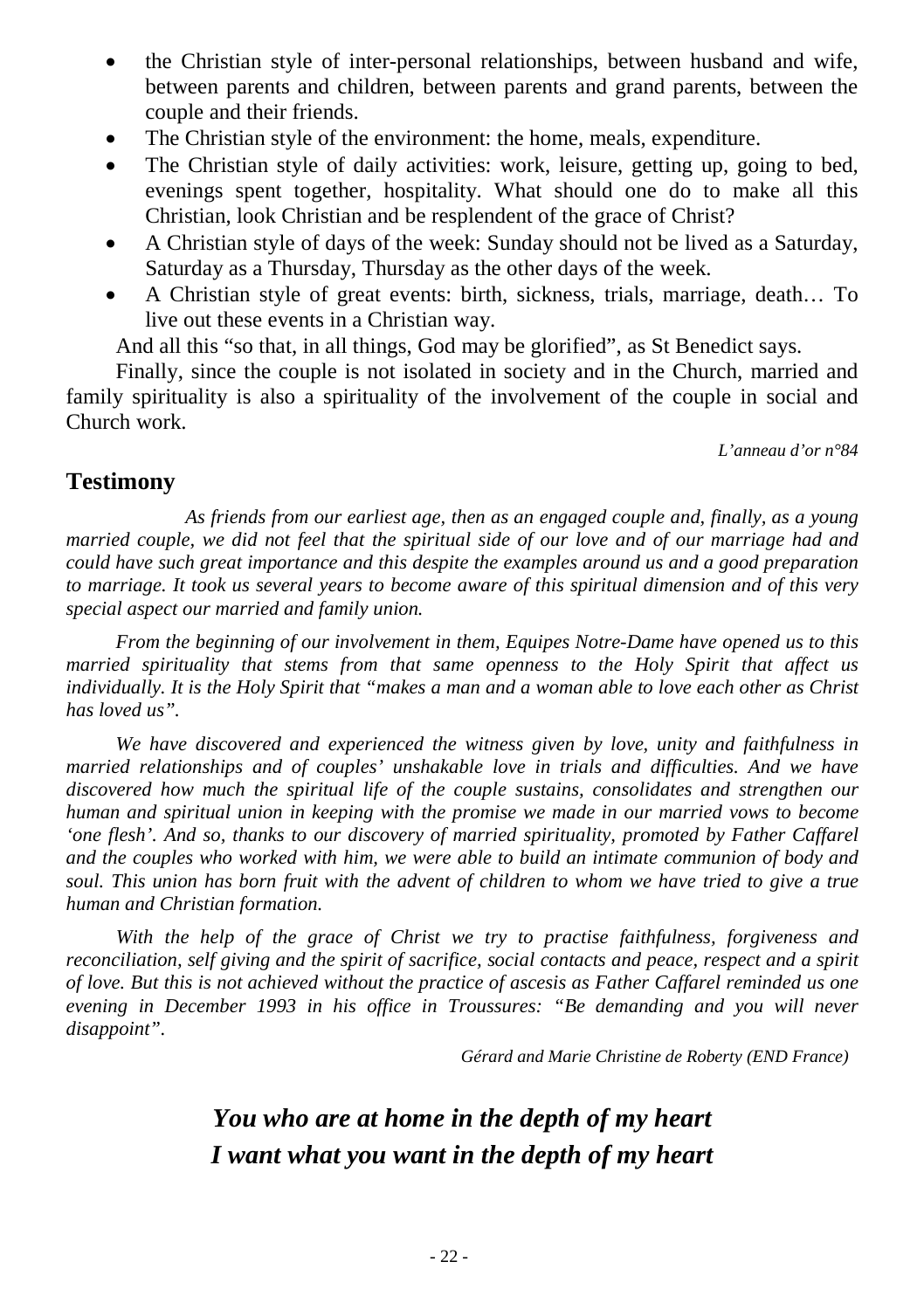- the Christian style of inter-personal relationships, between husband and wife, between parents and children, between parents and grand parents, between the couple and their friends.
- The Christian style of the environment: the home, meals, expenditure.
- The Christian style of daily activities: work, leisure, getting up, going to bed, evenings spent together, hospitality. What should one do to make all this Christian, look Christian and be resplendent of the grace of Christ?
- A Christian style of days of the week: Sunday should not be lived as a Saturday, Saturday as a Thursday, Thursday as the other days of the week.
- A Christian style of great events: birth, sickness, trials, marriage, death… To live out these events in a Christian way.

And all this "so that, in all things, God may be glorified", as St Benedict says.

Finally, since the couple is not isolated in society and in the Church, married and family spirituality is also a spirituality of the involvement of the couple in social and Church work.

*L'anneau d'or n°84*

### **Testimony**

 *As friends from our earliest age, then as an engaged couple and, finally, as a young married couple, we did not feel that the spiritual side of our love and of our marriage had and could have such great importance and this despite the examples around us and a good preparation to marriage. It took us several years to become aware of this spiritual dimension and of this very special aspect our married and family union.* 

*From the beginning of our involvement in them, Equipes Notre-Dame have opened us to this married spirituality that stems from that same openness to the Holy Spirit that affect us individually. It is the Holy Spirit that "makes a man and a woman able to love each other as Christ has loved us".* 

*We have discovered and experienced the witness given by love, unity and faithfulness in married relationships and of couples' unshakable love in trials and difficulties. And we have discovered how much the spiritual life of the couple sustains, consolidates and strengthen our human and spiritual union in keeping with the promise we made in our married vows to become 'one flesh'. And so, thanks to our discovery of married spirituality, promoted by Father Caffarel and the couples who worked with him, we were able to build an intimate communion of body and soul. This union has born fruit with the advent of children to whom we have tried to give a true human and Christian formation.* 

*With the help of the grace of Christ we try to practise faithfulness, forgiveness and reconciliation, self giving and the spirit of sacrifice, social contacts and peace, respect and a spirit of love. But this is not achieved without the practice of ascesis as Father Caffarel reminded us one evening in December 1993 in his office in Troussures: "Be demanding and you will never disappoint".* 

*Gérard and Marie Christine de Roberty (END France)*

## *You who are at home in the depth of my heart I want what you want in the depth of my heart*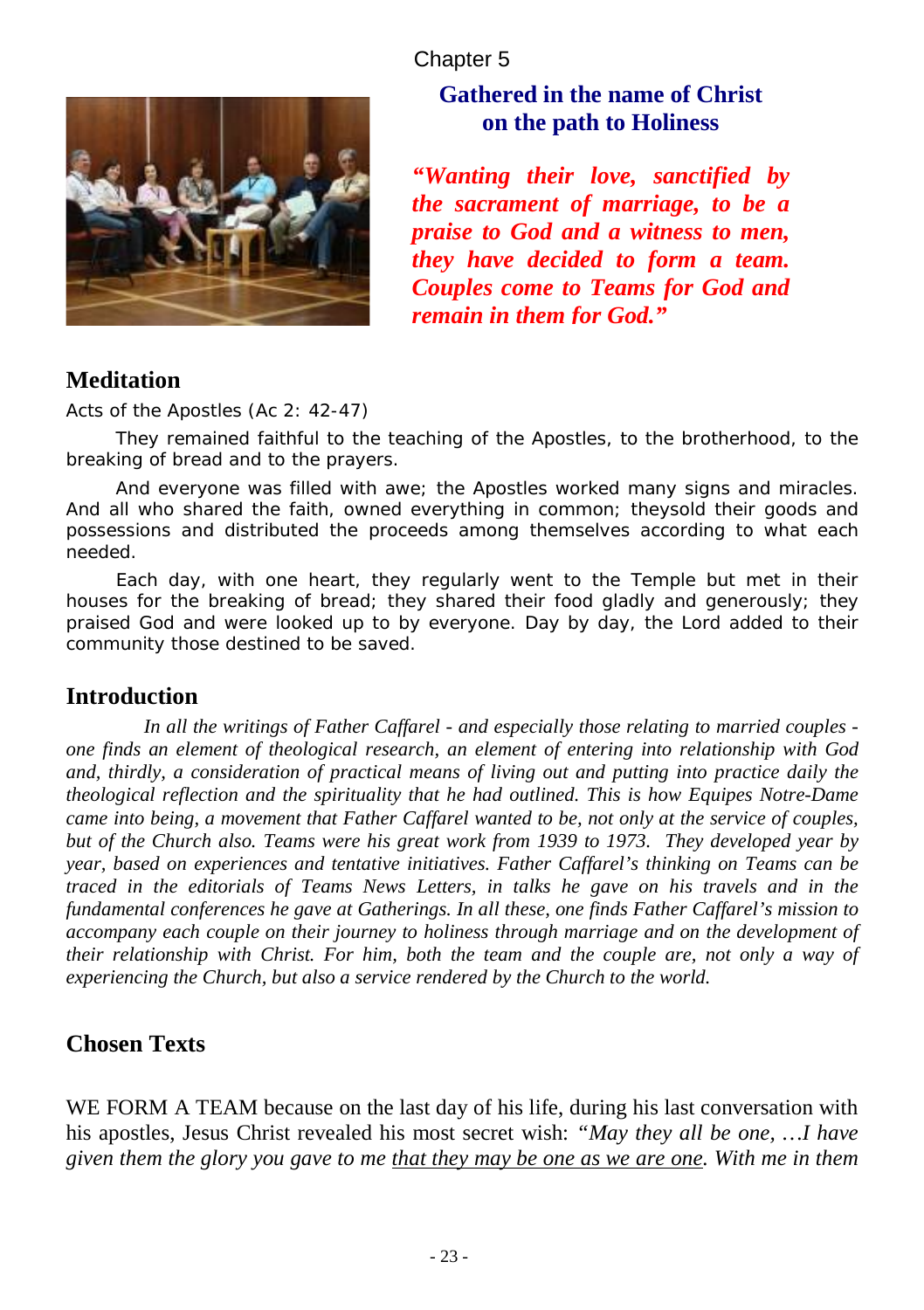### Chapter 5



## **Gathered in the name of Christ on the path to Holiness**

*"Wanting their love, sanctified by the sacrament of marriage, to be a praise to God and a witness to men, they have decided to form a team. Couples come to Teams for God and remain in them for God."*

## **Meditation**

*Acts of the Apostles (Ac 2: 42-47)*

*They remained faithful to the teaching of the Apostles, to the brotherhood, to the breaking of bread and to the prayers.*

*And everyone was filled with awe; the Apostles worked many signs and miracles. And all who shared the faith, owned everything in common; theysold their goods and possessions and distributed the proceeds among themselves according to what each needed.* 

*Each day, with one heart, they regularly went to the Temple but met in their houses for the breaking of bread; they shared their food gladly and generously; they praised God and were looked up to by everyone. Day by day, the Lord added to their community those destined to be saved.* 

### **Introduction**

*In all the writings of Father Caffarel - and especially those relating to married couples one finds an element of theological research, an element of entering into relationship with God and, thirdly, a consideration of practical means of living out and putting into practice daily the theological reflection and the spirituality that he had outlined. This is how Equipes Notre-Dame came into being, a movement that Father Caffarel wanted to be, not only at the service of couples, but of the Church also. Teams were his great work from 1939 to 1973. They developed year by year, based on experiences and tentative initiatives. Father Caffarel's thinking on Teams can be traced in the editorials of Teams News Letters, in talks he gave on his travels and in the fundamental conferences he gave at Gatherings. In all these, one finds Father Caffarel's mission to accompany each couple on their journey to holiness through marriage and on the development of their relationship with Christ. For him, both the team and the couple are, not only a way of experiencing the Church, but also a service rendered by the Church to the world.* 

## **Chosen Texts**

WE FORM A TEAM because on the last day of his life, during his last conversation with his apostles, Jesus Christ revealed his most secret wish: *"May they all be one, …I have given them the glory you gave to me that they may be one as we are one. With me in them*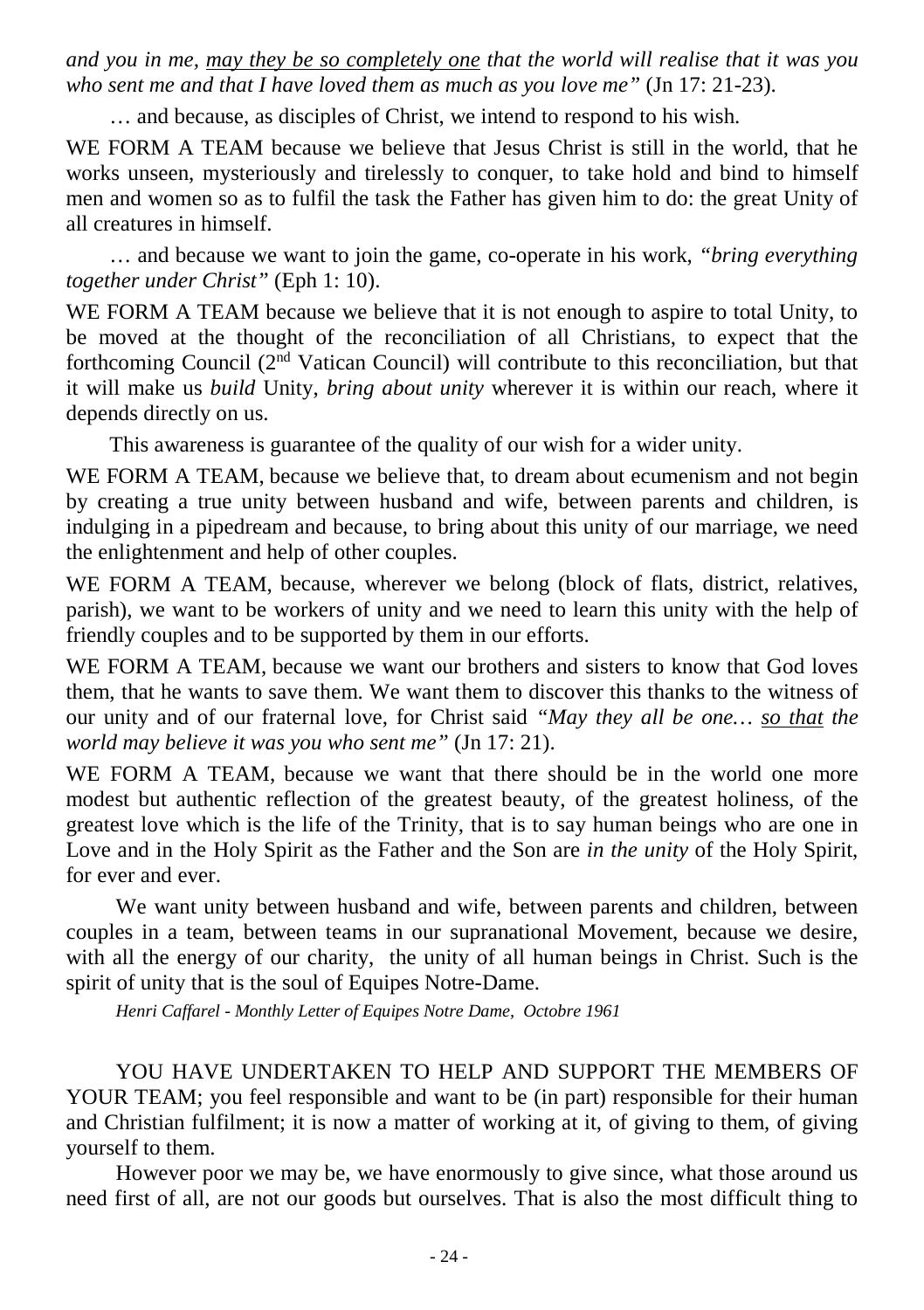*and you in me, may they be so completely one that the world will realise that it was you who sent me and that I have loved them as much as you love me"* (Jn 17: 21-23).

… and because, as disciples of Christ, we intend to respond to his wish.

WE FORM A TEAM because we believe that Jesus Christ is still in the world, that he works unseen, mysteriously and tirelessly to conquer, to take hold and bind to himself men and women so as to fulfil the task the Father has given him to do: the great Unity of all creatures in himself.

… and because we want to join the game, co-operate in his work, *"bring everything together under Christ"* (Eph 1: 10).

WE FORM A TEAM because we believe that it is not enough to aspire to total Unity, to be moved at the thought of the reconciliation of all Christians, to expect that the forthcoming Council  $(2<sup>nd</sup> Vatican Council)$  will contribute to this reconciliation, but that it will make us *build* Unity, *bring about unity* wherever it is within our reach, where it depends directly on us.

This awareness is guarantee of the quality of our wish for a wider unity.

WE FORM A TEAM, because we believe that, to dream about ecumenism and not begin by creating a true unity between husband and wife, between parents and children, is indulging in a pipedream and because, to bring about this unity of our marriage, we need the enlightenment and help of other couples.

WE FORM A TEAM, because, wherever we belong (block of flats, district, relatives, parish), we want to be workers of unity and we need to learn this unity with the help of friendly couples and to be supported by them in our efforts.

WE FORM A TEAM, because we want our brothers and sisters to know that God loves them, that he wants to save them. We want them to discover this thanks to the witness of our unity and of our fraternal love, for Christ said *"May they all be one… so that the world may believe it was you who sent me"* (Jn 17: 21).

WE FORM A TEAM, because we want that there should be in the world one more modest but authentic reflection of the greatest beauty, of the greatest holiness, of the greatest love which is the life of the Trinity, that is to say human beings who are one in Love and in the Holy Spirit as the Father and the Son are *in the unity* of the Holy Spirit, for ever and ever.

We want unity between husband and wife, between parents and children, between couples in a team, between teams in our supranational Movement, because we desire, with all the energy of our charity, the unity of all human beings in Christ. Such is the spirit of unity that is the soul of Equipes Notre-Dame.

*Henri Caffarel - Monthly Letter of Equipes Notre Dame, Octobre 1961*

YOU HAVE UNDERTAKEN TO HELP AND SUPPORT THE MEMBERS OF YOUR TEAM; you feel responsible and want to be (in part) responsible for their human and Christian fulfilment; it is now a matter of working at it, of giving to them, of giving yourself to them.

However poor we may be, we have enormously to give since, what those around us need first of all, are not our goods but ourselves. That is also the most difficult thing to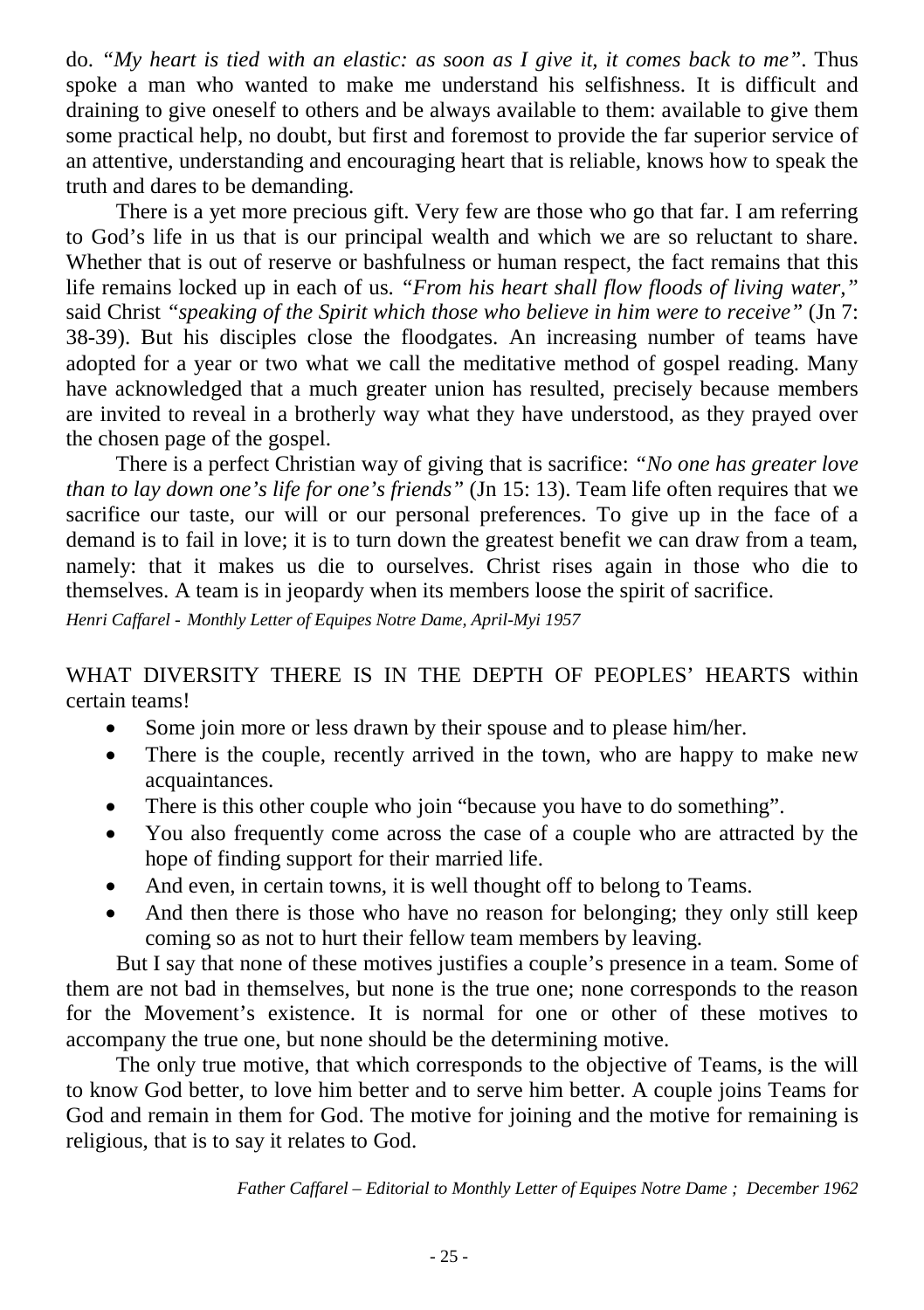do. *"My heart is tied with an elastic: as soon as I give it, it comes back to me"*. Thus spoke a man who wanted to make me understand his selfishness. It is difficult and draining to give oneself to others and be always available to them: available to give them some practical help, no doubt, but first and foremost to provide the far superior service of an attentive, understanding and encouraging heart that is reliable, knows how to speak the truth and dares to be demanding.

There is a yet more precious gift. Very few are those who go that far. I am referring to God's life in us that is our principal wealth and which we are so reluctant to share. Whether that is out of reserve or bashfulness or human respect, the fact remains that this life remains locked up in each of us. *"From his heart shall flow floods of living water,"* said Christ *"speaking of the Spirit which those who believe in him were to receive"* (Jn 7: 38-39). But his disciples close the floodgates. An increasing number of teams have adopted for a year or two what we call the meditative method of gospel reading. Many have acknowledged that a much greater union has resulted, precisely because members are invited to reveal in a brotherly way what they have understood, as they prayed over the chosen page of the gospel.

There is a perfect Christian way of giving that is sacrifice: *"No one has greater love than to lay down one's life for one's friends"* (Jn 15: 13). Team life often requires that we sacrifice our taste, our will or our personal preferences. To give up in the face of a demand is to fail in love; it is to turn down the greatest benefit we can draw from a team, namely: that it makes us die to ourselves. Christ rises again in those who die to themselves. A team is in jeopardy when its members loose the spirit of sacrifice.

*Henri Caffarel - Monthly Letter of Equipes Notre Dame, April-Myi 1957*

WHAT DIVERSITY THERE IS IN THE DEPTH OF PEOPLES' HEARTS within certain teams!

- Some join more or less drawn by their spouse and to please him/her.
- There is the couple, recently arrived in the town, who are happy to make new acquaintances.
- There is this other couple who join "because you have to do something".
- You also frequently come across the case of a couple who are attracted by the hope of finding support for their married life.
- And even, in certain towns, it is well thought off to belong to Teams.
- And then there is those who have no reason for belonging; they only still keep coming so as not to hurt their fellow team members by leaving.

But I say that none of these motives justifies a couple's presence in a team. Some of them are not bad in themselves, but none is the true one; none corresponds to the reason for the Movement's existence. It is normal for one or other of these motives to accompany the true one, but none should be the determining motive.

The only true motive, that which corresponds to the objective of Teams, is the will to know God better, to love him better and to serve him better. A couple joins Teams for God and remain in them for God. The motive for joining and the motive for remaining is religious, that is to say it relates to God.

*Father Caffarel – Editorial to Monthly Letter of Equipes Notre Dame ; December 1962*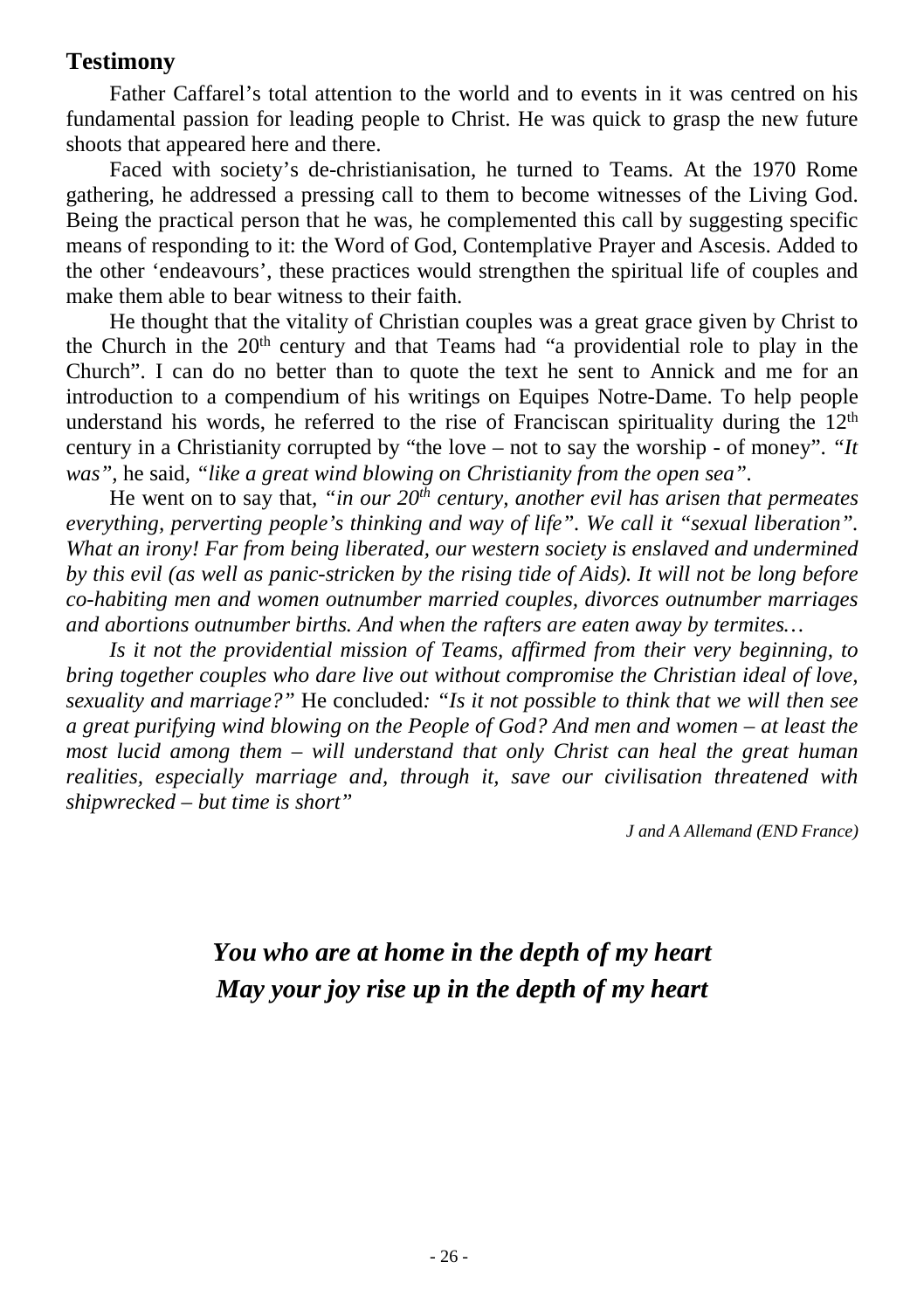## **Testimony**

Father Caffarel's total attention to the world and to events in it was centred on his fundamental passion for leading people to Christ. He was quick to grasp the new future shoots that appeared here and there.

Faced with society's de-christianisation, he turned to Teams. At the 1970 Rome gathering, he addressed a pressing call to them to become witnesses of the Living God. Being the practical person that he was, he complemented this call by suggesting specific means of responding to it: the Word of God, Contemplative Prayer and Ascesis. Added to the other 'endeavours', these practices would strengthen the spiritual life of couples and make them able to bear witness to their faith.

He thought that the vitality of Christian couples was a great grace given by Christ to the Church in the  $20<sup>th</sup>$  century and that Teams had "a providential role to play in the Church". I can do no better than to quote the text he sent to Annick and me for an introduction to a compendium of his writings on Equipes Notre-Dame. To help people understand his words, he referred to the rise of Franciscan spirituality during the  $12<sup>th</sup>$ century in a Christianity corrupted by "the love – not to say the worship - of money". *"It was",* he said*, "like a great wind blowing on Christianity from the open sea".* 

He went on to say that*, "in our 20th century, another evil has arisen that permeates everything, perverting people's thinking and way of life". We call it "sexual liberation". What an irony! Far from being liberated, our western society is enslaved and undermined by this evil (as well as panic-stricken by the rising tide of Aids). It will not be long before co-habiting men and women outnumber married couples, divorces outnumber marriages and abortions outnumber births. And when the rafters are eaten away by termites…* 

*Is it not the providential mission of Teams, affirmed from their very beginning, to bring together couples who dare live out without compromise the Christian ideal of love, sexuality and marriage?"* He concluded*: "Is it not possible to think that we will then see a great purifying wind blowing on the People of God? And men and women – at least the most lucid among them – will understand that only Christ can heal the great human realities, especially marriage and, through it, save our civilisation threatened with shipwrecked – but time is short"* 

*J and A Allemand (END France)*

## *You who are at home in the depth of my heart May your joy rise up in the depth of my heart*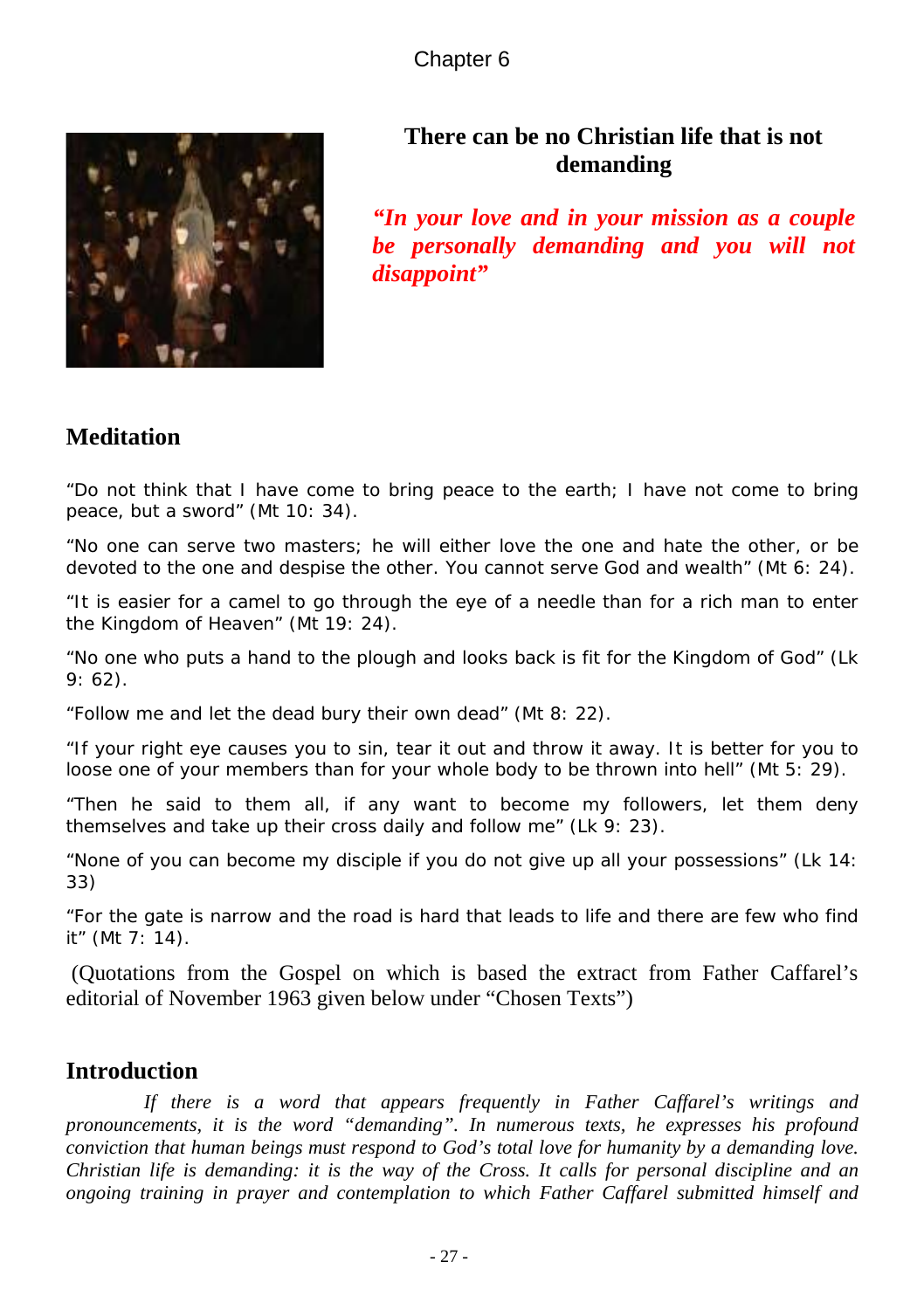Chapter 6



## **There can be no Christian life that is not demanding**

*"In your love and in your mission as a couple be personally demanding and you will not disappoint"*

## **Meditation**

*"Do not think that I have come to bring peace to the earth; I have not come to bring peace, but a sword"* (Mt 10: 34).

*"No one can serve two masters; he will either love the one and hate the other, or be devoted to the one and despise the other. You cannot serve God and wealth"* (Mt 6: 24).

*"It is easier for a camel to go through the eye of a needle than for a rich man to enter the Kingdom of Heaven"* (Mt 19: 24).

*"No one who puts a hand to the plough and looks back is fit for the Kingdom of God"* (Lk 9: 62).

*"Follow me and let the dead bury their own dead"* (Mt 8: 22).

*"If your right eye causes you to sin, tear it out and throw it away. It is better for you to loose one of your members than for your whole body to be thrown into hell"* (Mt 5: 29).

*"Then he said to them all, if any want to become my followers, let them deny themselves and take up their cross daily and follow me"* (Lk 9: 23).

*"None of you can become my disciple if you do not give up all your possessions"* (Lk 14: 33)

*"For the gate is narrow and the road is hard that leads to life and there are few who find it"* (Mt 7: 14).

(Quotations from the Gospel on which is based the extract from Father Caffarel's editorial of November 1963 given below under "Chosen Texts")

## **Introduction**

*If there is a word that appears frequently in Father Caffarel's writings and pronouncements, it is the word "demanding". In numerous texts, he expresses his profound conviction that human beings must respond to God's total love for humanity by a demanding love. Christian life is demanding: it is the way of the Cross. It calls for personal discipline and an ongoing training in prayer and contemplation to which Father Caffarel submitted himself and*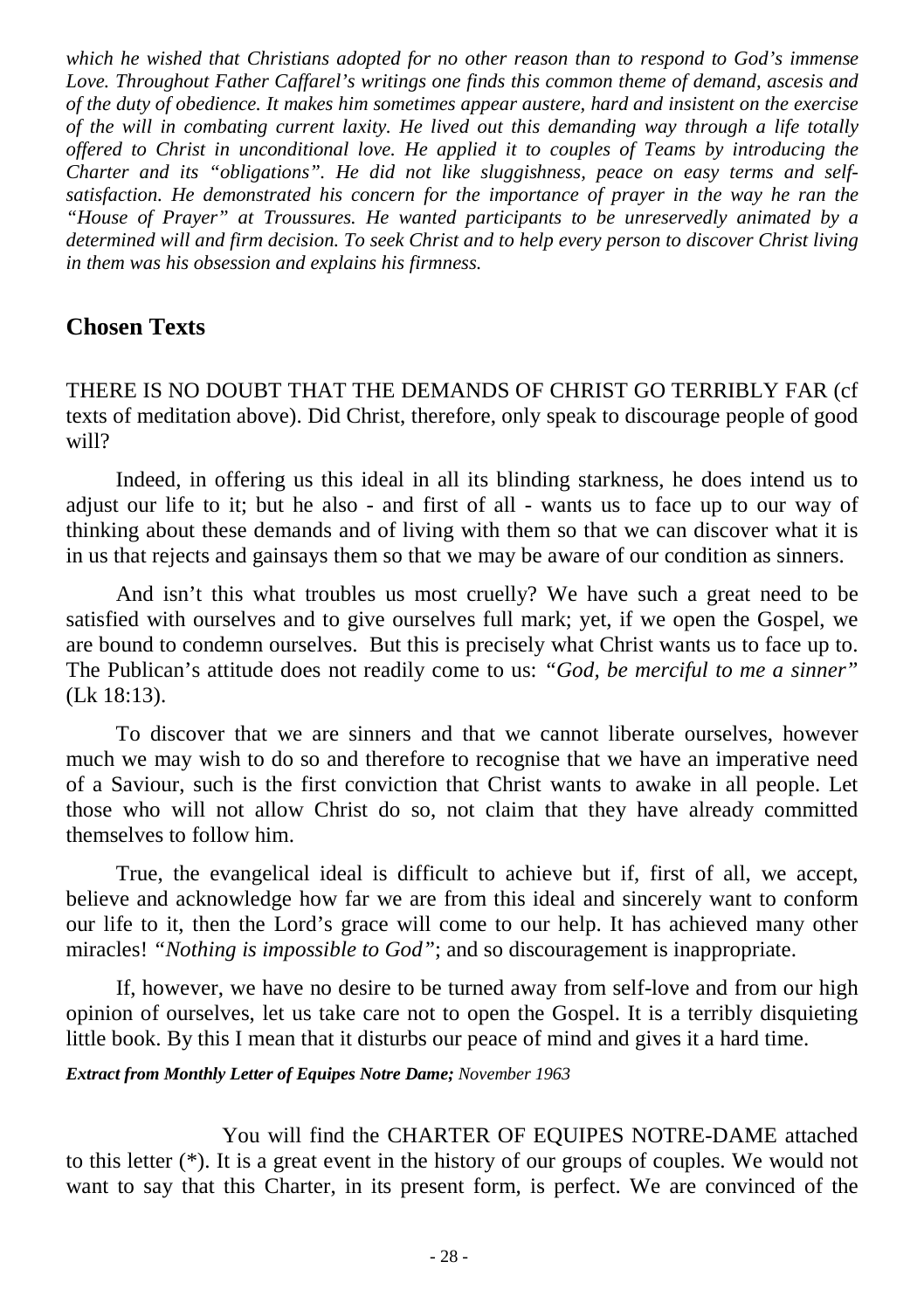*which he wished that Christians adopted for no other reason than to respond to God's immense Love. Throughout Father Caffarel's writings one finds this common theme of demand, ascesis and of the duty of obedience. It makes him sometimes appear austere, hard and insistent on the exercise of the will in combating current laxity. He lived out this demanding way through a life totally offered to Christ in unconditional love. He applied it to couples of Teams by introducing the Charter and its "obligations". He did not like sluggishness, peace on easy terms and selfsatisfaction. He demonstrated his concern for the importance of prayer in the way he ran the "House of Prayer" at Troussures. He wanted participants to be unreservedly animated by a determined will and firm decision. To seek Christ and to help every person to discover Christ living in them was his obsession and explains his firmness.*

## **Chosen Texts**

THERE IS NO DOUBT THAT THE DEMANDS OF CHRIST GO TERRIBLY FAR (cf texts of meditation above). Did Christ, therefore, only speak to discourage people of good will?

Indeed, in offering us this ideal in all its blinding starkness, he does intend us to adjust our life to it; but he also - and first of all - wants us to face up to our way of thinking about these demands and of living with them so that we can discover what it is in us that rejects and gainsays them so that we may be aware of our condition as sinners.

And isn't this what troubles us most cruelly? We have such a great need to be satisfied with ourselves and to give ourselves full mark; yet, if we open the Gospel, we are bound to condemn ourselves. But this is precisely what Christ wants us to face up to. The Publican's attitude does not readily come to us: *"God, be merciful to me a sinner"* (Lk 18:13).

To discover that we are sinners and that we cannot liberate ourselves, however much we may wish to do so and therefore to recognise that we have an imperative need of a Saviour, such is the first conviction that Christ wants to awake in all people. Let those who will not allow Christ do so, not claim that they have already committed themselves to follow him.

True, the evangelical ideal is difficult to achieve but if, first of all, we accept, believe and acknowledge how far we are from this ideal and sincerely want to conform our life to it, then the Lord's grace will come to our help. It has achieved many other miracles! *"Nothing is impossible to God"*; and so discouragement is inappropriate.

If, however, we have no desire to be turned away from self-love and from our high opinion of ourselves, let us take care not to open the Gospel. It is a terribly disquieting little book. By this I mean that it disturbs our peace of mind and gives it a hard time.

#### *Extract from Monthly Letter of Equipes Notre Dame; November 1963*

You will find the CHARTER OF EQUIPES NOTRE-DAME attached to this letter (\*). It is a great event in the history of our groups of couples. We would not want to say that this Charter, in its present form, is perfect. We are convinced of the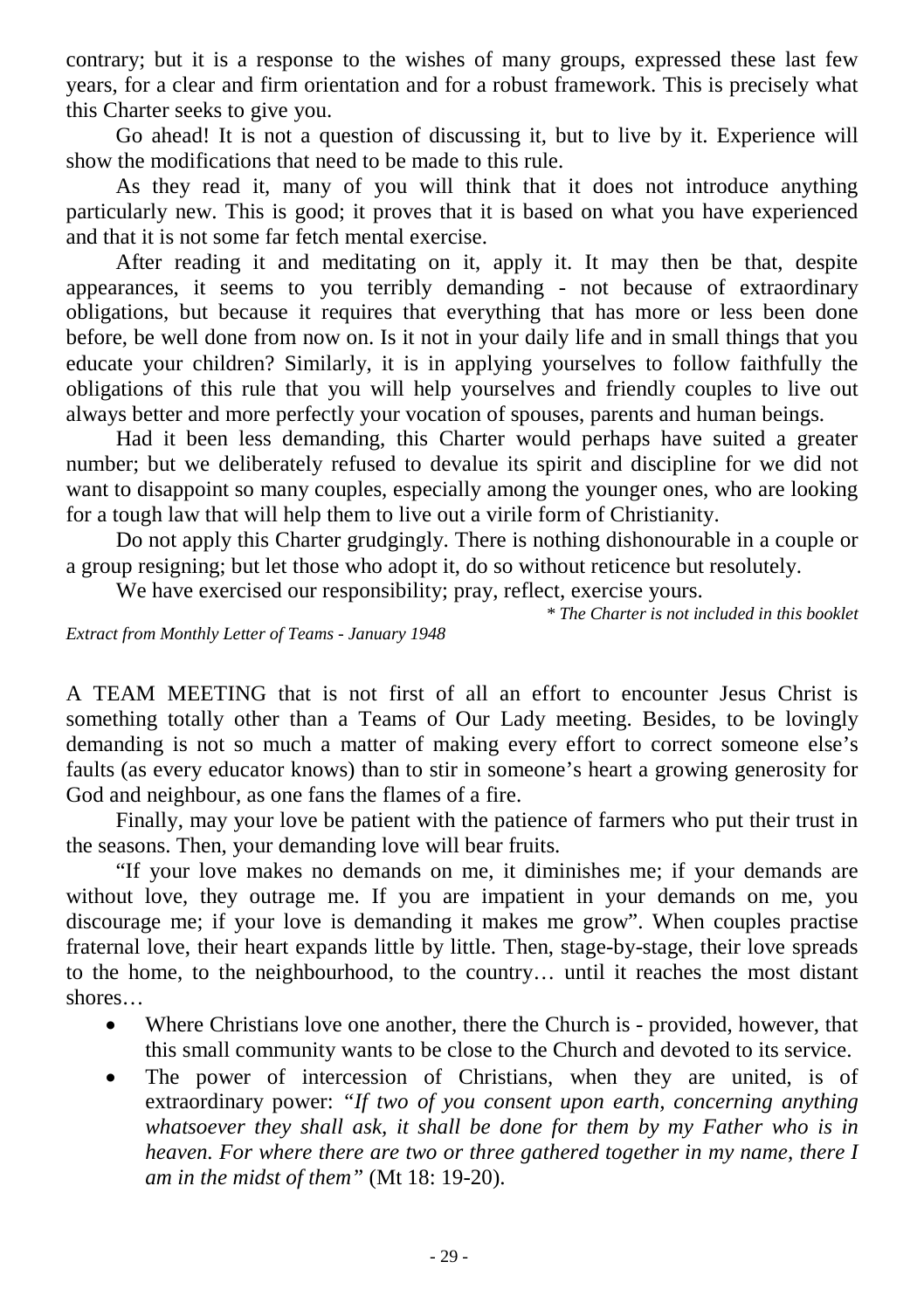contrary; but it is a response to the wishes of many groups, expressed these last few years, for a clear and firm orientation and for a robust framework. This is precisely what this Charter seeks to give you.

Go ahead! It is not a question of discussing it, but to live by it. Experience will show the modifications that need to be made to this rule.

As they read it, many of you will think that it does not introduce anything particularly new. This is good; it proves that it is based on what you have experienced and that it is not some far fetch mental exercise.

After reading it and meditating on it, apply it. It may then be that, despite appearances, it seems to you terribly demanding - not because of extraordinary obligations, but because it requires that everything that has more or less been done before, be well done from now on. Is it not in your daily life and in small things that you educate your children? Similarly, it is in applying yourselves to follow faithfully the obligations of this rule that you will help yourselves and friendly couples to live out always better and more perfectly your vocation of spouses, parents and human beings.

Had it been less demanding, this Charter would perhaps have suited a greater number; but we deliberately refused to devalue its spirit and discipline for we did not want to disappoint so many couples, especially among the younger ones, who are looking for a tough law that will help them to live out a virile form of Christianity.

Do not apply this Charter grudgingly. There is nothing dishonourable in a couple or a group resigning; but let those who adopt it, do so without reticence but resolutely.

We have exercised our responsibility; pray, reflect, exercise yours.

*\* The Charter is not included in this booklet*

*Extract from Monthly Letter of Teams - January 1948*

A TEAM MEETING that is not first of all an effort to encounter Jesus Christ is something totally other than a Teams of Our Lady meeting. Besides, to be lovingly demanding is not so much a matter of making every effort to correct someone else's faults (as every educator knows) than to stir in someone's heart a growing generosity for God and neighbour, as one fans the flames of a fire.

Finally, may your love be patient with the patience of farmers who put their trust in the seasons. Then, your demanding love will bear fruits.

"If your love makes no demands on me, it diminishes me; if your demands are without love, they outrage me. If you are impatient in your demands on me, you discourage me; if your love is demanding it makes me grow". When couples practise fraternal love, their heart expands little by little. Then, stage-by-stage, their love spreads to the home, to the neighbourhood, to the country… until it reaches the most distant shores…

- Where Christians love one another, there the Church is provided, however, that this small community wants to be close to the Church and devoted to its service.
- The power of intercession of Christians, when they are united, is of extraordinary power: *"If two of you consent upon earth, concerning anything whatsoever they shall ask, it shall be done for them by my Father who is in heaven. For where there are two or three gathered together in my name, there I am in the midst of them"* (Mt 18: 19-20).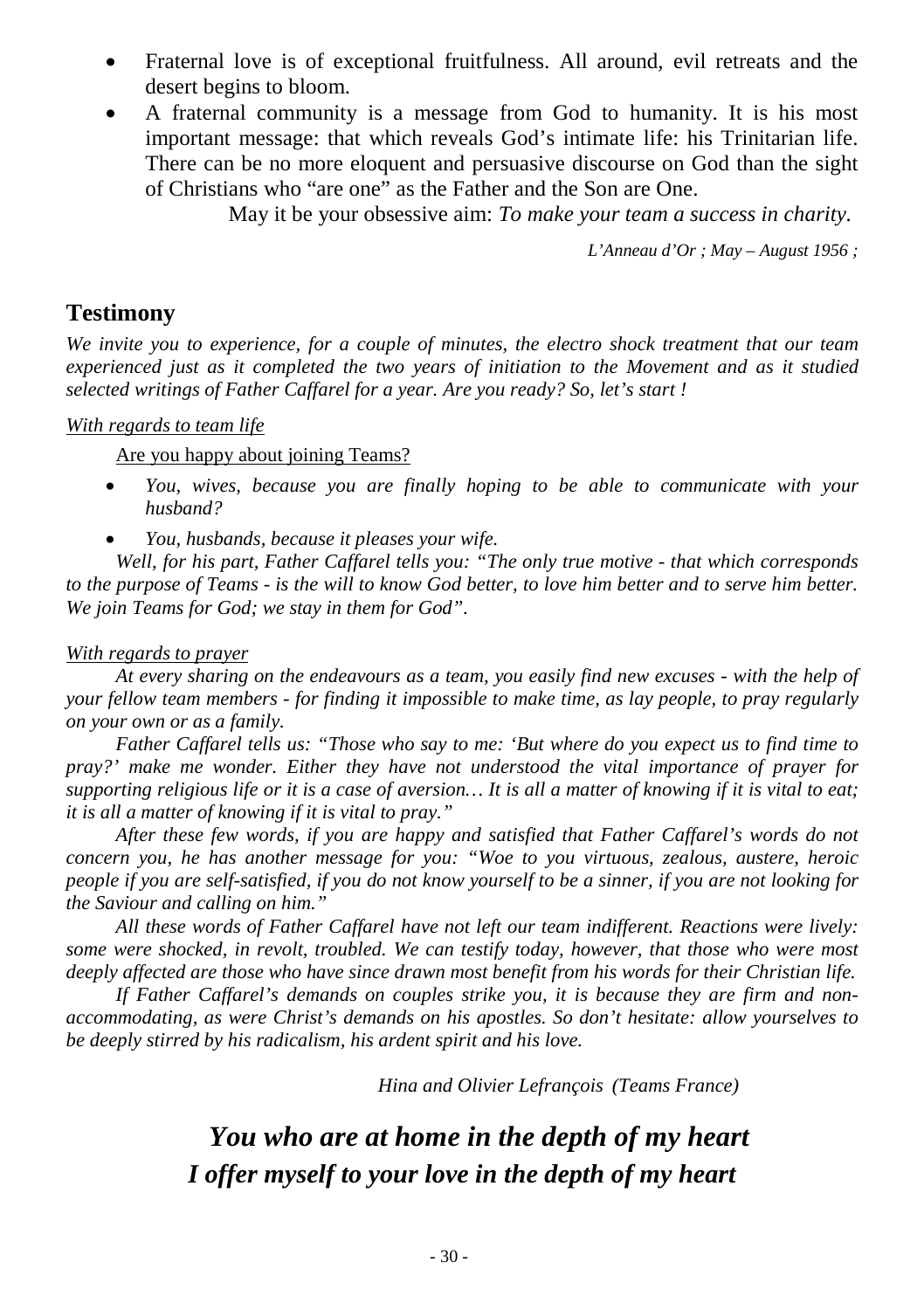- Fraternal love is of exceptional fruitfulness. All around, evil retreats and the desert begins to bloom.
- A fraternal community is a message from God to humanity. It is his most important message: that which reveals God's intimate life: his Trinitarian life. There can be no more eloquent and persuasive discourse on God than the sight of Christians who "are one" as the Father and the Son are One.

May it be your obsessive aim: *To make your team a success in charity.*

*L'Anneau d'Or ; May – August 1956 ;*

#### **Testimony**

*We invite you to experience, for a couple of minutes, the electro shock treatment that our team experienced just as it completed the two years of initiation to the Movement and as it studied selected writings of Father Caffarel for a year. Are you ready? So, let's start !* 

#### *With regards to team life*

Are you happy about joining Teams?

- *You, wives, because you are finally hoping to be able to communicate with your husband?*
- *You, husbands, because it pleases your wife.*

*Well, for his part, Father Caffarel tells you: "The only true motive - that which corresponds to the purpose of Teams - is the will to know God better, to love him better and to serve him better. We join Teams for God; we stay in them for God".* 

#### *With regards to prayer*

*At every sharing on the endeavours as a team, you easily find new excuses - with the help of your fellow team members - for finding it impossible to make time, as lay people, to pray regularly on your own or as a family.*

*Father Caffarel tells us: "Those who say to me: 'But where do you expect us to find time to pray?' make me wonder. Either they have not understood the vital importance of prayer for supporting religious life or it is a case of aversion… It is all a matter of knowing if it is vital to eat; it is all a matter of knowing if it is vital to pray."* 

*After these few words, if you are happy and satisfied that Father Caffarel's words do not concern you, he has another message for you: "Woe to you virtuous, zealous, austere, heroic people if you are self-satisfied, if you do not know yourself to be a sinner, if you are not looking for the Saviour and calling on him."* 

*All these words of Father Caffarel have not left our team indifferent. Reactions were lively: some were shocked, in revolt, troubled. We can testify today, however, that those who were most deeply affected are those who have since drawn most benefit from his words for their Christian life.* 

*If Father Caffarel's demands on couples strike you, it is because they are firm and nonaccommodating, as were Christ's demands on his apostles. So don't hesitate: allow yourselves to be deeply stirred by his radicalism, his ardent spirit and his love.*

*Hina and Olivier Lefrançois (Teams France)*

## *You who are at home in the depth of my heart I offer myself to your love in the depth of my heart*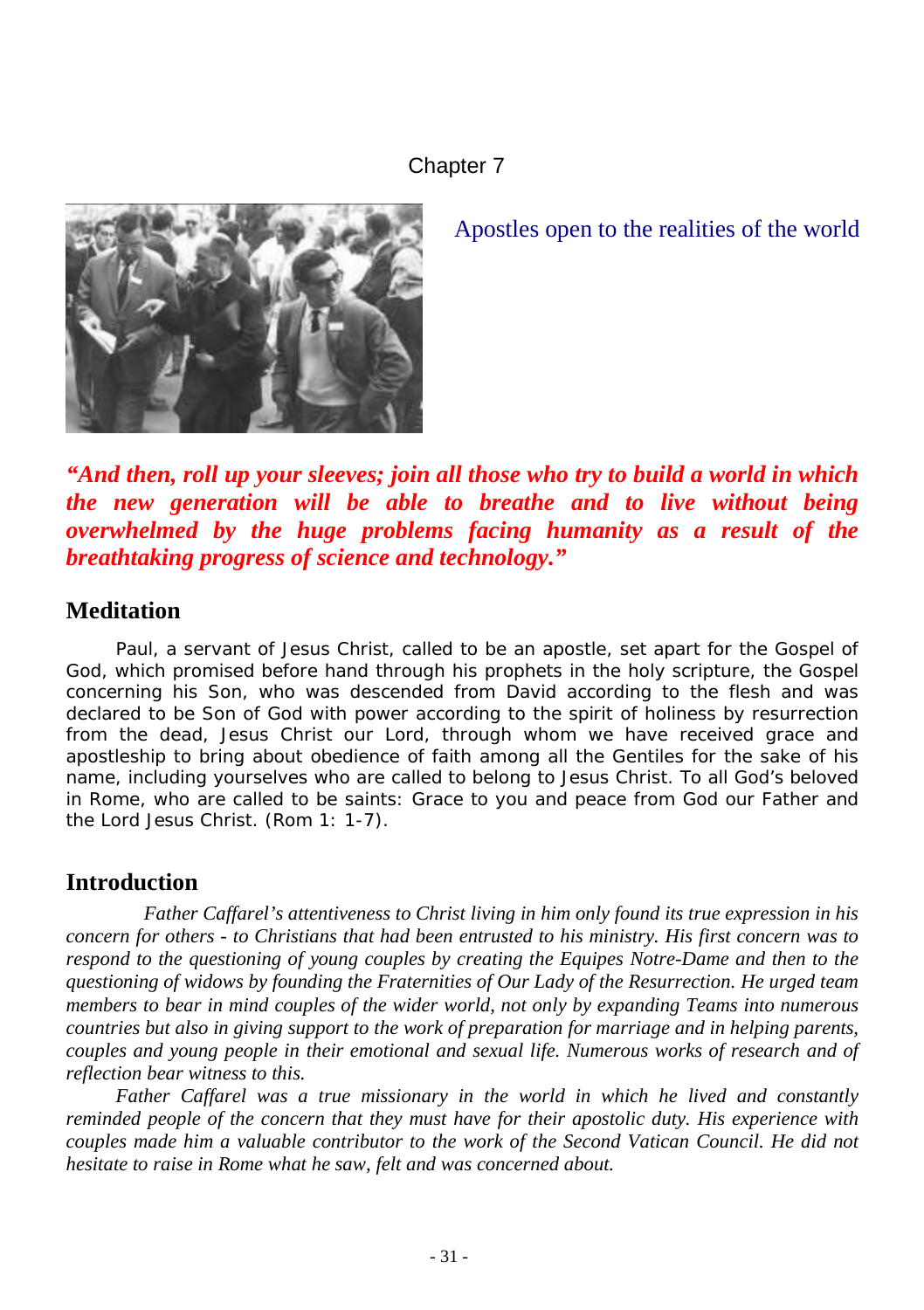#### Chapter 7



Apostles open to the realities of the world

*"And then, roll up your sleeves; join all those who try to build a world in which the new generation will be able to breathe and to live without being overwhelmed by the huge problems facing humanity as a result of the breathtaking progress of science and technology."* 

#### **Meditation**

Paul, a servant of Jesus Christ, called to be an apostle, set apart for the Gospel of *God, which promised before hand through his prophets in the holy scripture, the Gospel concerning his Son, who was descended from David according to the flesh and was declared to be Son of God with power according to the spirit of holiness by resurrection*  from the dead, Jesus Christ our Lord, through whom we have received grace and *apostleship to bring about obedience of faith among all the Gentiles for the sake of his name, including yourselves who are called to belong to Jesus Christ. To all God's beloved in Rome, who are called to be saints: Grace to you and peace from God our Father and the Lord Jesus Christ.* (Rom 1: 1-7).

### **Introduction**

*Father Caffarel's attentiveness to Christ living in him only found its true expression in his concern for others - to Christians that had been entrusted to his ministry. His first concern was to respond to the questioning of young couples by creating the Equipes Notre-Dame and then to the questioning of widows by founding the Fraternities of Our Lady of the Resurrection. He urged team members to bear in mind couples of the wider world, not only by expanding Teams into numerous countries but also in giving support to the work of preparation for marriage and in helping parents, couples and young people in their emotional and sexual life. Numerous works of research and of reflection bear witness to this.* 

*Father Caffarel was a true missionary in the world in which he lived and constantly reminded people of the concern that they must have for their apostolic duty. His experience with couples made him a valuable contributor to the work of the Second Vatican Council. He did not hesitate to raise in Rome what he saw, felt and was concerned about.*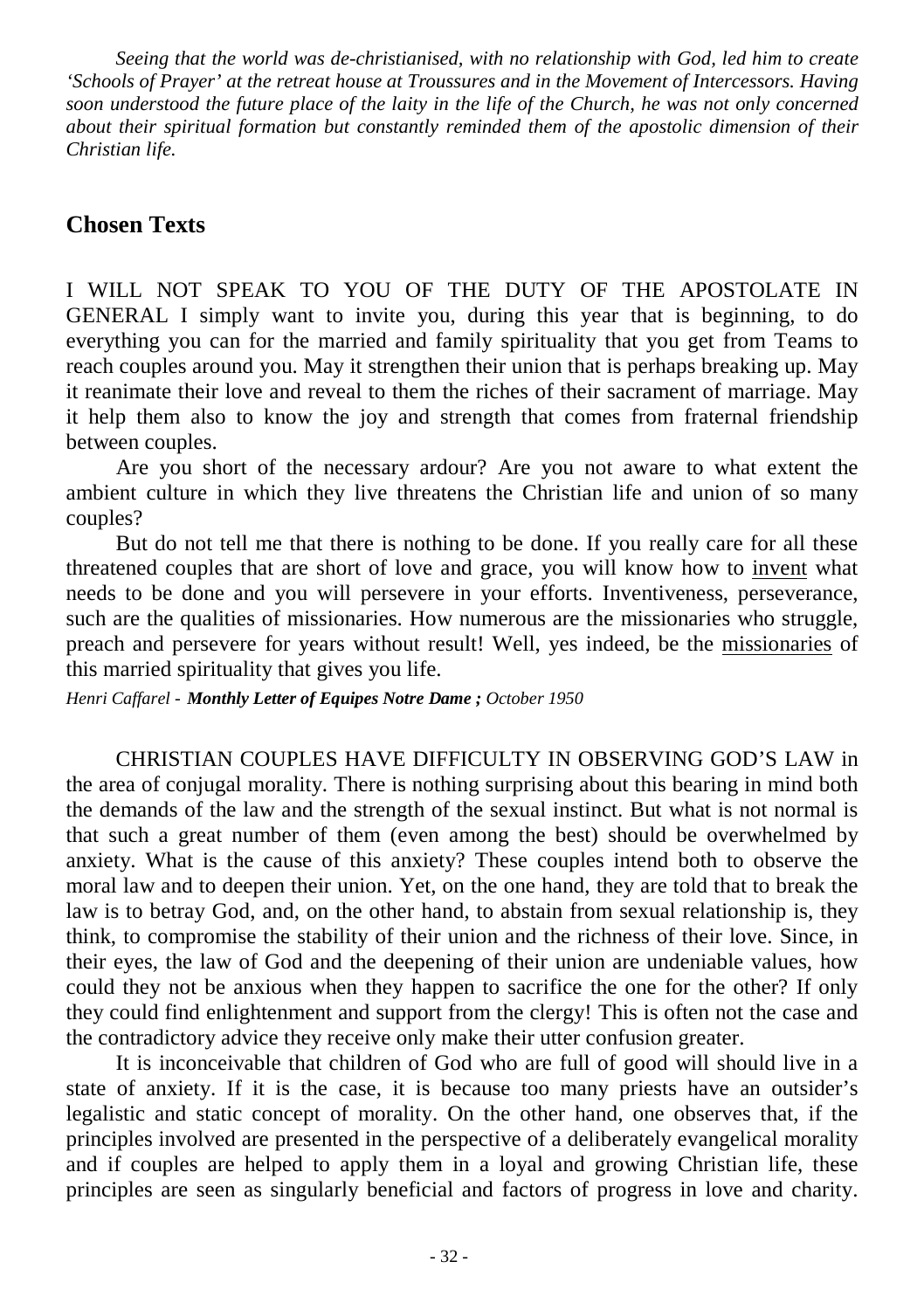*Seeing that the world was de-christianised, with no relationship with God, led him to create 'Schools of Prayer' at the retreat house at Troussures and in the Movement of Intercessors. Having soon understood the future place of the laity in the life of the Church, he was not only concerned about their spiritual formation but constantly reminded them of the apostolic dimension of their Christian life.* 

#### **Chosen Texts**

I WILL NOT SPEAK TO YOU OF THE DUTY OF THE APOSTOLATE IN GENERAL I simply want to invite you, during this year that is beginning, to do everything you can for the married and family spirituality that you get from Teams to reach couples around you. May it strengthen their union that is perhaps breaking up. May it reanimate their love and reveal to them the riches of their sacrament of marriage. May it help them also to know the joy and strength that comes from fraternal friendship between couples.

Are you short of the necessary ardour? Are you not aware to what extent the ambient culture in which they live threatens the Christian life and union of so many couples?

But do not tell me that there is nothing to be done. If you really care for all these threatened couples that are short of love and grace, you will know how to invent what needs to be done and you will persevere in your efforts. Inventiveness, perseverance, such are the qualities of missionaries. How numerous are the missionaries who struggle, preach and persevere for years without result! Well, yes indeed, be the missionaries of this married spirituality that gives you life.

*Henri Caffarel - Monthly Letter of Equipes Notre Dame ; October 1950*

CHRISTIAN COUPLES HAVE DIFFICULTY IN OBSERVING GOD'S LAW in the area of conjugal morality. There is nothing surprising about this bearing in mind both the demands of the law and the strength of the sexual instinct. But what is not normal is that such a great number of them (even among the best) should be overwhelmed by anxiety. What is the cause of this anxiety? These couples intend both to observe the moral law and to deepen their union. Yet, on the one hand, they are told that to break the law is to betray God, and, on the other hand, to abstain from sexual relationship is, they think, to compromise the stability of their union and the richness of their love. Since, in their eyes, the law of God and the deepening of their union are undeniable values, how could they not be anxious when they happen to sacrifice the one for the other? If only they could find enlightenment and support from the clergy! This is often not the case and the contradictory advice they receive only make their utter confusion greater.

It is inconceivable that children of God who are full of good will should live in a state of anxiety. If it is the case, it is because too many priests have an outsider's legalistic and static concept of morality. On the other hand, one observes that, if the principles involved are presented in the perspective of a deliberately evangelical morality and if couples are helped to apply them in a loyal and growing Christian life, these principles are seen as singularly beneficial and factors of progress in love and charity.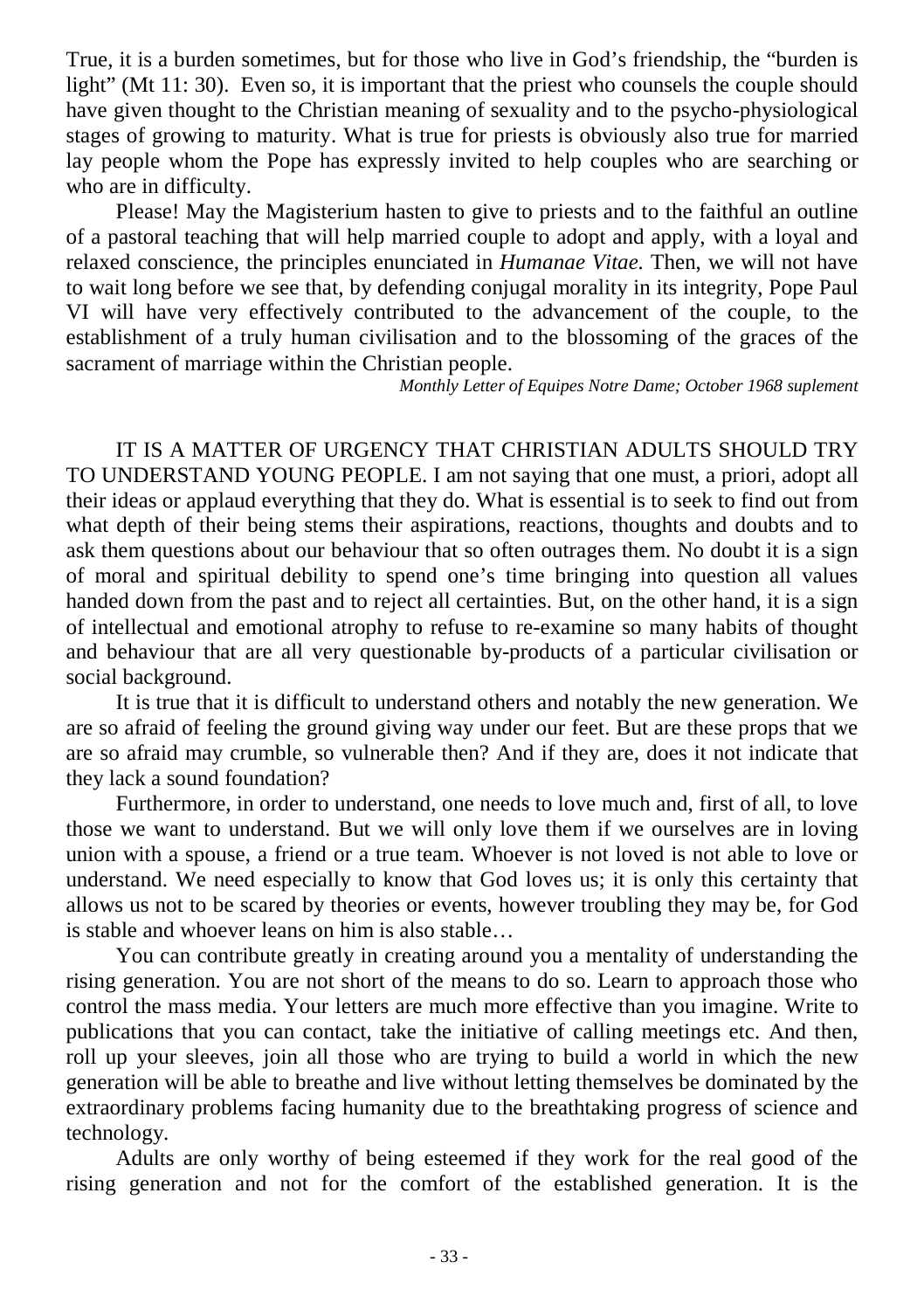True, it is a burden sometimes, but for those who live in God's friendship, the "burden is light" (Mt 11: 30). Even so, it is important that the priest who counsels the couple should have given thought to the Christian meaning of sexuality and to the psycho-physiological stages of growing to maturity. What is true for priests is obviously also true for married lay people whom the Pope has expressly invited to help couples who are searching or who are in difficulty.

Please! May the Magisterium hasten to give to priests and to the faithful an outline of a pastoral teaching that will help married couple to adopt and apply, with a loyal and relaxed conscience, the principles enunciated in *Humanae Vitae.* Then, we will not have to wait long before we see that, by defending conjugal morality in its integrity, Pope Paul VI will have very effectively contributed to the advancement of the couple, to the establishment of a truly human civilisation and to the blossoming of the graces of the sacrament of marriage within the Christian people.

*Monthly Letter of Equipes Notre Dame; October 1968 suplement*

IT IS A MATTER OF URGENCY THAT CHRISTIAN ADULTS SHOULD TRY TO UNDERSTAND YOUNG PEOPLE. I am not saying that one must, a priori, adopt all their ideas or applaud everything that they do. What is essential is to seek to find out from what depth of their being stems their aspirations, reactions, thoughts and doubts and to ask them questions about our behaviour that so often outrages them. No doubt it is a sign of moral and spiritual debility to spend one's time bringing into question all values handed down from the past and to reject all certainties. But, on the other hand, it is a sign of intellectual and emotional atrophy to refuse to re-examine so many habits of thought and behaviour that are all very questionable by-products of a particular civilisation or social background.

It is true that it is difficult to understand others and notably the new generation. We are so afraid of feeling the ground giving way under our feet. But are these props that we are so afraid may crumble, so vulnerable then? And if they are, does it not indicate that they lack a sound foundation?

Furthermore, in order to understand, one needs to love much and, first of all, to love those we want to understand. But we will only love them if we ourselves are in loving union with a spouse, a friend or a true team. Whoever is not loved is not able to love or understand. We need especially to know that God loves us; it is only this certainty that allows us not to be scared by theories or events, however troubling they may be, for God is stable and whoever leans on him is also stable…

You can contribute greatly in creating around you a mentality of understanding the rising generation. You are not short of the means to do so. Learn to approach those who control the mass media. Your letters are much more effective than you imagine. Write to publications that you can contact, take the initiative of calling meetings etc. And then, roll up your sleeves, join all those who are trying to build a world in which the new generation will be able to breathe and live without letting themselves be dominated by the extraordinary problems facing humanity due to the breathtaking progress of science and technology.

Adults are only worthy of being esteemed if they work for the real good of the rising generation and not for the comfort of the established generation. It is the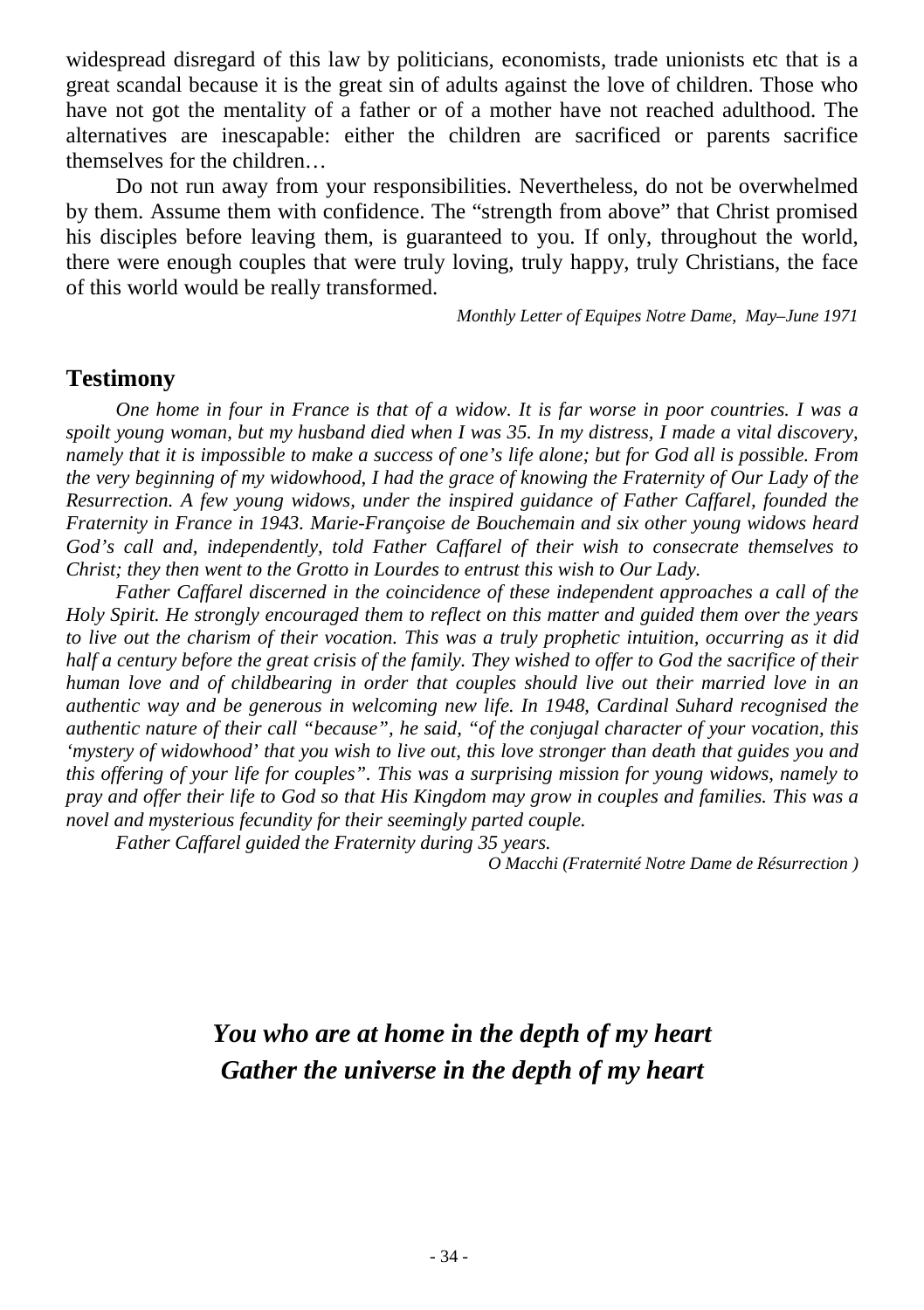widespread disregard of this law by politicians, economists, trade unionists etc that is a great scandal because it is the great sin of adults against the love of children. Those who have not got the mentality of a father or of a mother have not reached adulthood. The alternatives are inescapable: either the children are sacrificed or parents sacrifice themselves for the children…

Do not run away from your responsibilities. Nevertheless, do not be overwhelmed by them. Assume them with confidence. The "strength from above" that Christ promised his disciples before leaving them, is guaranteed to you. If only, throughout the world, there were enough couples that were truly loving, truly happy, truly Christians, the face of this world would be really transformed.

*Monthly Letter of Equipes Notre Dame, May–June 1971*

## **Testimony**

*One home in four in France is that of a widow. It is far worse in poor countries. I was a spoilt young woman, but my husband died when I was 35. In my distress, I made a vital discovery, namely that it is impossible to make a success of one's life alone; but for God all is possible. From the very beginning of my widowhood, I had the grace of knowing the Fraternity of Our Lady of the Resurrection. A few young widows, under the inspired guidance of Father Caffarel, founded the Fraternity in France in 1943. Marie-Françoise de Bouchemain and six other young widows heard God's call and, independently, told Father Caffarel of their wish to consecrate themselves to Christ; they then went to the Grotto in Lourdes to entrust this wish to Our Lady.* 

*Father Caffarel discerned in the coincidence of these independent approaches a call of the Holy Spirit. He strongly encouraged them to reflect on this matter and guided them over the years to live out the charism of their vocation. This was a truly prophetic intuition, occurring as it did half a century before the great crisis of the family. They wished to offer to God the sacrifice of their human love and of childbearing in order that couples should live out their married love in an authentic way and be generous in welcoming new life. In 1948, Cardinal Suhard recognised the authentic nature of their call "because", he said, "of the conjugal character of your vocation, this 'mystery of widowhood' that you wish to live out, this love stronger than death that guides you and this offering of your life for couples". This was a surprising mission for young widows, namely to pray and offer their life to God so that His Kingdom may grow in couples and families. This was a novel and mysterious fecundity for their seemingly parted couple.*

*Father Caffarel guided the Fraternity during 35 years.*

*O Macchi (Fraternité Notre Dame de Résurrection )*

## *You who are at home in the depth of my heart Gather the universe in the depth of my heart*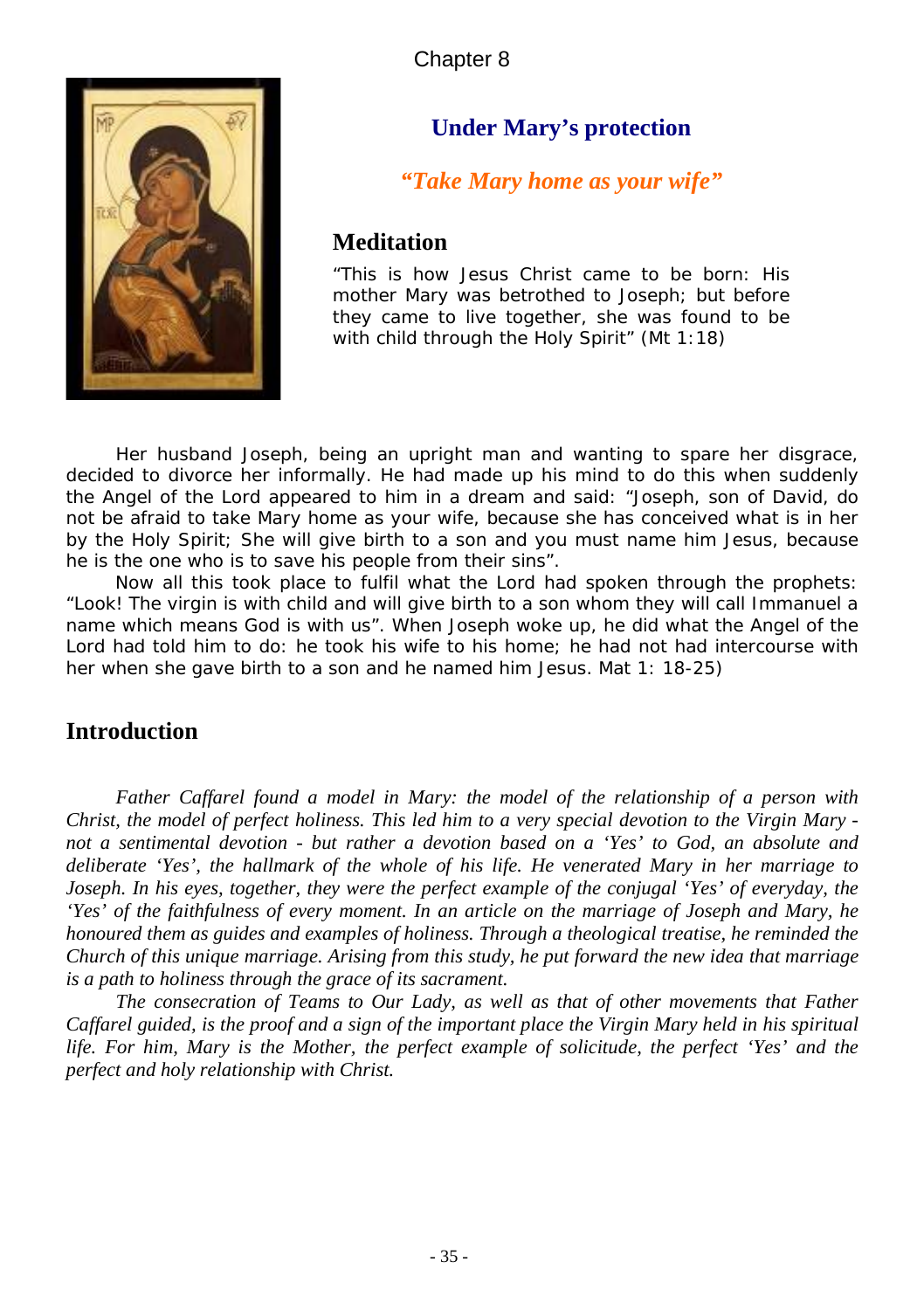

## **Under Mary's protection**

## *"Take Mary home as your wife"*

#### **Meditation**

*"This is how Jesus Christ came to be born: His mother Mary was betrothed to Joseph; but before they came to live together, she was found to be with child through the Holy Spirit" (Mt 1:18)*

*Her husband Joseph, being an upright man and wanting to spare her disgrace,*  decided to divorce her informally. He had made up his mind to do this when suddenly *the Angel of the Lord appeared to him in a dream and said: "Joseph, son of David, do not be afraid to take Mary home as your wife, because she has conceived what is in her by the Holy Spirit; She will give birth to a son and you must name him Jesus, because he is the one who is to save his people from their sins".*

 *Now all this took place to fulfil what the Lord had spoken through the prophets: "Look! The virgin is with child and will give birth to a son whom they will call Immanuel a name which means God is with us". When Joseph woke up, he did what the Angel of the*  Lord had told him to do: he took his wife to his home; he had not had intercourse with *her when she gave birth to a son and he named him Jesus.* Mat 1: 18-25)

### **Introduction**

*Father Caffarel found a model in Mary: the model of the relationship of a person with Christ, the model of perfect holiness. This led him to a very special devotion to the Virgin Mary not a sentimental devotion - but rather a devotion based on a 'Yes' to God, an absolute and deliberate 'Yes', the hallmark of the whole of his life. He venerated Mary in her marriage to Joseph. In his eyes, together, they were the perfect example of the conjugal 'Yes' of everyday, the 'Yes' of the faithfulness of every moment. In an article on the marriage of Joseph and Mary, he honoured them as guides and examples of holiness. Through a theological treatise, he reminded the Church of this unique marriage. Arising from this study, he put forward the new idea that marriage is a path to holiness through the grace of its sacrament.* 

*The consecration of Teams to Our Lady, as well as that of other movements that Father Caffarel guided, is the proof and a sign of the important place the Virgin Mary held in his spiritual life. For him, Mary is the Mother, the perfect example of solicitude, the perfect 'Yes' and the perfect and holy relationship with Christ.*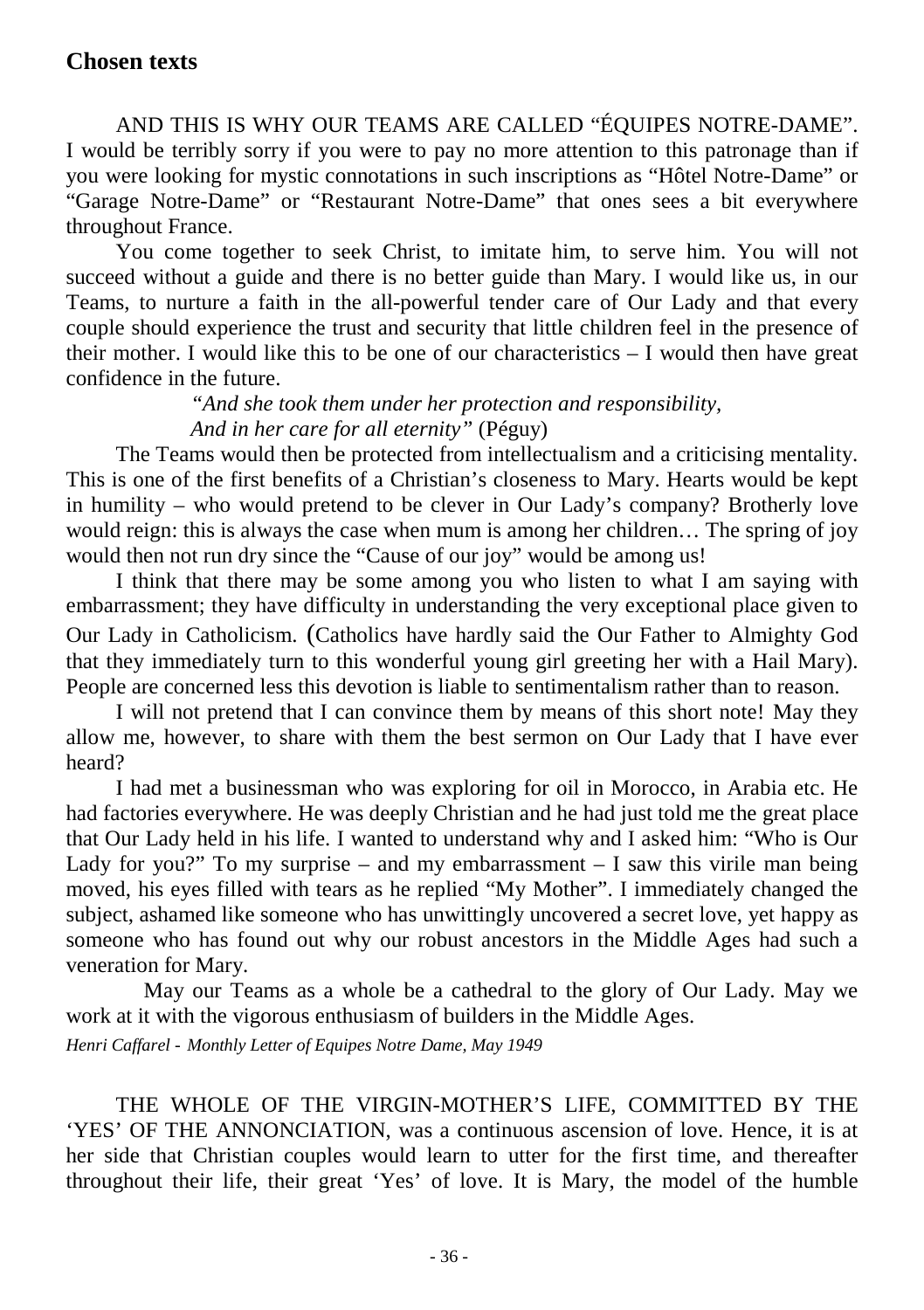AND THIS IS WHY OUR TEAMS ARE CALLED "ÉQUIPES NOTRE-DAME". I would be terribly sorry if you were to pay no more attention to this patronage than if you were looking for mystic connotations in such inscriptions as "Hôtel Notre-Dame" or "Garage Notre-Dame" or "Restaurant Notre-Dame" that ones sees a bit everywhere throughout France.

You come together to seek Christ, to imitate him, to serve him. You will not succeed without a guide and there is no better guide than Mary. I would like us, in our Teams, to nurture a faith in the all-powerful tender care of Our Lady and that every couple should experience the trust and security that little children feel in the presence of their mother. I would like this to be one of our characteristics  $-1$  would then have great confidence in the future.

*"And she took them under her protection and responsibility, And in her care for all eternity"* (Péguy)

The Teams would then be protected from intellectualism and a criticising mentality. This is one of the first benefits of a Christian's closeness to Mary. Hearts would be kept in humility – who would pretend to be clever in Our Lady's company? Brotherly love would reign: this is always the case when mum is among her children… The spring of joy would then not run dry since the "Cause of our joy" would be among us!

I think that there may be some among you who listen to what I am saying with embarrassment; they have difficulty in understanding the very exceptional place given to Our Lady in Catholicism. (Catholics have hardly said the Our Father to Almighty God that they immediately turn to this wonderful young girl greeting her with a Hail Mary). People are concerned less this devotion is liable to sentimentalism rather than to reason.

I will not pretend that I can convince them by means of this short note! May they allow me, however, to share with them the best sermon on Our Lady that I have ever heard?

I had met a businessman who was exploring for oil in Morocco, in Arabia etc. He had factories everywhere. He was deeply Christian and he had just told me the great place that Our Lady held in his life. I wanted to understand why and I asked him: "Who is Our Lady for you?" To my surprise – and my embarrassment  $-$  I saw this virile man being moved, his eyes filled with tears as he replied "My Mother". I immediately changed the subject, ashamed like someone who has unwittingly uncovered a secret love, yet happy as someone who has found out why our robust ancestors in the Middle Ages had such a veneration for Mary.

May our Teams as a whole be a cathedral to the glory of Our Lady. May we work at it with the vigorous enthusiasm of builders in the Middle Ages.

*Henri Caffarel - Monthly Letter of Equipes Notre Dame, May 1949*

THE WHOLE OF THE VIRGIN-MOTHER'S LIFE, COMMITTED BY THE 'YES' OF THE ANNONCIATION, was a continuous ascension of love. Hence, it is at her side that Christian couples would learn to utter for the first time, and thereafter throughout their life, their great 'Yes' of love. It is Mary, the model of the humble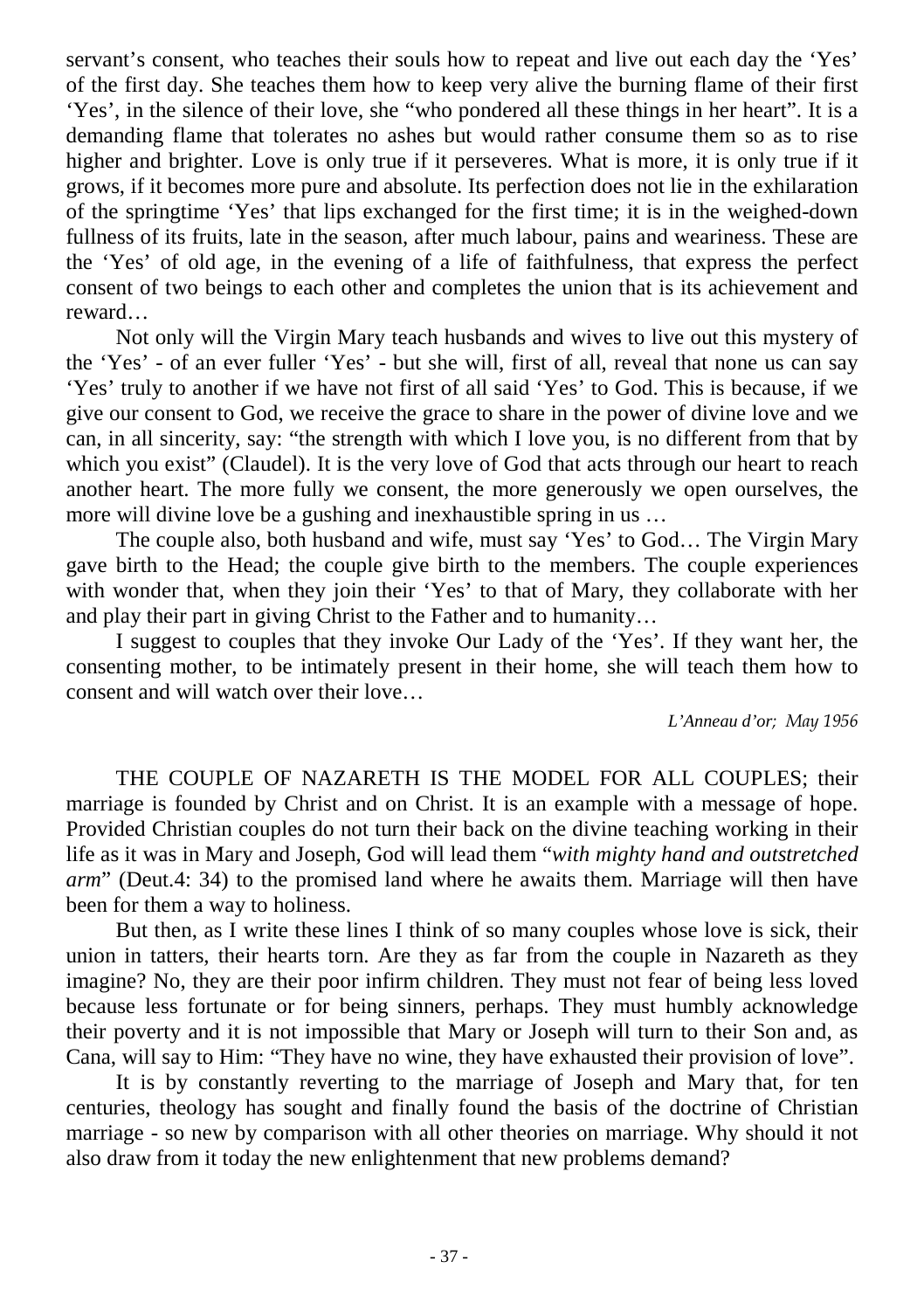servant's consent, who teaches their souls how to repeat and live out each day the 'Yes' of the first day. She teaches them how to keep very alive the burning flame of their first 'Yes', in the silence of their love, she "who pondered all these things in her heart". It is a demanding flame that tolerates no ashes but would rather consume them so as to rise higher and brighter. Love is only true if it perseveres. What is more, it is only true if it grows, if it becomes more pure and absolute. Its perfection does not lie in the exhilaration of the springtime 'Yes' that lips exchanged for the first time; it is in the weighed-down fullness of its fruits, late in the season, after much labour, pains and weariness. These are the 'Yes' of old age, in the evening of a life of faithfulness, that express the perfect consent of two beings to each other and completes the union that is its achievement and reward…

Not only will the Virgin Mary teach husbands and wives to live out this mystery of the 'Yes' - of an ever fuller 'Yes' - but she will, first of all, reveal that none us can say 'Yes' truly to another if we have not first of all said 'Yes' to God. This is because, if we give our consent to God, we receive the grace to share in the power of divine love and we can, in all sincerity, say: "the strength with which I love you, is no different from that by which you exist" (Claudel). It is the very love of God that acts through our heart to reach another heart. The more fully we consent, the more generously we open ourselves, the more will divine love be a gushing and inexhaustible spring in us …

The couple also, both husband and wife, must say 'Yes' to God… The Virgin Mary gave birth to the Head; the couple give birth to the members. The couple experiences with wonder that, when they join their 'Yes' to that of Mary, they collaborate with her and play their part in giving Christ to the Father and to humanity…

I suggest to couples that they invoke Our Lady of the 'Yes'. If they want her, the consenting mother, to be intimately present in their home, she will teach them how to consent and will watch over their love…

*L'Anneau d'or; May 1956*

THE COUPLE OF NAZARETH IS THE MODEL FOR ALL COUPLES; their marriage is founded by Christ and on Christ. It is an example with a message of hope. Provided Christian couples do not turn their back on the divine teaching working in their life as it was in Mary and Joseph, God will lead them "*with mighty hand and outstretched arm*" (Deut.4: 34) to the promised land where he awaits them. Marriage will then have been for them a way to holiness.

But then, as I write these lines I think of so many couples whose love is sick, their union in tatters, their hearts torn. Are they as far from the couple in Nazareth as they imagine? No, they are their poor infirm children. They must not fear of being less loved because less fortunate or for being sinners, perhaps. They must humbly acknowledge their poverty and it is not impossible that Mary or Joseph will turn to their Son and, as Cana, will say to Him: "They have no wine, they have exhausted their provision of love".

It is by constantly reverting to the marriage of Joseph and Mary that, for ten centuries, theology has sought and finally found the basis of the doctrine of Christian marriage - so new by comparison with all other theories on marriage. Why should it not also draw from it today the new enlightenment that new problems demand?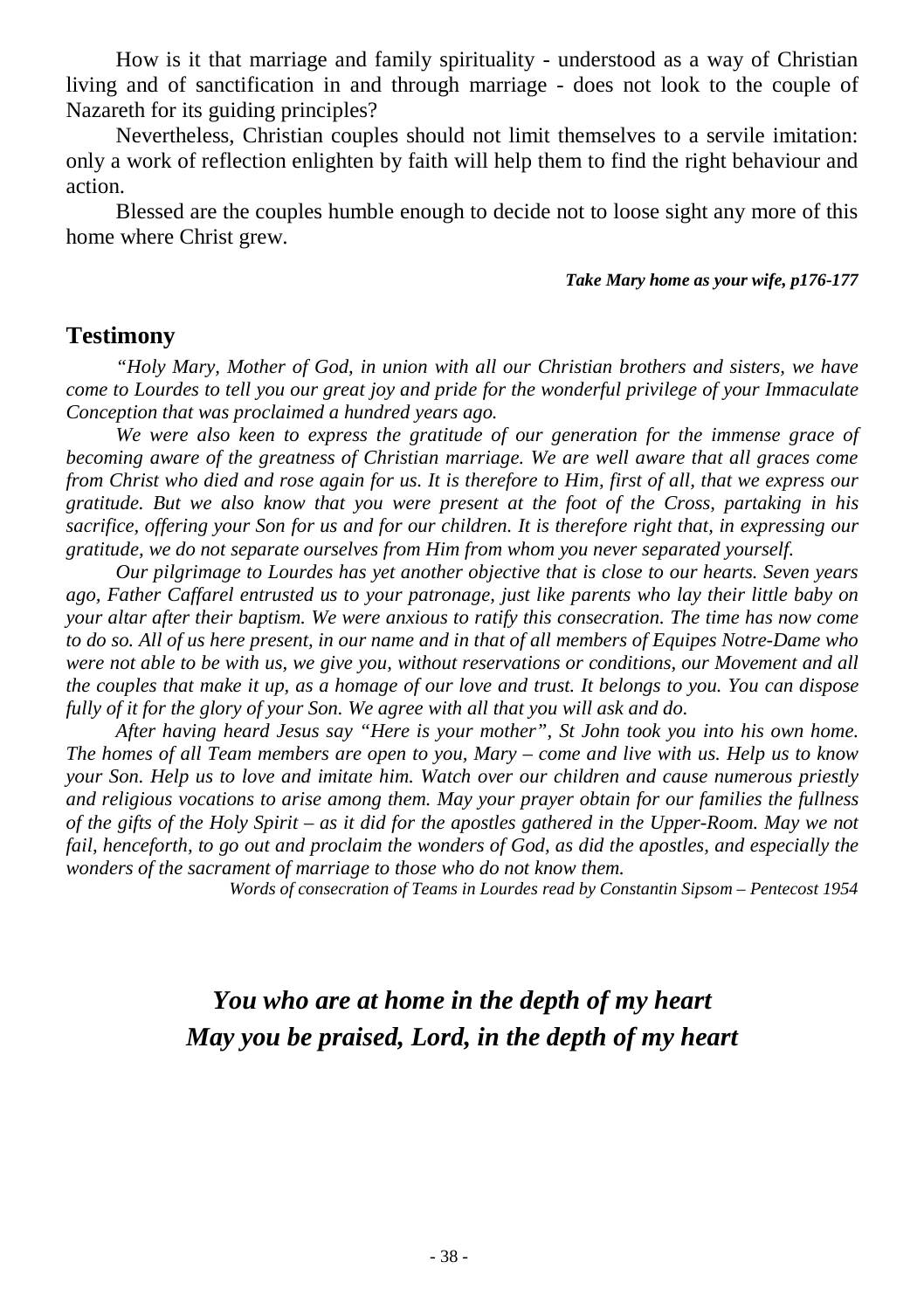How is it that marriage and family spirituality - understood as a way of Christian living and of sanctification in and through marriage - does not look to the couple of Nazareth for its guiding principles?

Nevertheless, Christian couples should not limit themselves to a servile imitation: only a work of reflection enlighten by faith will help them to find the right behaviour and action.

Blessed are the couples humble enough to decide not to loose sight any more of this home where Christ grew.

#### *Take Mary home as your wife, p176-177*

#### **Testimony**

*"Holy Mary, Mother of God, in union with all our Christian brothers and sisters, we have come to Lourdes to tell you our great joy and pride for the wonderful privilege of your Immaculate Conception that was proclaimed a hundred years ago.* 

*We were also keen to express the gratitude of our generation for the immense grace of becoming aware of the greatness of Christian marriage. We are well aware that all graces come from Christ who died and rose again for us. It is therefore to Him, first of all, that we express our gratitude. But we also know that you were present at the foot of the Cross, partaking in his sacrifice, offering your Son for us and for our children. It is therefore right that, in expressing our gratitude, we do not separate ourselves from Him from whom you never separated yourself.* 

*Our pilgrimage to Lourdes has yet another objective that is close to our hearts. Seven years ago, Father Caffarel entrusted us to your patronage, just like parents who lay their little baby on your altar after their baptism. We were anxious to ratify this consecration. The time has now come to do so. All of us here present, in our name and in that of all members of Equipes Notre-Dame who were not able to be with us, we give you, without reservations or conditions, our Movement and all the couples that make it up, as a homage of our love and trust. It belongs to you. You can dispose fully of it for the glory of your Son. We agree with all that you will ask and do.*

*After having heard Jesus say "Here is your mother", St John took you into his own home. The homes of all Team members are open to you, Mary – come and live with us. Help us to know your Son. Help us to love and imitate him. Watch over our children and cause numerous priestly and religious vocations to arise among them. May your prayer obtain for our families the fullness of the gifts of the Holy Spirit – as it did for the apostles gathered in the Upper-Room. May we not*  fail, henceforth, to go out and proclaim the wonders of God, as did the apostles, and especially the *wonders of the sacrament of marriage to those who do not know them.*

*Words of consecration of Teams in Lourdes read by Constantin Sipsom – Pentecost 1954* 

## *You who are at home in the depth of my heart May you be praised, Lord, in the depth of my heart*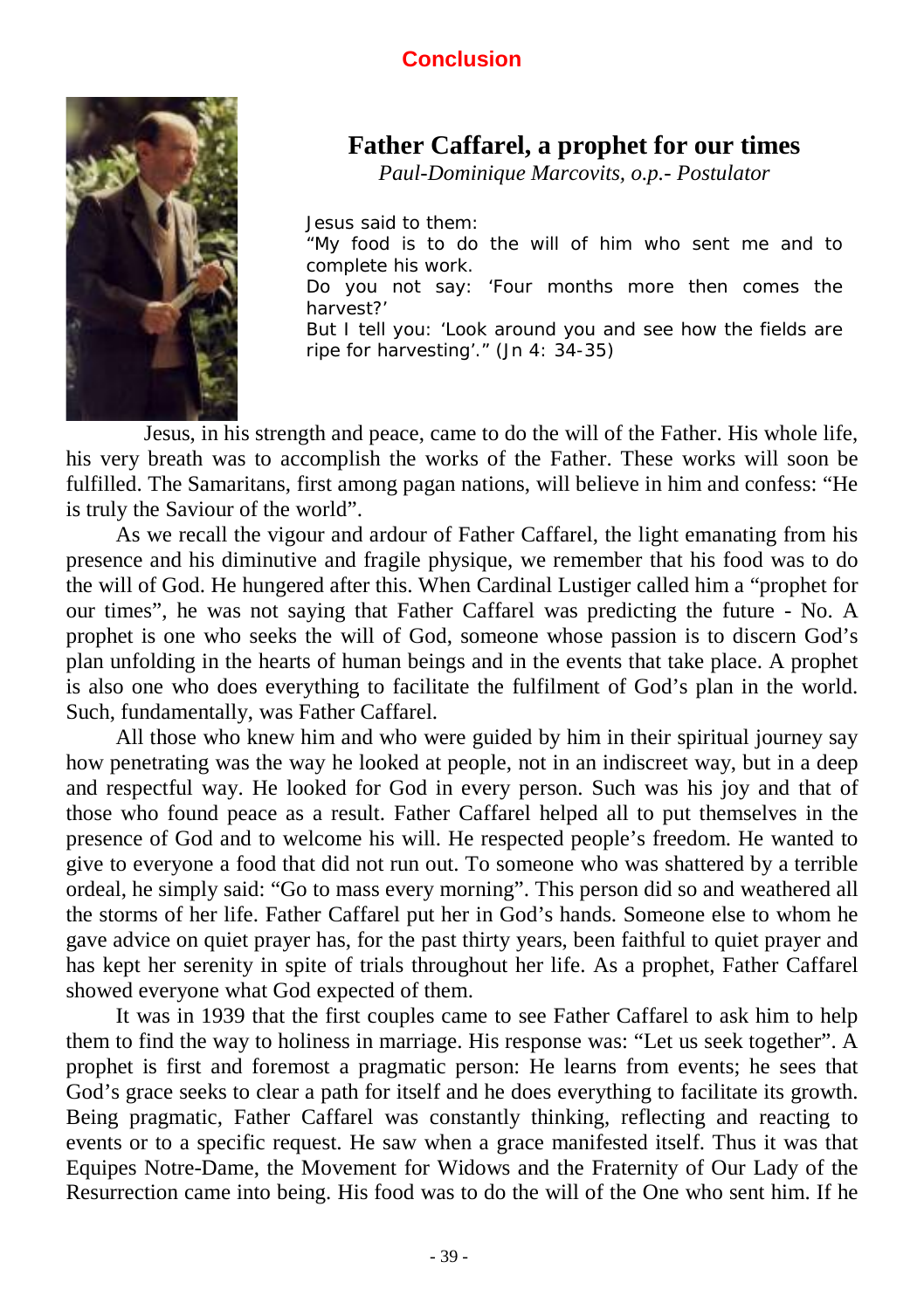### **Conclusion**



## **Father Caffarel, a prophet for our times**

*Paul-Dominique Marcovits, o.p.- Postulator*

*Jesus said to them: "My food is to do the will of him who sent me and to complete his work. Do you not say: 'Four months more then comes the harvest?' But I tell you: 'Look around you and see how the fields are ripe for harvesting'." (Jn 4: 34-35)*

 Jesus, in his strength and peace, came to do the will of the Father. His whole life, his very breath was to accomplish the works of the Father. These works will soon be fulfilled. The Samaritans, first among pagan nations, will believe in him and confess: "He is truly the Saviour of the world".

As we recall the vigour and ardour of Father Caffarel, the light emanating from his presence and his diminutive and fragile physique, we remember that his food was to do the will of God. He hungered after this. When Cardinal Lustiger called him a "prophet for our times", he was not saying that Father Caffarel was predicting the future - No. A prophet is one who seeks the will of God, someone whose passion is to discern God's plan unfolding in the hearts of human beings and in the events that take place. A prophet is also one who does everything to facilitate the fulfilment of God's plan in the world. Such, fundamentally, was Father Caffarel.

All those who knew him and who were guided by him in their spiritual journey say how penetrating was the way he looked at people, not in an indiscreet way, but in a deep and respectful way. He looked for God in every person. Such was his joy and that of those who found peace as a result. Father Caffarel helped all to put themselves in the presence of God and to welcome his will. He respected people's freedom. He wanted to give to everyone a food that did not run out. To someone who was shattered by a terrible ordeal, he simply said: "Go to mass every morning". This person did so and weathered all the storms of her life. Father Caffarel put her in God's hands. Someone else to whom he gave advice on quiet prayer has, for the past thirty years, been faithful to quiet prayer and has kept her serenity in spite of trials throughout her life. As a prophet, Father Caffarel showed everyone what God expected of them.

It was in 1939 that the first couples came to see Father Caffarel to ask him to help them to find the way to holiness in marriage. His response was: "Let us seek together". A prophet is first and foremost a pragmatic person: He learns from events; he sees that God's grace seeks to clear a path for itself and he does everything to facilitate its growth. Being pragmatic, Father Caffarel was constantly thinking, reflecting and reacting to events or to a specific request. He saw when a grace manifested itself. Thus it was that Equipes Notre-Dame, the Movement for Widows and the Fraternity of Our Lady of the Resurrection came into being. His food was to do the will of the One who sent him. If he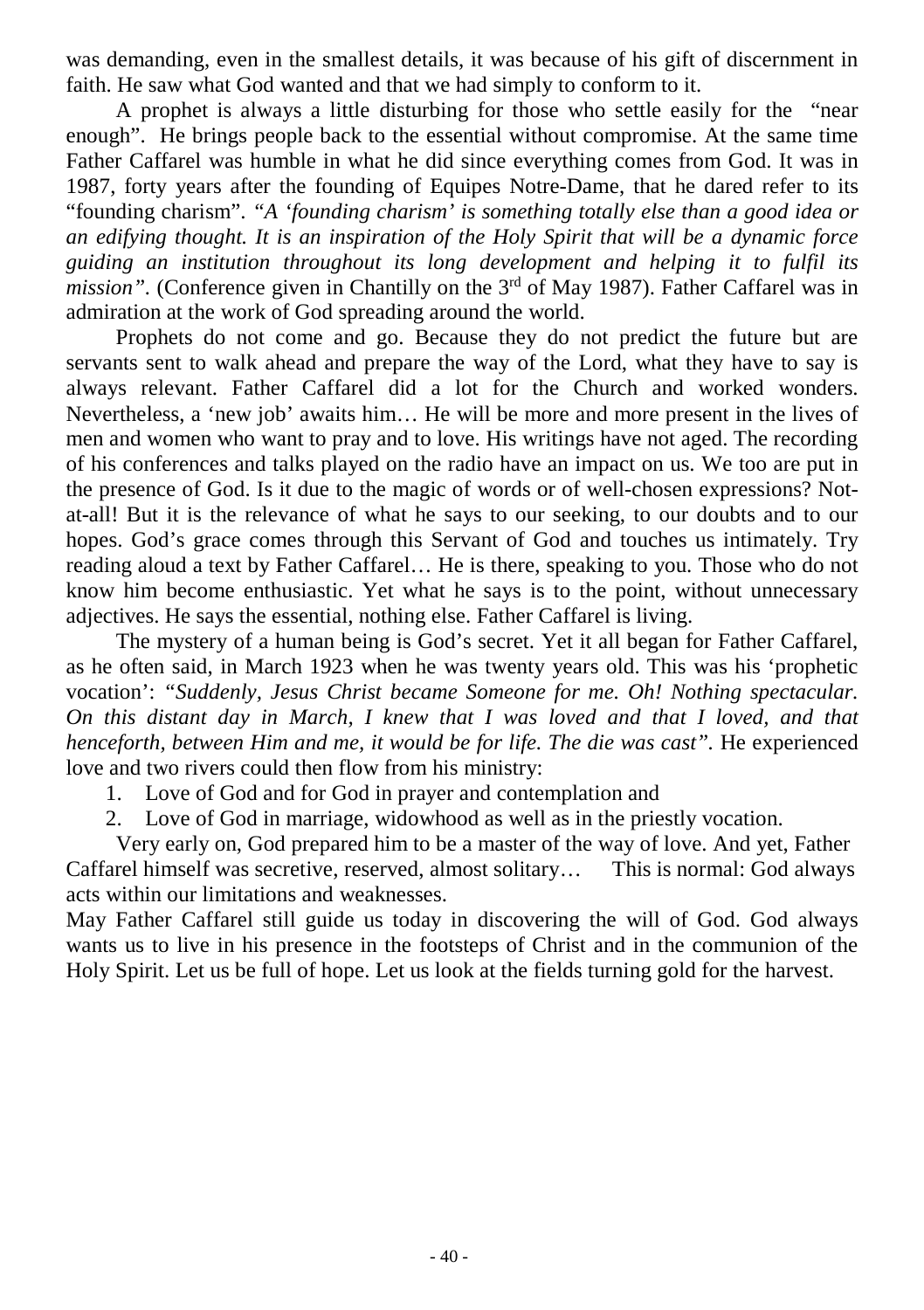was demanding, even in the smallest details, it was because of his gift of discernment in faith. He saw what God wanted and that we had simply to conform to it.

A prophet is always a little disturbing for those who settle easily for the "near enough". He brings people back to the essential without compromise. At the same time Father Caffarel was humble in what he did since everything comes from God. It was in 1987, forty years after the founding of Equipes Notre-Dame, that he dared refer to its "founding charism". *"A 'founding charism' is something totally else than a good idea or an edifying thought. It is an inspiration of the Holy Spirit that will be a dynamic force guiding an institution throughout its long development and helping it to fulfil its mission".* (Conference given in Chantilly on the  $3<sup>rd</sup>$  of May 1987). Father Caffarel was in admiration at the work of God spreading around the world.

Prophets do not come and go. Because they do not predict the future but are servants sent to walk ahead and prepare the way of the Lord, what they have to say is always relevant. Father Caffarel did a lot for the Church and worked wonders. Nevertheless, a 'new job' awaits him… He will be more and more present in the lives of men and women who want to pray and to love. His writings have not aged. The recording of his conferences and talks played on the radio have an impact on us. We too are put in the presence of God. Is it due to the magic of words or of well-chosen expressions? Notat-all! But it is the relevance of what he says to our seeking, to our doubts and to our hopes. God's grace comes through this Servant of God and touches us intimately. Try reading aloud a text by Father Caffarel… He is there, speaking to you. Those who do not know him become enthusiastic. Yet what he says is to the point, without unnecessary adjectives. He says the essential, nothing else. Father Caffarel is living.

The mystery of a human being is God's secret. Yet it all began for Father Caffarel, as he often said, in March 1923 when he was twenty years old. This was his 'prophetic vocation': *"Suddenly, Jesus Christ became Someone for me. Oh! Nothing spectacular. On this distant day in March, I knew that I was loved and that I loved, and that henceforth, between Him and me, it would be for life. The die was cast".* He experienced love and two rivers could then flow from his ministry:

- 1. Love of God and for God in prayer and contemplation and
- 2. Love of God in marriage, widowhood as well as in the priestly vocation.

Very early on, God prepared him to be a master of the way of love. And yet, Father Caffarel himself was secretive, reserved, almost solitary… This is normal: God always acts within our limitations and weaknesses.

May Father Caffarel still guide us today in discovering the will of God. God always wants us to live in his presence in the footsteps of Christ and in the communion of the Holy Spirit. Let us be full of hope. Let us look at the fields turning gold for the harvest.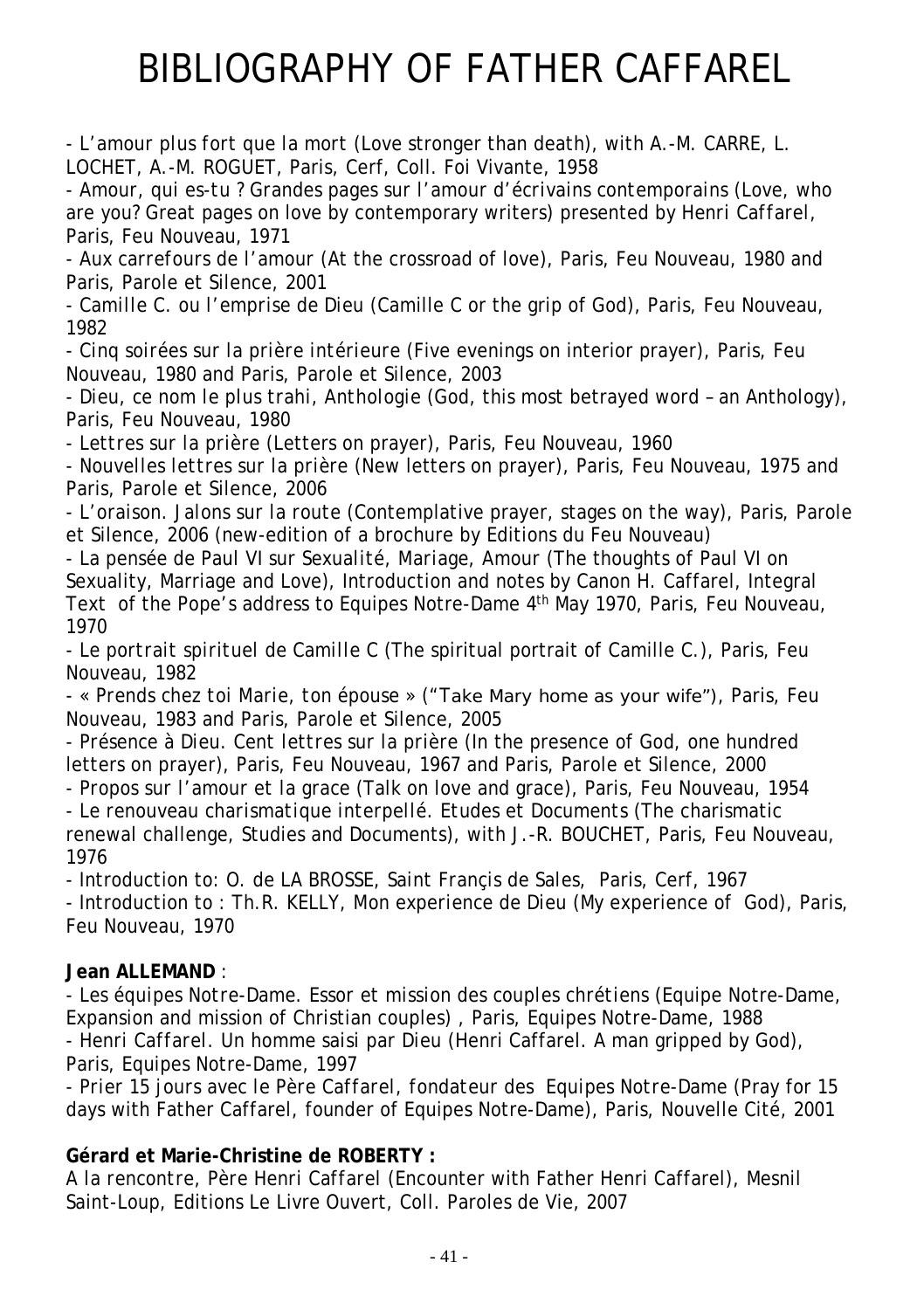# BIBLIOGRAPHY OF FATHER CAFFAREL

*- L'amour plus fort que la mort* (Love stronger than death), with A.-M. CARRE, L. LOCHET, A.-M. ROGUET, Paris, Cerf, Coll. Foi Vivante, 1958

*- Amour, qui es-tu ? Grandes pages sur l'amour d'écrivains contemporains (*Love, who are you? Great pages on love by contemporary writers) presented *by Henri Caffarel*, Paris, Feu Nouveau, 1971

*- Aux carrefours de l'amour* (At the crossroad of love), Paris, Feu Nouveau, 1980 and Paris, Parole et Silence, 2001

*- Camille C. ou l'emprise de Dieu* (Camille C or the grip of God), Paris, Feu Nouveau, 1982

*- Cinq soirées sur la prière intérieure* (Five evenings on interior prayer), Paris, Feu Nouveau, 1980 and Paris, Parole et Silence, 2003

*- Dieu, ce nom le plus trahi, Anthologie* (God, this most betrayed word – an Anthology), Paris, Feu Nouveau, 1980

*- Lettres sur la prière* (Letters on prayer), Paris, Feu Nouveau, 1960

*- Nouvelles lettres sur la prière* (New letters on prayer), Paris, Feu Nouveau, 1975 and Paris, Parole et Silence, 2006

*- L'oraison. Jalons sur la route* (Contemplative prayer, stages on the way), Paris, Parole et Silence, 2006 (new-edition of a brochure by Editions du Feu Nouveau)

*- La pensée de Paul VI sur Sexualité, Mariage, Amour* (The thoughts of Paul VI on Sexuality, Marriage and Love), Introduction and notes by Canon H. Caffarel, Integral Text of the Pope's address to Equipes Notre-Dame 4th May 1970, Paris, Feu Nouveau, 1970

*- Le portrait spirituel de Camille C* (The spiritual portrait of Camille C.)*,* Paris, Feu Nouveau, 1982

*- « Prends chez toi Marie, ton épouse »* ("Take Mary home as your wife")*,* Paris, Feu Nouveau, 1983 and Paris, Parole et Silence, 2005

*- Présence à Dieu. Cent lettres sur la prière* (In the presence of God, one hundred letters on prayer), Paris, Feu Nouveau, 1967 and Paris, Parole et Silence, 2000

*- Propos sur l'amour et la grace* (Talk on love and grace), Paris, Feu Nouveau, 1954 *- Le renouveau charismatique interpellé. Etudes et Documents* (The charismatic renewal challenge, Studies and Documents), with J.-R. BOUCHET, Paris, Feu Nouveau, 1976

- Introduction to: O. de LA BROSSE, *Saint Françis de Sales,* Paris, Cerf, 1967 - Introduction to : Th.R. KELLY, *Mon experience de Dieu* (My experience of God), Paris, Feu Nouveau, 1970

### **Jean ALLEMAND** :

*- Les équipes Notre-Dame. Essor et mission des couples chrétiens* (Equipe Notre-Dame, Expansion and mission of Christian couples) , Paris, Equipes Notre-Dame, 1988 *- Henri Caffarel. Un homme saisi par Dieu* (Henri Caffarel. A man gripped by God), Paris, Equipes Notre-Dame, 1997

*- Prier 15 jours avec le Père Caffarel, fondateur des Equipes Notre-Dame* (Pray for 15 days with Father Caffarel, founder of Equipes Notre-Dame), Paris, Nouvelle Cité, 2001

### **Gérard et Marie-Christine de ROBERTY :**

*A la rencontre, Père Henri Caffarel* (Encounter with Father Henri Caffarel)*,* Mesnil Saint-Loup*,* Editions Le Livre Ouvert, Coll. Paroles de Vie, 2007